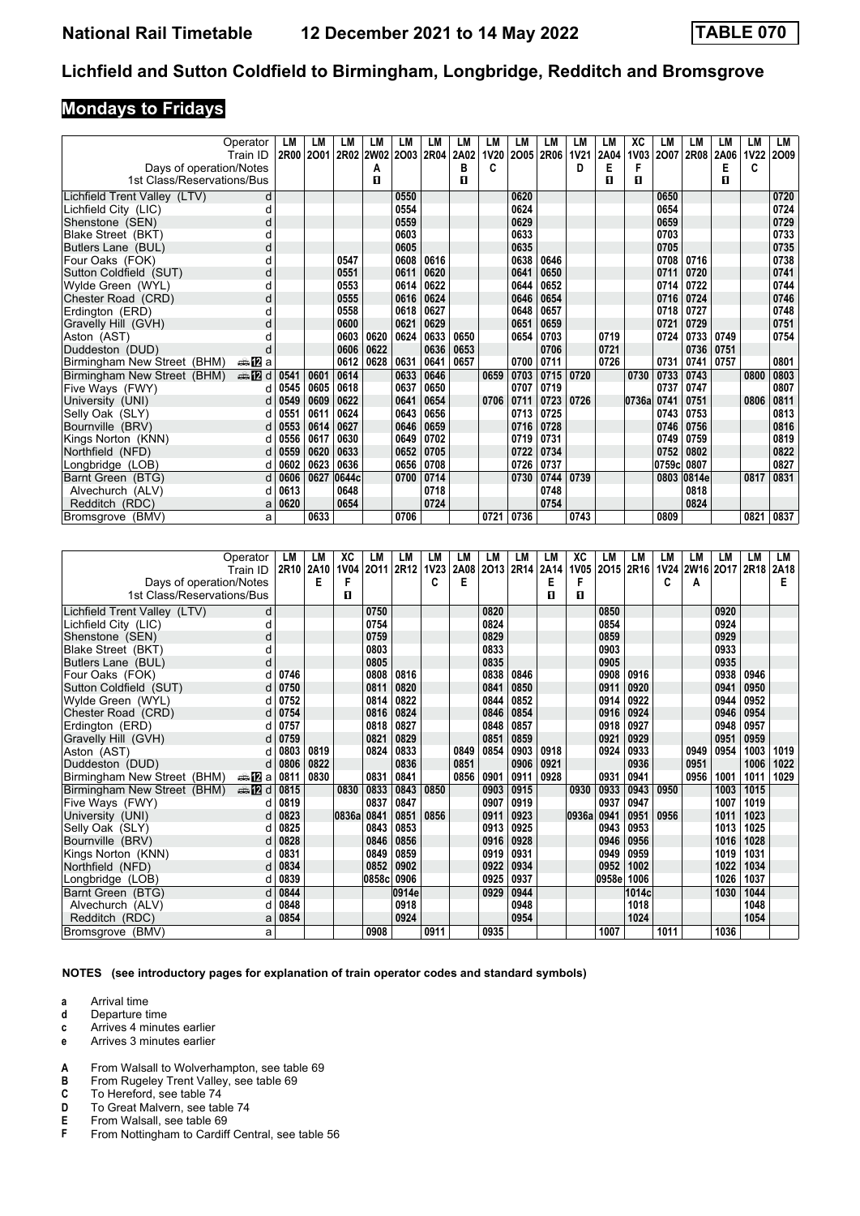# **Mondays to Fridays**

|                              | Operator      | LМ        | LМ   | LМ    | LM        | LM        | LM   | LM   | LM          | LM   | LM   | LM          | LM   | ХC               | LM    | LM          | LМ   | LM          | LM   |
|------------------------------|---------------|-----------|------|-------|-----------|-----------|------|------|-------------|------|------|-------------|------|------------------|-------|-------------|------|-------------|------|
|                              | Train ID      | 2R00 2001 |      |       | 2R02 2W02 | 2003 2R04 |      | 2A02 | <b>1V20</b> | 2005 | 2R06 | <b>1V21</b> | 2A04 | 1V <sub>03</sub> | 2007  | <b>2R08</b> | 2A06 | <b>1V22</b> | 2009 |
| Days of operation/Notes      |               |           |      |       | A         |           |      | в    | C           |      |      | D           | Е    | F                |       |             | Е    | C           |      |
| 1st Class/Reservations/Bus   |               |           |      |       | П         |           |      | п    |             |      |      |             | П    | п                |       |             | п    |             |      |
| Lichfield Trent Valley (LTV) | d             |           |      |       |           | 0550      |      |      |             | 0620 |      |             |      |                  | 0650  |             |      |             | 0720 |
| Lichfield City (LIC)         | d             |           |      |       |           | 0554      |      |      |             | 0624 |      |             |      |                  | 0654  |             |      |             | 0724 |
| Shenstone (SEN)              | O             |           |      |       |           | 0559      |      |      |             | 0629 |      |             |      |                  | 0659  |             |      |             | 0729 |
| Blake Street (BKT)           |               |           |      |       |           | 0603      |      |      |             | 0633 |      |             |      |                  | 0703  |             |      |             | 0733 |
| Butlers Lane (BUL)           | d             |           |      |       |           | 0605      |      |      |             | 0635 |      |             |      |                  | 0705  |             |      |             | 0735 |
| Four Oaks (FOK)              |               |           |      | 0547  |           | 0608      | 0616 |      |             | 0638 | 0646 |             |      |                  | 0708  | 0716        |      |             | 0738 |
| Sutton Coldfield (SUT)       | C             |           |      | 0551  |           | 0611      | 0620 |      |             | 0641 | 0650 |             |      |                  | 0711  | 0720        |      |             | 0741 |
| Wylde Green (WYL)            |               |           |      | 0553  |           | 0614      | 0622 |      |             | 0644 | 0652 |             |      |                  | 0714  | 0722        |      |             | 0744 |
| Chester Road (CRD)           | d             |           |      | 0555  |           | 0616      | 0624 |      |             | 0646 | 0654 |             |      |                  | 0716  | 0724        |      |             | 0746 |
| Erdington (ERD)              | d             |           |      | 0558  |           | 0618      | 0627 |      |             | 0648 | 0657 |             |      |                  | 0718  | 0727        |      |             | 0748 |
| Gravelly Hill (GVH)          | d             |           |      | 0600  |           | 0621      | 0629 |      |             | 0651 | 0659 |             |      |                  | 0721  | 0729        |      |             | 0751 |
| Aston (AST)                  |               |           |      | 0603  | 0620      | 0624      | 0633 | 0650 |             | 0654 | 0703 |             | 0719 |                  | 0724  | 0733        | 0749 |             | 0754 |
| Duddeston (DUD)              | d             |           |      | 0606  | 0622      |           | 0636 | 0653 |             |      | 0706 |             | 0721 |                  |       | 0736        | 0751 |             |      |
| Birmingham New Street (BHM)  | anaDa         |           |      | 0612  | 0628      | 0631      | 0641 | 0657 |             | 0700 | 0711 |             | 0726 |                  | 0731  | 0741        | 0757 |             | 0801 |
| Birmingham New Street (BHM)  | <b>⊯ 12</b> d | 0541      | 0601 | 0614  |           | 0633      | 0646 |      | 0659        | 0703 | 0715 | 0720        |      | 0730             | 0733  | 0743        |      | 0800        | 0803 |
| Five Ways (FWY)              | d             | 0545      | 0605 | 0618  |           | 0637      | 0650 |      |             | 0707 | 0719 |             |      |                  | 0737  | 0747        |      |             | 0807 |
| University (UNI)             | d             | 0549      | 0609 | 0622  |           | 0641      | 0654 |      | 0706        | 0711 | 0723 | 0726        |      | 0736a            | 0741  | 0751        |      | 0806        | 0811 |
| Selly Oak (SLY)              | d             | 0551      | 0611 | 0624  |           | 0643      | 0656 |      |             | 0713 | 0725 |             |      |                  | 0743  | 0753        |      |             | 0813 |
| Bournville (BRV)             | d             | 0553      | 0614 | 0627  |           | 0646      | 0659 |      |             | 0716 | 0728 |             |      |                  | 0746  | 0756        |      |             | 0816 |
| Kings Norton (KNN)           | d             | 0556      | 0617 | 0630  |           | 0649      | 0702 |      |             | 0719 | 0731 |             |      |                  | 0749  | 0759        |      |             | 0819 |
| Northfield (NFD)             | d             | 0559      | 0620 | 0633  |           | 0652      | 0705 |      |             | 0722 | 0734 |             |      |                  | 0752  | 0802        |      |             | 0822 |
| Longbridge (LOB)             | d             | 0602      | 0623 | 0636  |           | 0656      | 0708 |      |             | 0726 | 0737 |             |      |                  | 0759c | 0807        |      |             | 0827 |
| Barnt Green (BTG)            | d             | 0606      | 0627 | 0644c |           | 0700      | 0714 |      |             | 0730 | 0744 | 0739        |      |                  |       | 0803 0814e  |      | 0817        | 0831 |
| Alvechurch (ALV)             | d             | 0613      |      | 0648  |           |           | 0718 |      |             |      | 0748 |             |      |                  |       | 0818        |      |             |      |
| Redditch (RDC)               | a             | 0620      |      | 0654  |           |           | 0724 |      |             |      | 0754 |             |      |                  |       | 0824        |      |             |      |
| Bromsgrove (BMV)             | a             |           | 0633 |       |           | 0706      |      |      | 0721        | 0736 |      | 0743        |      |                  | 0809  |             |      | 0821        | 0837 |

|                              | Operator               | LM        | LM   | ХC          | LМ    | LM    | LМ          | LM   | LM   | LM   | LМ   | ХC          | LM    | LM               | LM          | LM        | LМ   | LM   | LM   |
|------------------------------|------------------------|-----------|------|-------------|-------|-------|-------------|------|------|------|------|-------------|-------|------------------|-------------|-----------|------|------|------|
|                              | Train ID               | 2R10 2A10 |      | <b>1V04</b> | 2011  | 2R12  | <b>1V23</b> | 2A08 | 2013 | 2R14 | 2A14 | <b>1V05</b> | 2015  | 2R <sub>16</sub> | <b>1V24</b> | 2W16 2O17 |      | 2R18 | 2A18 |
| Days of operation/Notes      |                        |           | Е    | F           |       |       | c           | Е    |      |      | Е    | F           |       |                  | C           | Α         |      |      | Е    |
| 1st Class/Reservations/Bus   |                        |           |      | п           |       |       |             |      |      |      | п    | п           |       |                  |             |           |      |      |      |
| Lichfield Trent Valley (LTV) | d                      |           |      |             | 0750  |       |             |      | 0820 |      |      |             | 0850  |                  |             |           | 0920 |      |      |
| Lichfield City (LIC)         | d                      |           |      |             | 0754  |       |             |      | 0824 |      |      |             | 0854  |                  |             |           | 0924 |      |      |
| Shenstone (SEN)              | d                      |           |      |             | 0759  |       |             |      | 0829 |      |      |             | 0859  |                  |             |           | 0929 |      |      |
| Blake Street (BKT)           | d                      |           |      |             | 0803  |       |             |      | 0833 |      |      |             | 0903  |                  |             |           | 0933 |      |      |
| Butlers Lane (BUL)           | d                      |           |      |             | 0805  |       |             |      | 0835 |      |      |             | 0905  |                  |             |           | 0935 |      |      |
| Four Oaks (FOK)              | d                      | 0746      |      |             | 0808  | 0816  |             |      | 0838 | 0846 |      |             | 0908  | 0916             |             |           | 0938 | 0946 |      |
| Sutton Coldfield (SUT)       | d                      | 0750      |      |             | 0811  | 0820  |             |      | 0841 | 0850 |      |             | 0911  | 0920             |             |           | 0941 | 0950 |      |
| Wylde Green (WYL)            | d                      | 0752      |      |             | 0814  | 0822  |             |      | 0844 | 0852 |      |             | 0914  | 0922             |             |           | 0944 | 0952 |      |
| Chester Road (CRD)           | d                      | 0754      |      |             | 0816  | 0824  |             |      | 0846 | 0854 |      |             | 0916  | 0924             |             |           | 0946 | 0954 |      |
| Erdinaton (ERD)              |                        | 0757      |      |             | 0818  | 0827  |             |      | 0848 | 0857 |      |             | 0918  | 0927             |             |           | 0948 | 0957 |      |
| Gravelly Hill (GVH)          | d                      | 0759      |      |             | 0821  | 0829  |             |      | 0851 | 0859 |      |             | 0921  | 0929             |             |           | 0951 | 0959 |      |
| Aston (AST)                  | d                      | 0803      | 0819 |             | 0824  | 0833  |             | 0849 | 0854 | 0903 | 0918 |             | 0924  | 0933             |             | 0949      | 0954 | 1003 | 1019 |
| Duddeston (DUD)              | d l                    | 0806      | 0822 |             |       | 0836  |             | 0851 |      | 0906 | 0921 |             |       | 0936             |             | 0951      |      | 1006 | 1022 |
| Birmingham New Street (BHM)  | ana <mark>n</mark> 2ia | 0811      | 0830 |             | 0831  | 0841  |             | 0856 | 0901 | 0911 | 0928 |             | 0931  | 0941             |             | 0956      | 1001 | 1011 | 1029 |
| Birmingham New Street (BHM)  | den <b>in</b> d        | 0815      |      | 0830        | 0833  | 0843  | 0850        |      | 0903 | 0915 |      | 0930        | 0933  | 0943             | 0950        |           | 1003 | 1015 |      |
| Five Ways (FWY)              | d                      | 0819      |      |             | 0837  | 0847  |             |      | 0907 | 0919 |      |             | 0937  | 0947             |             |           | 1007 | 1019 |      |
| University (UNI)             | d                      | 0823      |      | 0836a 0841  |       | 0851  | 0856        |      | 0911 | 0923 |      | 0936a       | 0941  | 0951             | 0956        |           | 1011 | 1023 |      |
| Selly Oak (SLY)              | d                      | 0825      |      |             | 0843  | 0853  |             |      | 0913 | 0925 |      |             | 0943  | 0953             |             |           | 1013 | 1025 |      |
| Bournville (BRV)             | d                      | 0828      |      |             | 0846  | 0856  |             |      | 0916 | 0928 |      |             | 0946  | 0956             |             |           | 1016 | 1028 |      |
| Kings Norton (KNN)           | d                      | 0831      |      |             | 0849  | 0859  |             |      | 0919 | 0931 |      |             | 0949  | 0959             |             |           | 1019 | 1031 |      |
| Northfield (NFD)             | d                      | 0834      |      |             | 0852  | 0902  |             |      | 0922 | 0934 |      |             | 0952  | 1002             |             |           | 1022 | 1034 |      |
| Longbridge (LOB)             | d                      | 0839      |      |             | 0858c | 0906  |             |      | 0925 | 0937 |      |             | 0958e | 1006             |             |           | 1026 | 1037 |      |
| Barnt Green (BTG)            | d                      | 0844      |      |             |       | 0914e |             |      | 0929 | 0944 |      |             |       | 1014c            |             |           | 1030 | 1044 |      |
| Alvechurch (ALV)             | d                      | 0848      |      |             |       | 0918  |             |      |      | 0948 |      |             |       | 1018             |             |           |      | 1048 |      |
| Redditch (RDC)               | a                      | 0854      |      |             |       | 0924  |             |      |      | 0954 |      |             |       | 1024             |             |           |      | 1054 |      |
| Bromsgrove (BMV)             | a                      |           |      |             | 0908  |       | 0911        |      | 0935 |      |      |             | 1007  |                  | 1011        |           | 1036 |      |      |

**NOTES (see introductory pages for explanation of train operator codes and standard symbols)**

- **d** Departure time
- **c** Arrives 4 minutes earlier
- **e** Arrives 3 minutes earlier
- **A** From Walsall to Wolverhampton, see table 69<br>**B** From Rugeley Trent Valley, see table 69
- **B** From Rugeley Trent Valley, see table 69 **C** To Hereford, see table 74
- To Hereford, see table 74
- **D** To Great Malvern, see table 74<br>**E** From Walsall, see table 69<br>**F** From Nottingham to Cardiff Cer
- From Walsall, see table 69
- From Nottingham to Cardiff Central, see table 56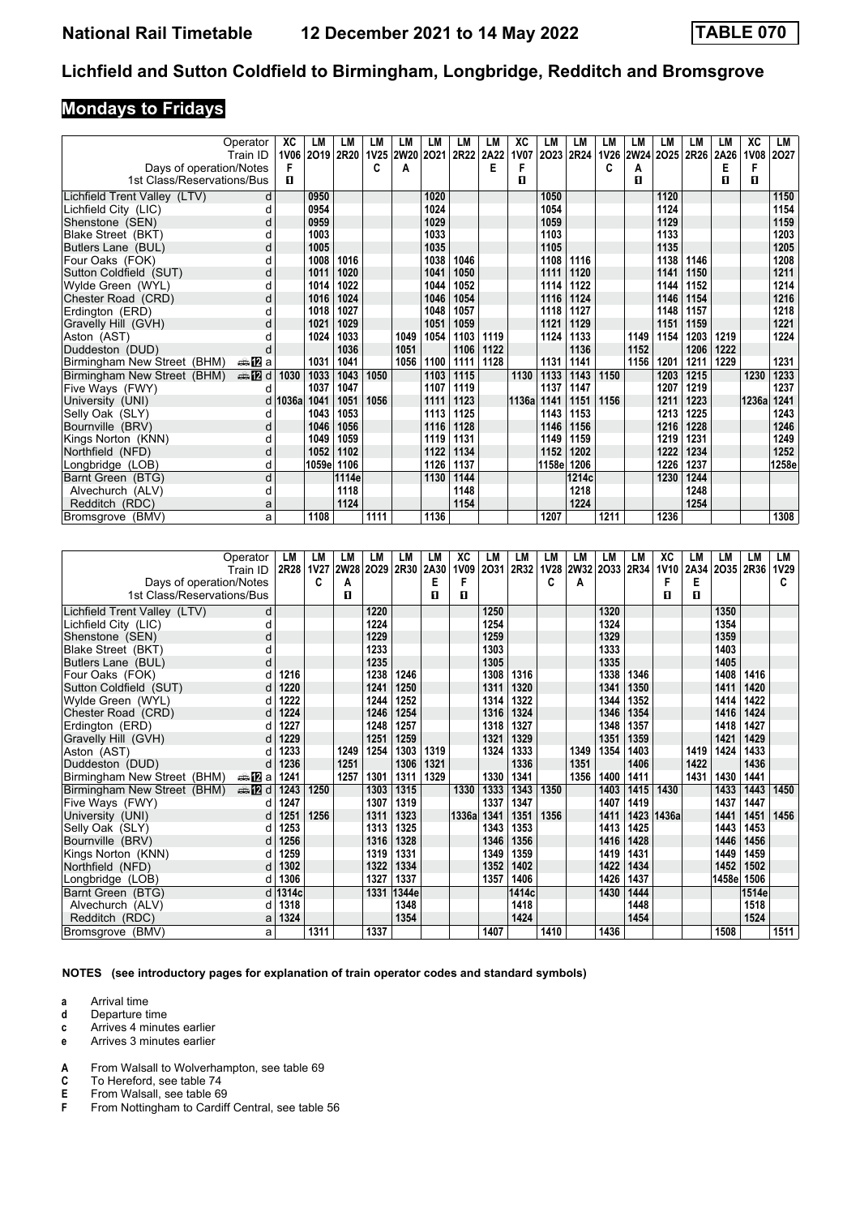# **Mondays to Fridays**

|                              | Operator       | ХC        | LM         | LМ             | LM   | LM             | LM   | LM   | LM   | XC          | LM    | LM    | LM   | LМ   | LM        | LM   | LМ   | XC    | LM        |
|------------------------------|----------------|-----------|------------|----------------|------|----------------|------|------|------|-------------|-------|-------|------|------|-----------|------|------|-------|-----------|
|                              | Train ID       |           |            | 1V06 2019 2R20 |      | 1V25 2W20 2021 |      | 2R22 | 2A22 | <b>1V07</b> | 2023  | 2R24  | 1V26 |      | 2W24 2025 | 2R26 | 2A26 |       | 1V08 2O27 |
| Days of operation/Notes      |                | F         |            |                | C    | А              |      |      | Е    | F           |       |       | С    | Α    |           |      | Е    | F     |           |
| 1st Class/Reservations/Bus   |                | п         |            |                |      |                |      |      |      | п           |       |       |      | п    |           |      | п    | 0     |           |
| Lichfield Trent Valley (LTV) | d              |           | 0950       |                |      |                | 1020 |      |      |             | 1050  |       |      |      | 1120      |      |      |       | 1150      |
| Lichfield City (LIC)         | d              |           | 0954       |                |      |                | 1024 |      |      |             | 1054  |       |      |      | 1124      |      |      |       | 1154      |
| Shenstone (SEN)              | o              |           | 0959       |                |      |                | 1029 |      |      |             | 1059  |       |      |      | 1129      |      |      |       | 1159      |
| Blake Street (BKT)           |                |           | 1003       |                |      |                | 1033 |      |      |             | 1103  |       |      |      | 1133      |      |      |       | 1203      |
| Butlers Lane (BUL)           | d              |           | 1005       |                |      |                | 1035 |      |      |             | 1105  |       |      |      | 1135      |      |      |       | 1205      |
| Four Oaks (FOK)              |                |           | 1008       | 1016           |      |                | 1038 | 1046 |      |             | 1108  | 1116  |      |      | 1138      | 1146 |      |       | 1208      |
| Sutton Coldfield (SUT)       | d              |           | 1011       | 1020           |      |                | 1041 | 1050 |      |             | 1111  | 1120  |      |      | 1141      | 1150 |      |       | 1211      |
| Wylde Green (WYL)            | U              |           | 1014       | 1022           |      |                | 1044 | 1052 |      |             | 1114  | 1122  |      |      | 1144      | 1152 |      |       | 1214      |
| Chester Road (CRD)           | d              |           | 1016       | 1024           |      |                | 1046 | 1054 |      |             | 1116  | 1124  |      |      | 1146      | 1154 |      |       | 1216      |
| Erdinaton (ERD)              | U              |           | 1018       | 1027           |      |                | 1048 | 1057 |      |             | 1118  | 1127  |      |      | 1148      | 1157 |      |       | 1218      |
| Gravelly Hill (GVH)          | d              |           | 1021       | 1029           |      |                | 1051 | 1059 |      |             | 1121  | 1129  |      |      | 1151      | 1159 |      |       | 1221      |
| Aston (AST)                  |                |           | 1024       | 1033           |      | 1049           | 1054 | 1103 | 1119 |             | 1124  | 1133  |      | 1149 | 1154      | 1203 | 1219 |       | 1224      |
| Duddeston (DUD)              |                |           |            | 1036           |      | 1051           |      | 1106 | 1122 |             |       | 1136  |      | 1152 |           | 1206 | 1222 |       |           |
| Birmingham New Street (BHM)  | ana Mara       |           | 1031       | 1041           |      | 1056           | 1100 | 1111 | 1128 |             | 1131  | 1141  |      | 1156 | 1201      | 1211 | 1229 |       | 1231      |
| Birmingham New Street (BHM)  | <b>en 12</b> d | 1030      | 1033       | 1043           | 1050 |                | 1103 | 1115 |      | 1130        | 1133  | 1143  | 1150 |      | 1203      | 1215 |      | 1230  | 1233      |
| Five Ways (FWY)              |                |           | 1037       | 1047           |      |                | 1107 | 1119 |      |             | 1137  | 1147  |      |      | 1207      | 1219 |      |       | 1237      |
| University (UNI)             |                | d   1036a | 1041       | 1051           | 1056 |                | 1111 | 1123 |      | 1136al      | 1141  | 1151  | 1156 |      | 1211      | 1223 |      | 1236a | 1241      |
| Selly Oak (SLY)              | d              |           | 1043       | 1053           |      |                | 1113 | 1125 |      |             | 1143  | 1153  |      |      | 1213      | 1225 |      |       | 1243      |
| Bournville (BRV)             | d              |           | 1046       | 1056           |      |                | 1116 | 1128 |      |             | 1146  | 1156  |      |      | 1216      | 1228 |      |       | 1246      |
| Kings Norton (KNN)           | d              |           | 1049       | 1059           |      |                | 1119 | 1131 |      |             | 1149  | 1159  |      |      | 1219      | 1231 |      |       | 1249      |
| Northfield (NFD)             | d              |           | 1052       | 1102           |      |                | 1122 | 1134 |      |             | 1152  | 1202  |      |      | 1222      | 1234 |      |       | 1252      |
| Longbridge (LOB)             | d              |           | 1059e 1106 |                |      |                | 1126 | 1137 |      |             | 1158e | 1206  |      |      | 1226      | 1237 |      |       | 1258e     |
| Barnt Green (BTG)            | d              |           |            | 1114e          |      |                | 1130 | 1144 |      |             |       | 1214c |      |      | 1230      | 1244 |      |       |           |
| Alvechurch (ALV)             | d              |           |            | 1118           |      |                |      | 1148 |      |             |       | 1218  |      |      |           | 1248 |      |       |           |
| Redditch (RDC)               | а              |           |            | 1124           |      |                |      | 1154 |      |             |       | 1224  |      |      |           | 1254 |      |       |           |
| Bromsgrove (BMV)             | a              |           | 1108       |                | 1111 |                | 1136 |      |      |             | 1207  |       | 1211 |      | 1236      |      |      |       | 1308      |

|                              | Operator                | LM        | LM   | LM          | LM   | LM    | LM   | ХC    | LM   | LM    | LM          | LM   | LM             | LM   | XC          | LM   | LМ             | LM    | LM          |
|------------------------------|-------------------------|-----------|------|-------------|------|-------|------|-------|------|-------|-------------|------|----------------|------|-------------|------|----------------|-------|-------------|
|                              | Train ID                | 2R28 1V27 |      | <b>2W28</b> | 2029 | 2R30  | 2A30 | 1V09  | 2031 | 2R32  | <b>1V28</b> |      | 2W32 2O33 2R34 |      | <b>1V10</b> |      | 2A34 2O35 2R36 |       | <b>1V29</b> |
| Days of operation/Notes      |                         |           | C    | A           |      |       | Е    | F     |      |       | C           | A    |                |      | F           | Е    |                |       | c           |
| 1st Class/Reservations/Bus   |                         |           |      | п           |      |       | п    | п     |      |       |             |      |                |      | П           | п    |                |       |             |
| Lichfield Trent Valley (LTV) | d                       |           |      |             | 1220 |       |      |       | 1250 |       |             |      | 1320           |      |             |      | 1350           |       |             |
| Lichfield City (LIC)         | d                       |           |      |             | 1224 |       |      |       | 1254 |       |             |      | 1324           |      |             |      | 1354           |       |             |
| Shenstone (SEN)              | d                       |           |      |             | 1229 |       |      |       | 1259 |       |             |      | 1329           |      |             |      | 1359           |       |             |
| Blake Street (BKT)           | d                       |           |      |             | 1233 |       |      |       | 1303 |       |             |      | 1333           |      |             |      | 1403           |       |             |
| Butlers Lane (BUL)           | d                       |           |      |             | 1235 |       |      |       | 1305 |       |             |      | 1335           |      |             |      | 1405           |       |             |
| Four Oaks (FOK)              | d                       | 1216      |      |             | 1238 | 1246  |      |       | 1308 | 1316  |             |      | 1338           | 1346 |             |      | 1408           | 1416  |             |
| Sutton Coldfield (SUT)       | d                       | 1220      |      |             | 1241 | 1250  |      |       | 1311 | 1320  |             |      | 1341           | 1350 |             |      | 1411           | 1420  |             |
| Wylde Green (WYL)            | d                       | 1222      |      |             | 1244 | 1252  |      |       | 1314 | 1322  |             |      | 1344           | 1352 |             |      | 1414           | 1422  |             |
| Chester Road (CRD)           | d                       | 1224      |      |             | 1246 | 1254  |      |       | 1316 | 1324  |             |      | 1346           | 1354 |             |      | 1416           | 1424  |             |
| Erdinaton (ERD)              |                         | 1227      |      |             | 1248 | 1257  |      |       | 1318 | 1327  |             |      | 1348           | 1357 |             |      | 1418           | 1427  |             |
| Gravelly Hill (GVH)          | d                       | 1229      |      |             | 1251 | 1259  |      |       | 1321 | 1329  |             |      | 1351           | 1359 |             |      | 1421           | 1429  |             |
| Aston (AST)                  |                         | 1233      |      | 1249        | 1254 | 1303  | 1319 |       | 1324 | 1333  |             | 1349 | 1354           | 1403 |             | 1419 | 1424           | 1433  |             |
| Duddeston (DUD)              | d                       | 1236      |      | 1251        |      | 1306  | 1321 |       |      | 1336  |             | 1351 |                | 1406 |             | 1422 |                | 1436  |             |
| Birmingham New Street (BHM)  | da <mark>n</mark> 2ia l | 1241      |      | 1257        | 1301 | 1311  | 1329 |       | 1330 | 1341  |             | 1356 | 1400           | 1411 |             | 1431 | 1430           | 1441  |             |
| Birmingham New Street (BHM)  | d <b>D</b> d            | 1243      | 1250 |             | 1303 | 1315  |      | 1330  | 1333 | 1343  | 1350        |      | 1403           | 1415 | 1430        |      | 1433           | 1443  | 1450        |
| Five Ways (FWY)              | d                       | 1247      |      |             | 1307 | 1319  |      |       | 1337 | 1347  |             |      | 1407           | 1419 |             |      | 1437           | 1447  |             |
| University (UNI)             | d                       | 1251      | 1256 |             | 1311 | 1323  |      | 1336a | 1341 | 1351  | 1356        |      | 1411           | 1423 | 1436a       |      | 1441           | 1451  | 1456        |
| Selly Oak (SLY)              | d                       | 1253      |      |             | 1313 | 1325  |      |       | 1343 | 1353  |             |      | 1413           | 1425 |             |      | 1443           | 1453  |             |
| Bournville (BRV)             | d                       | 1256      |      |             | 1316 | 1328  |      |       | 1346 | 1356  |             |      | 1416           | 1428 |             |      | 1446           | 1456  |             |
| Kings Norton (KNN)           | d                       | 1259      |      |             | 1319 | 1331  |      |       | 1349 | 1359  |             |      | 1419           | 1431 |             |      | 1449           | 1459  |             |
| Northfield (NFD)             | d                       | 1302      |      |             | 1322 | 1334  |      |       | 1352 | 1402  |             |      | 1422           | 1434 |             |      | 1452           | 1502  |             |
| Longbridge (LOB)             | d                       | 1306      |      |             | 1327 | 1337  |      |       | 1357 | 1406  |             |      | 1426           | 1437 |             |      | 1458e          | 1506  |             |
| Barnt Green (BTG)            | d 1                     | 1314c     |      |             | 1331 | 1344e |      |       |      | 1414c |             |      | 1430           | 1444 |             |      |                | 1514e |             |
| Alvechurch (ALV)             | d                       | 1318      |      |             |      | 1348  |      |       |      | 1418  |             |      |                | 1448 |             |      |                | 1518  |             |
| Redditch (RDC)               | a                       | 1324      |      |             |      | 1354  |      |       |      | 1424  |             |      |                | 1454 |             |      |                | 1524  |             |
| Bromsgrove (BMV)             | a                       |           | 1311 |             | 1337 |       |      |       | 1407 |       | 1410        |      | 1436           |      |             |      | 1508           |       | 1511        |

**NOTES (see introductory pages for explanation of train operator codes and standard symbols)**

- **d** Departure time
- **c** Arrives 4 minutes earlier
- **e** Arrives 3 minutes earlier
- **4** From Walsall to Wolverhampton, see table 69 **C** To Hereford, see table 74
- **C** To Hereford, see table 74<br>**E** From Walsall, see table 69
- **E** From Walsall, see table 69<br>**F** From Nottingham to Cardif
- From Nottingham to Cardiff Central, see table 56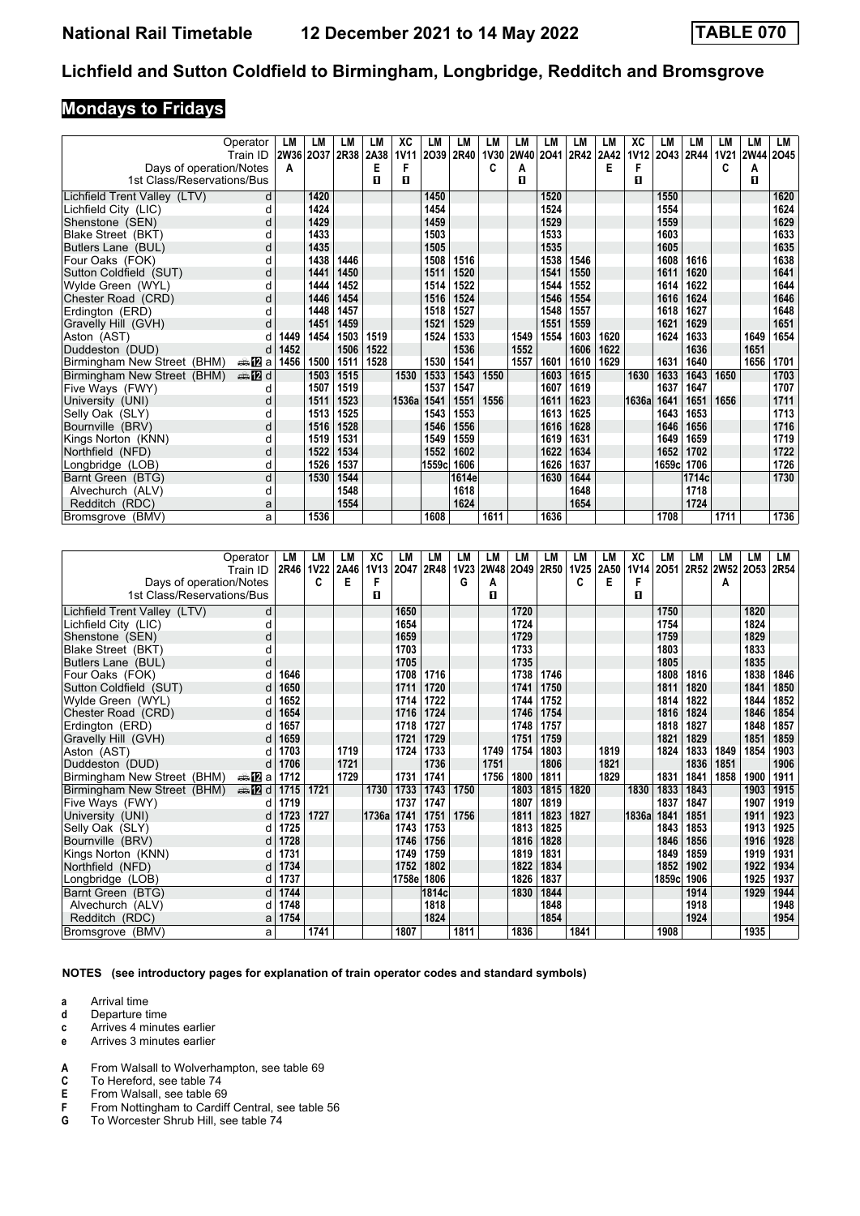# **Mondays to Fridays**

|                              | Operator               | LМ        | LМ   | LМ   | LM   | XC          | LM    | LM    | LM          | LМ   | LM        | LM   | LM   | ХC    | LM             | <b>LM</b> | LM          | LM        | LM   |
|------------------------------|------------------------|-----------|------|------|------|-------------|-------|-------|-------------|------|-----------|------|------|-------|----------------|-----------|-------------|-----------|------|
|                              | Train ID               | 2W36 2O37 |      | 2R38 | 2A38 | <b>1V11</b> | 2039  | 2R40  | <b>1V30</b> |      | 2W40 2O41 | 2R42 | 2A42 |       | 1V12 2043 2R44 |           | <b>1V21</b> | 2W44 2045 |      |
| Days of operation/Notes      |                        | A         |      |      | Е    | F           |       |       | c           | А    |           |      | E    | F     |                |           | c           | Α         |      |
| 1st Class/Reservations/Bus   |                        |           |      |      | П    | п           |       |       |             | п    |           |      |      | п     |                |           |             | п         |      |
| Lichfield Trent Valley (LTV) | d                      |           | 1420 |      |      |             | 1450  |       |             |      | 1520      |      |      |       | 1550           |           |             |           | 1620 |
| Lichfield City (LIC)         | d                      |           | 1424 |      |      |             | 1454  |       |             |      | 1524      |      |      |       | 1554           |           |             |           | 1624 |
| Shenstone (SEN)              | C                      |           | 1429 |      |      |             | 1459  |       |             |      | 1529      |      |      |       | 1559           |           |             |           | 1629 |
| Blake Street (BKT)           | d                      |           | 1433 |      |      |             | 1503  |       |             |      | 1533      |      |      |       | 1603           |           |             |           | 1633 |
| Butlers Lane (BUL)           | d                      |           | 1435 |      |      |             | 1505  |       |             |      | 1535      |      |      |       | 1605           |           |             |           | 1635 |
| Four Oaks (FOK)              | d                      |           | 1438 | 1446 |      |             | 1508  | 1516  |             |      | 1538      | 1546 |      |       | 1608           | 1616      |             |           | 1638 |
| Sutton Coldfield (SUT)       | d                      |           | 1441 | 1450 |      |             | 1511  | 1520  |             |      | 1541      | 1550 |      |       | 1611           | 1620      |             |           | 1641 |
| Wylde Green (WYL)            |                        |           | 1444 | 1452 |      |             | 1514  | 1522  |             |      | 1544      | 1552 |      |       | 1614           | 1622      |             |           | 1644 |
| Chester Road (CRD)           | d                      |           | 1446 | 1454 |      |             | 1516  | 1524  |             |      | 1546      | 1554 |      |       | 1616           | 1624      |             |           | 1646 |
| Erdinaton (ERD)              | d                      |           | 1448 | 1457 |      |             | 1518  | 1527  |             |      | 1548      | 1557 |      |       | 1618           | 1627      |             |           | 1648 |
| Gravelly Hill (GVH)          | d                      |           | 1451 | 1459 |      |             | 1521  | 1529  |             |      | 1551      | 1559 |      |       | 1621           | 1629      |             |           | 1651 |
| Aston (AST)                  |                        | 1449      | 1454 | 1503 | 1519 |             | 1524  | 1533  |             | 1549 | 1554      | 1603 | 1620 |       | 1624           | 1633      |             | 1649      | 1654 |
| Duddeston (DUD)              | d                      | 1452      |      | 1506 | 1522 |             |       | 1536  |             | 1552 |           | 1606 | 1622 |       |                | 1636      |             | 1651      |      |
| Birmingham New Street (BHM)  | ana <mark>na</mark> ⊡a | 1456      | 1500 | 1511 | 1528 |             | 1530  | 1541  |             | 1557 | 1601      | 1610 | 1629 |       | 1631           | 1640      |             | 1656      | 1701 |
| Birmingham New Street (BHM)  | <b>⊯ 12</b> d          |           | 1503 | 1515 |      | 1530        | 1533  | 1543  | 1550        |      | 1603      | 1615 |      | 1630  | 1633           | 1643      | 1650        |           | 1703 |
| Five Ways (FWY)              | d                      |           | 1507 | 1519 |      |             | 1537  | 1547  |             |      | 1607      | 1619 |      |       | 1637           | 1647      |             |           | 1707 |
| University (UNI)             | d                      |           | 1511 | 1523 |      | 1536a       | 1541  | 1551  | 1556        |      | 1611      | 1623 |      | 1636a | 1641           | 1651      | 1656        |           | 1711 |
| Selly Oak (SLY)              |                        |           | 1513 | 1525 |      |             | 1543  | 1553  |             |      | 1613      | 1625 |      |       | 1643           | 1653      |             |           | 1713 |
| Bournville (BRV)             | d                      |           | 1516 | 1528 |      |             | 1546  | 1556  |             |      | 1616      | 1628 |      |       | 1646           | 1656      |             |           | 1716 |
| Kings Norton (KNN)           | d                      |           | 1519 | 1531 |      |             | 1549  | 1559  |             |      | 1619      | 1631 |      |       | 1649           | 1659      |             |           | 1719 |
| Northfield (NFD)             | d                      |           | 1522 | 1534 |      |             | 1552  | 1602  |             |      | 1622      | 1634 |      |       | 1652           | 1702      |             |           | 1722 |
| Longbridge (LOB)             | d                      |           | 1526 | 1537 |      |             | 1559c | 1606  |             |      | 1626      | 1637 |      |       | 1659c          | 1706      |             |           | 1726 |
| Barnt Green (BTG)            | d                      |           | 1530 | 1544 |      |             |       | 1614e |             |      | 1630      | 1644 |      |       |                | 1714c     |             |           | 1730 |
| Alvechurch (ALV)             | d                      |           |      | 1548 |      |             |       | 1618  |             |      |           | 1648 |      |       |                | 1718      |             |           |      |
| Redditch (RDC)               | a                      |           |      | 1554 |      |             |       | 1624  |             |      |           | 1654 |      |       |                | 1724      |             |           |      |
| Bromsgrove (BMV)             | a                      |           | 1536 |      |      |             | 1608  |       | 1611        |      | 1636      |      |      |       | 1708           |           | 1711        |           | 1736 |

|                              | Operator               | LM   | LM          | LM   | ХC          | LM     | LM          | LM   | LM          | LM   | LM   | LM          | LM   | ХC          | LM     | LM   | LM        | LM   | LM   |
|------------------------------|------------------------|------|-------------|------|-------------|--------|-------------|------|-------------|------|------|-------------|------|-------------|--------|------|-----------|------|------|
|                              | Train ID               | 2R46 | <b>1V22</b> | 2A46 | <b>1V13</b> | 2047   | <b>2R48</b> | 1V23 | <b>2W48</b> | 2049 | 2R50 | <b>1V25</b> | 2A50 | <b>1V14</b> | 2051   |      | 2R52 2W52 | 2053 | 2R54 |
| Days of operation/Notes      |                        |      | C           | Е    | F           |        |             | G    | А           |      |      | c           | Е    | F           |        |      | A         |      |      |
| 1st Class/Reservations/Bus   |                        |      |             |      | п           |        |             |      | п           |      |      |             |      | п           |        |      |           |      |      |
| Lichfield Trent Valley (LTV) | d                      |      |             |      |             | 1650   |             |      |             | 1720 |      |             |      |             | 1750   |      |           | 1820 |      |
| Lichfield City (LIC)         | d                      |      |             |      |             | 1654   |             |      |             | 1724 |      |             |      |             | 1754   |      |           | 1824 |      |
| Shenstone (SEN)              | d                      |      |             |      |             | 1659   |             |      |             | 1729 |      |             |      |             | 1759   |      |           | 1829 |      |
| Blake Street (BKT)           |                        |      |             |      |             | 1703   |             |      |             | 1733 |      |             |      |             | 1803   |      |           | 1833 |      |
| Butlers Lane (BUL)           | d                      |      |             |      |             | 1705   |             |      |             | 1735 |      |             |      |             | 1805   |      |           | 1835 |      |
| Four Oaks (FOK)              |                        | 1646 |             |      |             | 1708   | 1716        |      |             | 1738 | 1746 |             |      |             | 1808   | 1816 |           | 1838 | 1846 |
| Sutton Coldfield (SUT)       |                        | 1650 |             |      |             | 1711   | 1720        |      |             | 1741 | 1750 |             |      |             | 1811   | 1820 |           | 1841 | 1850 |
| Wylde Green (WYL)            |                        | 1652 |             |      |             | 1714   | 1722        |      |             | 1744 | 1752 |             |      |             | 1814   | 1822 |           | 1844 | 1852 |
| Chester Road (CRD)           |                        | 1654 |             |      |             | 1716   | 1724        |      |             | 1746 | 1754 |             |      |             | 1816   | 1824 |           | 1846 | 1854 |
| Erdington (ERD)              |                        | 1657 |             |      |             | 1718   | 1727        |      |             | 1748 | 1757 |             |      |             | 1818   | 1827 |           | 1848 | 1857 |
| Gravelly Hill (GVH)          |                        | 1659 |             |      |             | 1721   | 1729        |      |             | 1751 | 1759 |             |      |             | 1821   | 1829 |           | 1851 | 1859 |
| Aston (AST)                  |                        | 1703 |             | 1719 |             | 1724   | 1733        |      | 1749        | 1754 | 1803 |             | 1819 |             | 1824   | 1833 | 1849      | 1854 | 1903 |
| Duddeston (DUD)              | d                      | 1706 |             | 1721 |             |        | 1736        |      | 1751        |      | 1806 |             | 1821 |             |        | 1836 | 1851      |      | 1906 |
| Birmingham New Street (BHM)  | ana <mark>na</mark> ⊡a | 1712 |             | 1729 |             | 1731   | 1741        |      | 1756        | 1800 | 1811 |             | 1829 |             | 1831   | 1841 | 1858      | 1900 | 1911 |
| Birmingham New Street (BHM)  | dina na manda di       | 1715 | 1721        |      | 1730        | 1733   | 1743        | 1750 |             | 1803 | 1815 | 1820        |      | 1830        | 1833   | 1843 |           | 1903 | 1915 |
| Five Ways (FWY)              | d                      | 1719 |             |      |             | 1737   | 1747        |      |             | 1807 | 1819 |             |      |             | 1837   | 1847 |           | 1907 | 1919 |
| University (UNI)             | d                      | 1723 | 1727        |      | 1736a       | 1741   | 1751        | 1756 |             | 1811 | 1823 | 1827        |      | 1836a       | 1841   | 1851 |           | 1911 | 1923 |
| Selly Oak (SLY)              | d                      | 1725 |             |      |             | 1743   | 1753        |      |             | 1813 | 1825 |             |      |             | 1843   | 1853 |           | 1913 | 1925 |
| Bournville (BRV)             | d                      | 1728 |             |      |             | 1746   | 1756        |      |             | 1816 | 1828 |             |      |             | 1846   | 1856 |           | 1916 | 1928 |
| Kings Norton (KNN)           | d                      | 1731 |             |      |             | 1749   | 1759        |      |             | 1819 | 1831 |             |      |             | 1849   | 1859 |           | 1919 | 1931 |
| Northfield (NFD)             |                        | 1734 |             |      |             | 1752   | 1802        |      |             | 1822 | 1834 |             |      |             | 1852   | 1902 |           | 1922 | 1934 |
| Longbridge (LOB)             | d                      | 1737 |             |      |             | 1758el | 1806        |      |             | 1826 | 1837 |             |      |             | 1859cl | 1906 |           | 1925 | 1937 |
| Barnt Green (BTG)            |                        | 1744 |             |      |             |        | 1814c       |      |             | 1830 | 1844 |             |      |             |        | 1914 |           | 1929 | 1944 |
| Alvechurch (ALV)             | d                      | 1748 |             |      |             |        | 1818        |      |             |      | 1848 |             |      |             |        | 1918 |           |      | 1948 |
| Redditch (RDC)               | a                      | 1754 |             |      |             |        | 1824        |      |             |      | 1854 |             |      |             |        | 1924 |           |      | 1954 |
| Bromsgrove (BMV)             | a                      |      | 1741        |      |             | 1807   |             | 1811 |             | 1836 |      | 1841        |      |             | 1908   |      |           | 1935 |      |

**NOTES (see introductory pages for explanation of train operator codes and standard symbols)**

- **d** Departure time
- **c** Arrives 4 minutes earlier
- **e** Arrives 3 minutes earlier
- **4** From Walsall to Wolverhampton, see table 69 **C** To Hereford, see table 74
- **C** To Hereford, see table 74<br>**E** From Walsall, see table 69
- 
- **E** From Walsall, see table 69<br>**F** From Nottingham to Cardif<br>**G** To Worcester Shrub Hill, se From Nottingham to Cardiff Central, see table 56
- To Worcester Shrub Hill, see table 74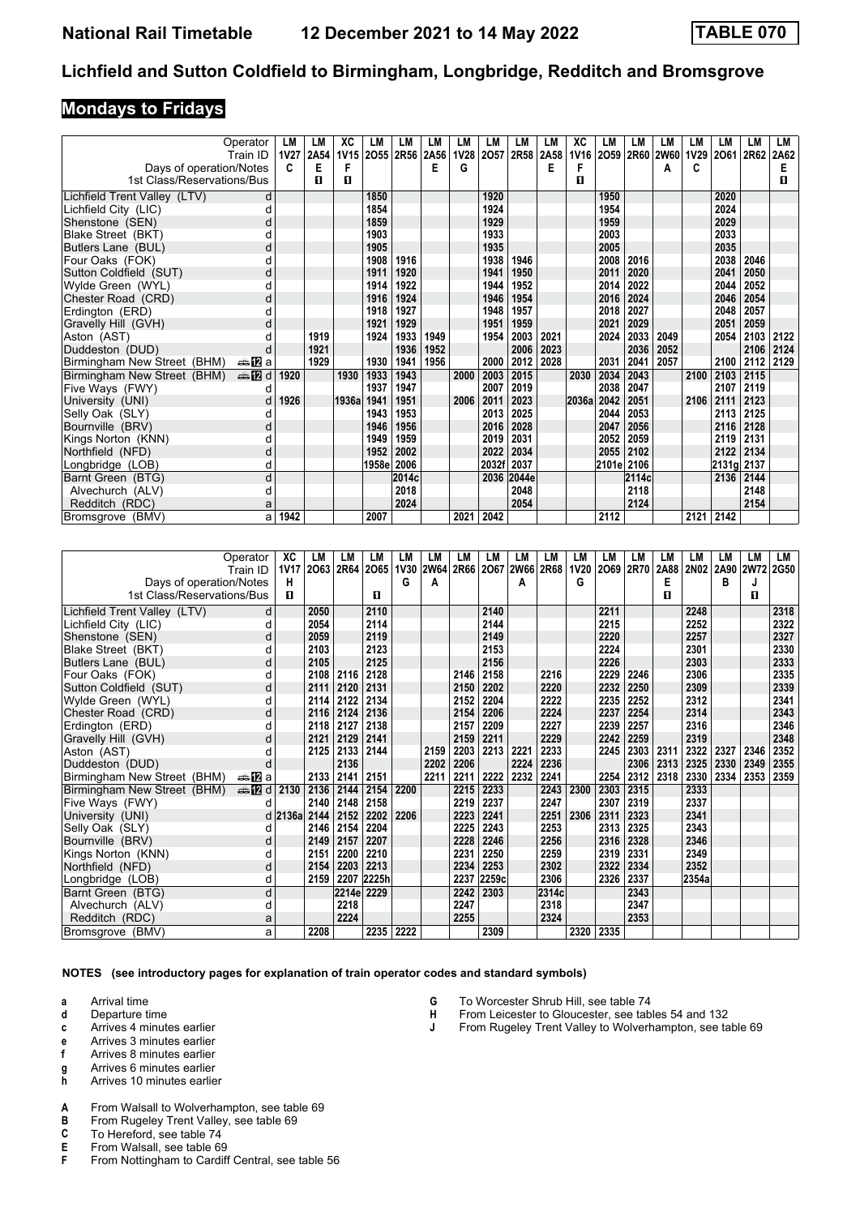#### **Mondays to Fridays**

|                              | Operator | LМ          | LM   | XC               | LM    | LM             | LM   | LM          | LM    | LM    | LM        | XC    | LM         | <b>LM</b> | LM        | <b>LM</b>   | LМ         | LM   | LM   |
|------------------------------|----------|-------------|------|------------------|-------|----------------|------|-------------|-------|-------|-----------|-------|------------|-----------|-----------|-------------|------------|------|------|
|                              | Train ID | <b>1V27</b> | 2A54 | 1V <sub>15</sub> |       | 2055 2R56 2A56 |      | <b>1V28</b> | 2057  |       | 2R58 2A58 | 1V16  | 2059       |           | 2R60 2W60 | <b>1V29</b> | 2061       | 2R62 | 2A62 |
| Days of operation/Notes      |          | c           | E    | F                |       |                | E    | G           |       |       | Е         | F     |            |           | А         | C           |            |      | E    |
| 1st Class/Reservations/Bus   |          |             | п    | п                |       |                |      |             |       |       |           | п     |            |           |           |             |            |      | п    |
| Lichfield Trent Valley (LTV) | d        |             |      |                  | 1850  |                |      |             | 1920  |       |           |       | 1950       |           |           |             | 2020       |      |      |
| Lichfield City (LIC)         | d        |             |      |                  | 1854  |                |      |             | 1924  |       |           |       | 1954       |           |           |             | 2024       |      |      |
| Shenstone (SEN)              |          |             |      |                  | 1859  |                |      |             | 1929  |       |           |       | 1959       |           |           |             | 2029       |      |      |
| Blake Street (BKT)           |          |             |      |                  | 1903  |                |      |             | 1933  |       |           |       | 2003       |           |           |             | 2033       |      |      |
| Butlers Lane (BUL)           | C        |             |      |                  | 1905  |                |      |             | 1935  |       |           |       | 2005       |           |           |             | 2035       |      |      |
| Four Oaks (FOK)              |          |             |      |                  | 1908  | 1916           |      |             | 1938  | 1946  |           |       | 2008       | 2016      |           |             | 2038       | 2046 |      |
| Sutton Coldfield (SUT)       | C        |             |      |                  | 1911  | 1920           |      |             | 1941  | 1950  |           |       | 2011       | 2020      |           |             | 2041       | 2050 |      |
| Wylde Green (WYL)            |          |             |      |                  | 1914  | 1922           |      |             | 1944  | 1952  |           |       | 2014       | 2022      |           |             | 2044       | 2052 |      |
| Chester Road (CRD)           | d        |             |      |                  | 1916  | 1924           |      |             | 1946  | 1954  |           |       | 2016       | 2024      |           |             | 2046       | 2054 |      |
| Erdington (ERD)              |          |             |      |                  | 1918  | 1927           |      |             | 1948  | 1957  |           |       | 2018       | 2027      |           |             | 2048       | 2057 |      |
| Gravelly Hill (GVH)          |          |             |      |                  | 1921  | 1929           |      |             | 1951  | 1959  |           |       | 2021       | 2029      |           |             | 2051       | 2059 |      |
| Aston (AST)                  |          |             | 1919 |                  | 1924  | 1933           | 1949 |             | 1954  | 2003  | 2021      |       | 2024       | 2033      | 2049      |             | 2054       | 2103 | 2122 |
| Duddeston (DUD)              |          |             | 1921 |                  |       | 1936           | 1952 |             |       | 2006  | 2023      |       |            | 2036      | 2052      |             |            | 2106 | 2124 |
| Birmingham New Street (BHM)  | anaDa    |             | 1929 |                  | 1930  | 1941           | 1956 |             | 2000  | 2012  | 2028      |       | 2031       | 2041      | 2057      |             | 2100       | 2112 | 2129 |
| Birmingham New Street (BHM)  |          | 1920        |      | 1930             | 1933  | 1943           |      | 2000        | 2003  | 2015  |           | 2030  | 2034       | 2043      |           | 2100        | 2103       | 2115 |      |
| Five Ways (FWY)              |          |             |      |                  | 1937  | 1947           |      |             | 2007  | 2019  |           |       | 2038       | 2047      |           |             | 2107       | 2119 |      |
| University (UNI)             | d        | 1926        |      | 1936a            | 1941  | 1951           |      | 2006        | 2011  | 2023  |           | 2036a | 2042       | 2051      |           | 2106        | 2111       | 2123 |      |
| Selly Oak (SLY)              |          |             |      |                  | 1943  | 1953           |      |             | 2013  | 2025  |           |       | 2044       | 2053      |           |             | 2113       | 2125 |      |
| Bournville (BRV)             | d        |             |      |                  | 1946  | 1956           |      |             | 2016  | 2028  |           |       | 2047       | 2056      |           |             | 2116       | 2128 |      |
| Kings Norton (KNN)           | d        |             |      |                  | 1949  | 1959           |      |             | 2019  | 2031  |           |       | 2052       | 2059      |           |             | 2119       | 2131 |      |
| Northfield (NFD)             | d        |             |      |                  | 1952  | 2002           |      |             | 2022  | 2034  |           |       | 2055       | 2102      |           |             | 2122       | 2134 |      |
| Longbridge (LOB)             | d        |             |      |                  | 1958e | 2006           |      |             | 2032f | 2037  |           |       | 2101e 2106 |           |           |             | 2131g 2137 |      |      |
| Barnt Green (BTG)            | d        |             |      |                  |       | 2014c          |      |             | 2036  | 2044e |           |       |            | 2114c     |           |             | 2136       | 2144 |      |
| Alvechurch (ALV)             | d        |             |      |                  |       | 2018           |      |             |       | 2048  |           |       |            | 2118      |           |             |            | 2148 |      |
| Redditch (RDC)               | a        |             |      |                  |       | 2024           |      |             |       | 2054  |           |       |            | 2124      |           |             |            | 2154 |      |
| Bromsgrove (BMV)             | a        | 1942        |      |                  | 2007  |                |      | 2021        | 2042  |       |           |       | 2112       |           |           | 2121        | 2142       |      |      |

|                              | Operator               | XC           | LM   | LM          | LM    | LM   | LM        | LM   | LM    | LM   | LM        | LM          | LM   | LM   | LM   | LM    | LМ   | LM          | LM   |
|------------------------------|------------------------|--------------|------|-------------|-------|------|-----------|------|-------|------|-----------|-------------|------|------|------|-------|------|-------------|------|
|                              | Train ID               | <b>1V17</b>  | 2063 | <b>2R64</b> | 2065  |      | 1V30 2W64 | 2R66 | 2067  |      | 2W66 2R68 | <b>1V20</b> | 2069 | 2R70 | 2A88 | 2N02  | 2A90 | <b>2W72</b> | 2G50 |
| Days of operation/Notes      |                        | н            |      |             |       | G    | А         |      |       | A    |           | G           |      |      | Е    |       | в    |             |      |
| 1st Class/Reservations/Bus   |                        | п            |      |             | П     |      |           |      |       |      |           |             |      |      | п    |       |      | п           |      |
| Lichfield Trent Valley (LTV) | d                      |              | 2050 |             | 2110  |      |           |      | 2140  |      |           |             | 2211 |      |      | 2248  |      |             | 2318 |
| Lichfield City (LIC)         | d                      |              | 2054 |             | 2114  |      |           |      | 2144  |      |           |             | 2215 |      |      | 2252  |      |             | 2322 |
| Shenstone (SEN)              | d                      |              | 2059 |             | 2119  |      |           |      | 2149  |      |           |             | 2220 |      |      | 2257  |      |             | 2327 |
| Blake Street (BKT)           | d                      |              | 2103 |             | 2123  |      |           |      | 2153  |      |           |             | 2224 |      |      | 2301  |      |             | 2330 |
| Butlers Lane (BUL)           | d                      |              | 2105 |             | 2125  |      |           |      | 2156  |      |           |             | 2226 |      |      | 2303  |      |             | 2333 |
| Four Oaks (FOK)              | d                      |              | 2108 | 2116        | 2128  |      |           | 2146 | 2158  |      | 2216      |             | 2229 | 2246 |      | 2306  |      |             | 2335 |
| Sutton Coldfield (SUT)       | d                      |              | 2111 | 2120        | 2131  |      |           | 2150 | 2202  |      | 2220      |             | 2232 | 2250 |      | 2309  |      |             | 2339 |
| Wylde Green (WYL)            | d                      |              | 2114 | 2122        | 2134  |      |           | 2152 | 2204  |      | 2222      |             | 2235 | 2252 |      | 2312  |      |             | 2341 |
| Chester Road (CRD)           | d                      |              | 2116 | 2124        | 2136  |      |           | 2154 | 2206  |      | 2224      |             | 2237 | 2254 |      | 2314  |      |             | 2343 |
| Erdington (ERD)              | d                      |              | 2118 | 2127        | 2138  |      |           | 2157 | 2209  |      | 2227      |             | 2239 | 2257 |      | 2316  |      |             | 2346 |
| Gravelly Hill (GVH)          | d                      |              | 2121 | 2129        | 2141  |      |           | 2159 | 2211  |      | 2229      |             | 2242 | 2259 |      | 2319  |      |             | 2348 |
| Aston (AST)                  | d                      |              | 2125 | 2133        | 2144  |      | 2159      | 2203 | 2213  | 2221 | 2233      |             | 2245 | 2303 | 2311 | 2322  | 2327 | 2346        | 2352 |
| Duddeston (DUD)              | d                      |              |      | 2136        |       |      | 2202      | 2206 |       | 2224 | 2236      |             |      | 2306 | 2313 | 2325  | 2330 | 2349        | 2355 |
| Birmingham New Street (BHM)  | ana <mark>na</mark> ⊡a |              | 2133 | 2141        | 2151  |      | 2211      | 2211 | 2222  | 2232 | 2241      |             | 2254 | 2312 | 2318 | 2330  | 2334 | 2353        | 2359 |
| Birmingham New Street (BHM)  | di <b>na</b> di        | 2130         | 2136 | 2144        | 2154  | 2200 |           | 2215 | 2233  |      | 2243      | 2300        | 2303 | 2315 |      | 2333  |      |             |      |
| Five Ways (FWY)              | d                      |              | 2140 | 2148        | 2158  |      |           | 2219 | 2237  |      | 2247      |             | 2307 | 2319 |      | 2337  |      |             |      |
| University (UNI)             |                        | d 2136a 2144 |      | 2152        | 2202  | 2206 |           | 2223 | 2241  |      | 2251      | 2306        | 2311 | 2323 |      | 2341  |      |             |      |
| Selly Oak (SLY)              | d                      |              | 2146 | 2154        | 2204  |      |           | 2225 | 2243  |      | 2253      |             | 2313 | 2325 |      | 2343  |      |             |      |
| Bournville (BRV)             | d                      |              | 2149 | 2157        | 2207  |      |           | 2228 | 2246  |      | 2256      |             | 2316 | 2328 |      | 2346  |      |             |      |
| Kings Norton (KNN)           | d                      |              | 2151 | 2200        | 2210  |      |           | 2231 | 2250  |      | 2259      |             | 2319 | 2331 |      | 2349  |      |             |      |
| Northfield (NFD)             | d                      |              | 2154 | 2203        | 2213  |      |           | 2234 | 2253  |      | 2302      |             | 2322 | 2334 |      | 2352  |      |             |      |
| Longbridge (LOB)             | d                      |              | 2159 | 2207        | 2225h |      |           | 2237 | 2259c |      | 2306      |             | 2326 | 2337 |      | 2354a |      |             |      |
| Barnt Green (BTG)            | d                      |              |      | 2214e       | 2229  |      |           | 2242 | 2303  |      | 2314c     |             |      | 2343 |      |       |      |             |      |
| Alvechurch (ALV)             | d                      |              |      | 2218        |       |      |           | 2247 |       |      | 2318      |             |      | 2347 |      |       |      |             |      |
| Redditch (RDC)               | a                      |              |      | 2224        |       |      |           | 2255 |       |      | 2324      |             |      | 2353 |      |       |      |             |      |
| Bromsgrove (BMV)             | a                      |              | 2208 |             | 2235  | 2222 |           |      | 2309  |      |           | 2320        | 2335 |      |      |       |      |             |      |

**NOTES (see introductory pages for explanation of train operator codes and standard symbols)**

- **d** Departure time
- **c** Arrives 4 minutes earlier
- **e** Arrives 3 minutes earlier
- **f** Arrives 8 minutes earlier
- **g** Arrives 6 minutes earlier
- **Arrives 10 minutes earlier**
- **A** From Walsall to Wolverhampton, see table 69<br>**B** From Rugelev Trent Valley, see table 69
- **B** From Rugeley Trent Valley, see table 69 **C** To Hereford, see table 74
- 
- **C** To Hereford, see table 74<br>**E** From Walsall, see table 69 **E** From Walsall, see table 69<br>**F** From Nottingham to Cardiff
- From Nottingham to Cardiff Central, see table 56
- **G** To Worcester Shrub Hill, see table 74
- **+** From Leicester to Gloucester, see tables 54 and 132<br>**+** From Rugeley Trent Valley to Wolverhampton, see ta
- From Rugeley Trent Valley to Wolverhampton, see table 69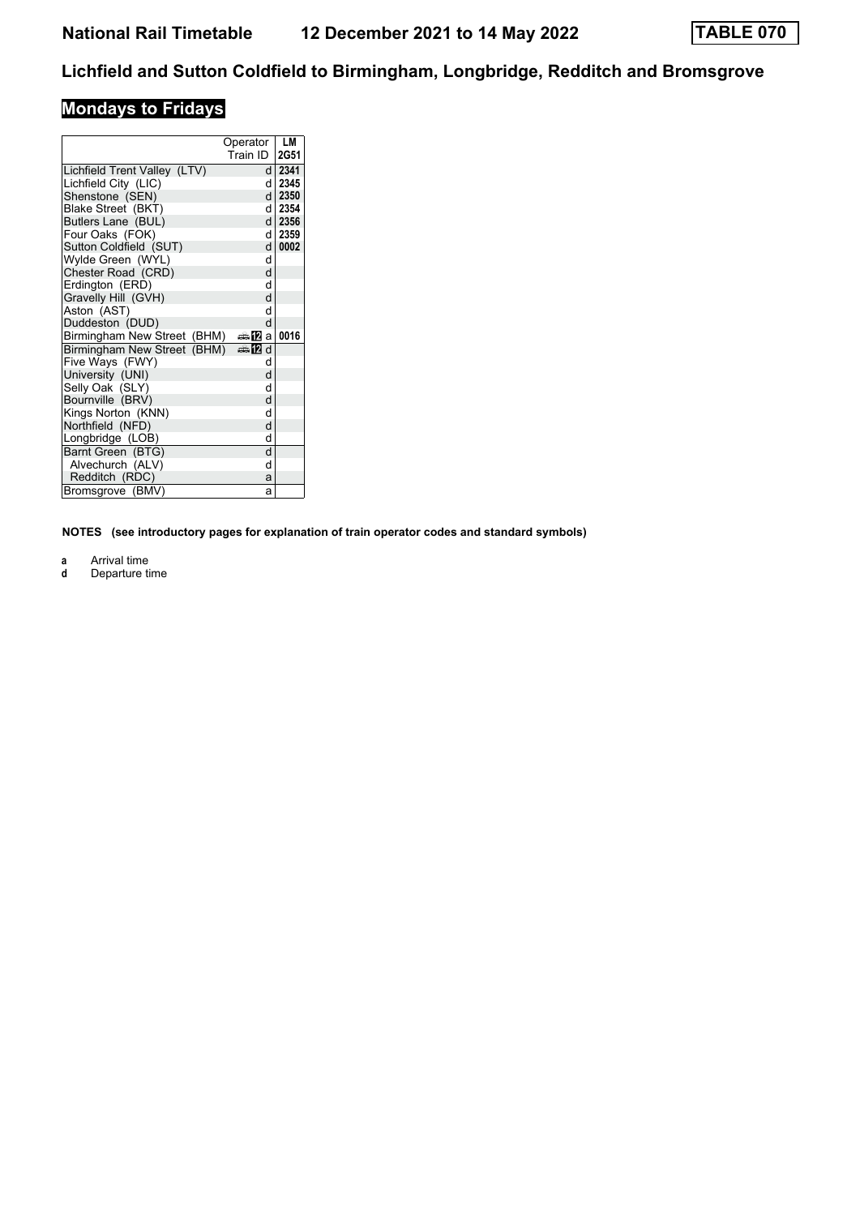# **Mondays to Fridays**

|                              | Operator<br>Train ID | LM<br>2G51 |
|------------------------------|----------------------|------------|
| Lichfield Trent Valley (LTV) | d l                  | 2341       |
| Lichfield City (LIC)         | d١                   | 2345       |
| Shenstone (SEN)              | d l                  | 2350       |
| Blake Street (BKT)           | d l                  | 2354       |
| Butlers Lane (BUL)           |                      | d 2356     |
| Four Oaks (FOK)              | d l                  | 2359       |
| Sutton Coldfield (SUT)       | d l                  | 0002       |
| Wylde Green (WYL)            | d                    |            |
| Chester Road (CRD)           | d                    |            |
| Erdington (ERD)              | d                    |            |
| Gravelly Hill (GVH)          | d                    |            |
| Aston (AST)                  | d                    |            |
| Duddeston (DUD)              | d                    |            |
| Birmingham New Street (BHM)  | —≗12la               | 0016       |
| Birmingham New Street (BHM)  | dan⊞                 |            |
| Five Ways (FWY)              | d                    |            |
| University (UNI)             | d                    |            |
| Selly Oak (SLY)              | d                    |            |
| Bournville (BRV)             | d                    |            |
| Kings Norton (KNN)           | d                    |            |
| Northfield (NFD)             | d                    |            |
| Longbridge (LOB)             | d                    |            |
| Barnt Green (BTG)            | d                    |            |
| Alvechurch (ALV)             | d                    |            |
| Redditch (RDC)               | a                    |            |
| Bromsgrove (BMV)             | a                    |            |

**NOTES (see introductory pages for explanation of train operator codes and standard symbols)**

**a** Arrival time

**d** Departure time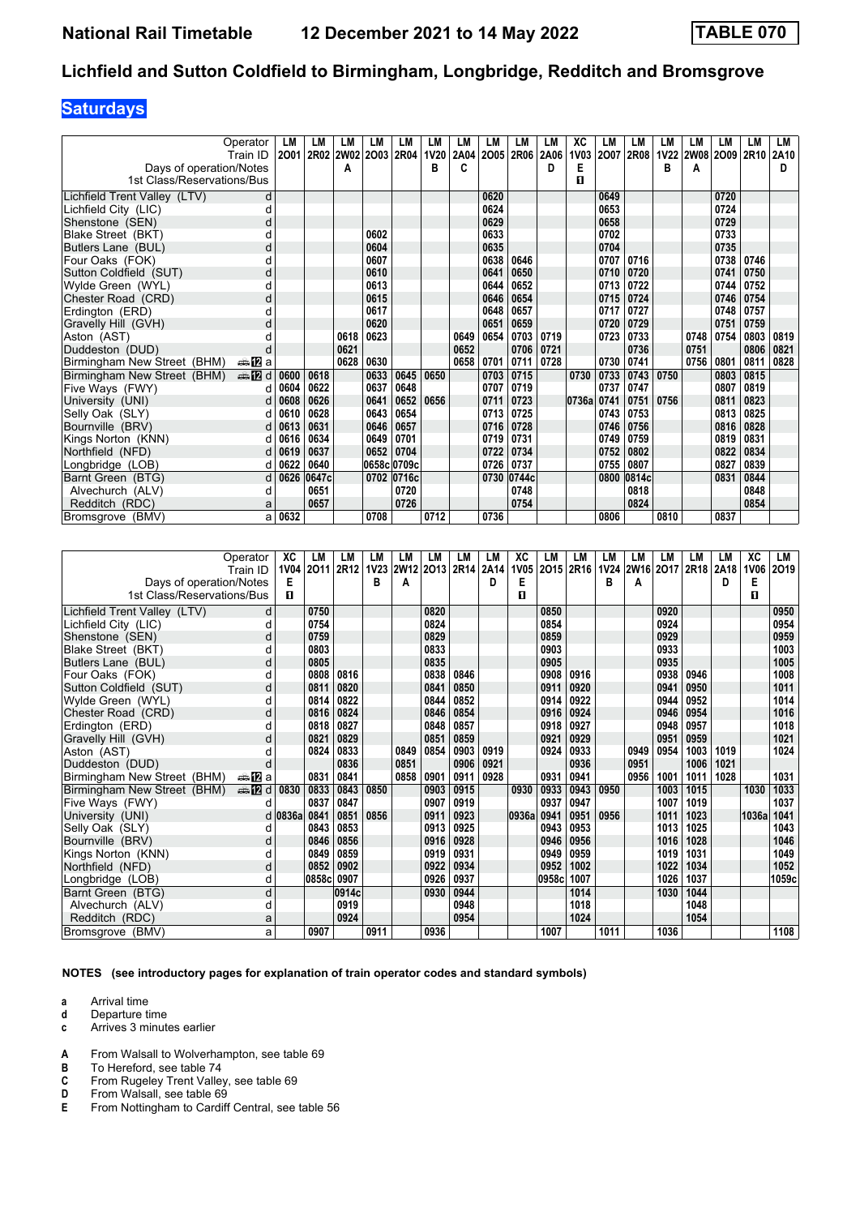## **Saturdays**

|                              | Operator               | LM   | LM    | LМ   | LM          | LM         | LM          | LM   | LM   | LМ         | LM   | ХC          | LM   | LM         | LM          | <b>LM</b> | LM        | LM   | LM   |
|------------------------------|------------------------|------|-------|------|-------------|------------|-------------|------|------|------------|------|-------------|------|------------|-------------|-----------|-----------|------|------|
|                              | Train ID               | 2001 | 2R02  | 2W02 | 2003        | 2R04       | <b>1V20</b> | 2A04 | 2005 | 2R06       | 2A06 | <b>1V03</b> | 2007 | 2R08       | <b>1V22</b> |           | 2W08 2O09 | 2R10 | 2A10 |
| Days of operation/Notes      |                        |      |       | A    |             |            | в           | c    |      |            | D    | Е           |      |            | в           | Α         |           |      | D    |
| 1st Class/Reservations/Bus   |                        |      |       |      |             |            |             |      |      |            |      | п           |      |            |             |           |           |      |      |
| Lichfield Trent Valley (LTV) | d                      |      |       |      |             |            |             |      | 0620 |            |      |             | 0649 |            |             |           | 0720      |      |      |
| Lichfield City (LIC)         | d                      |      |       |      |             |            |             |      | 0624 |            |      |             | 0653 |            |             |           | 0724      |      |      |
| Shenstone (SEN)              | d                      |      |       |      |             |            |             |      | 0629 |            |      |             | 0658 |            |             |           | 0729      |      |      |
| Blake Street (BKT)           | d                      |      |       |      | 0602        |            |             |      | 0633 |            |      |             | 0702 |            |             |           | 0733      |      |      |
| Butlers Lane (BUL)           | d                      |      |       |      | 0604        |            |             |      | 0635 |            |      |             | 0704 |            |             |           | 0735      |      |      |
| Four Oaks (FOK)              | d                      |      |       |      | 0607        |            |             |      | 0638 | 0646       |      |             | 0707 | 0716       |             |           | 0738      | 0746 |      |
| Sutton Coldfield (SUT)       | d                      |      |       |      | 0610        |            |             |      | 0641 | 0650       |      |             | 0710 | 0720       |             |           | 0741      | 0750 |      |
| Wylde Green (WYL)            | d                      |      |       |      | 0613        |            |             |      | 0644 | 0652       |      |             | 0713 | 0722       |             |           | 0744      | 0752 |      |
| Chester Road (CRD)           | d                      |      |       |      | 0615        |            |             |      | 0646 | 0654       |      |             | 0715 | 0724       |             |           | 0746      | 0754 |      |
| Erdington (ERD)              | U                      |      |       |      | 0617        |            |             |      | 0648 | 0657       |      |             | 0717 | 0727       |             |           | 0748      | 0757 |      |
| Gravelly Hill (GVH)          | d                      |      |       |      | 0620        |            |             |      | 0651 | 0659       |      |             | 0720 | 0729       |             |           | 0751      | 0759 |      |
| Aston (AST)                  | d                      |      |       | 0618 | 0623        |            |             | 0649 | 0654 | 0703       | 0719 |             | 0723 | 0733       |             | 0748      | 0754      | 0803 | 0819 |
| Duddeston (DUD)              | d                      |      |       | 0621 |             |            |             | 0652 |      | 0706       | 0721 |             |      | 0736       |             | 0751      |           | 0806 | 0821 |
| Birmingham New Street (BHM)  | ana <mark>n</mark> ⊒ a |      |       | 0628 | 0630        |            |             | 0658 | 0701 | 0711       | 0728 |             | 0730 | 0741       |             | 0756      | 0801      | 0811 | 0828 |
| Birmingham New Street (BHM)  | $\oplus$ [2] d         | 0600 | 0618  |      | 0633        | 0645       | 0650        |      | 0703 | 0715       |      | 0730        | 0733 | 0743       | 0750        |           | 0803      | 0815 |      |
| Five Ways (FWY)              | d                      | 0604 | 0622  |      | 0637        | 0648       |             |      | 0707 | 0719       |      |             | 0737 | 0747       |             |           | 0807      | 0819 |      |
| University (UNI)             | d                      | 0608 | 0626  |      | 0641        | 0652       | 0656        |      | 0711 | 0723       |      | 0736a       | 0741 | 0751       | 0756        |           | 0811      | 0823 |      |
| Selly Oak (SLY)              | d                      | 0610 | 0628  |      | 0643        | 0654       |             |      | 0713 | 0725       |      |             | 0743 | 0753       |             |           | 0813      | 0825 |      |
| Bournville (BRV)             | d                      | 0613 | 0631  |      | 0646        | 0657       |             |      | 0716 | 0728       |      |             | 0746 | 0756       |             |           | 0816      | 0828 |      |
| Kings Norton (KNN)           | dl                     | 0616 | 0634  |      | 0649        | 0701       |             |      | 0719 | 0731       |      |             | 0749 | 0759       |             |           | 0819      | 0831 |      |
| Northfield (NFD)             | d                      | 0619 | 0637  |      | 0652        | 0704       |             |      | 0722 | 0734       |      |             | 0752 | 0802       |             |           | 0822      | 0834 |      |
| Longbridge (LOB)             | d                      | 0622 | 0640  |      | 0658c 0709c |            |             |      | 0726 | 0737       |      |             | 0755 | 0807       |             |           | 0827      | 0839 |      |
| Barnt Green (BTG)            | d                      | 0626 | 0647c |      |             | 0702 0716c |             |      |      | 0730 0744c |      |             |      | 0800 0814c |             |           | 0831      | 0844 |      |
| Alvechurch (ALV)             | d                      |      | 0651  |      |             | 0720       |             |      |      | 0748       |      |             |      | 0818       |             |           |           | 0848 |      |
| Redditch (RDC)               | a                      |      | 0657  |      |             | 0726       |             |      |      | 0754       |      |             |      | 0824       |             |           |           | 0854 |      |
| Bromsgrove (BMV)             | al                     | 0632 |       |      | 0708        |            | 0712        |      | 0736 |            |      |             | 0806 |            | 0810        |           | 0837      |      |      |

|                              | Operator                   | XC          | LM    | LМ    | LM   | LM   | LM             | LM   | LM   | XC          | LM    | LM          | LM   | LМ             | LM   | <b>LM</b> | LМ   | XC          | LM    |
|------------------------------|----------------------------|-------------|-------|-------|------|------|----------------|------|------|-------------|-------|-------------|------|----------------|------|-----------|------|-------------|-------|
|                              | Train ID                   | <b>1V04</b> | 2011  | 2R12  |      |      | 1V23 2W12 2O13 | 2R14 | 2A14 | <b>1V05</b> | 2015  | <b>2R16</b> |      | 1V24 2W16 2017 |      | 2R18      | 2A18 | <b>1V06</b> | 2019  |
| Days of operation/Notes      |                            | Е           |       |       | в    | А    |                |      | D    | Е           |       |             | в    | A              |      |           | D    | Е           |       |
| 1st Class/Reservations/Bus   |                            | п           |       |       |      |      |                |      |      | п           |       |             |      |                |      |           |      | п           |       |
| Lichfield Trent Valley (LTV) | d                          |             | 0750  |       |      |      | 0820           |      |      |             | 0850  |             |      |                | 0920 |           |      |             | 0950  |
| Lichfield City (LIC)         | d                          |             | 0754  |       |      |      | 0824           |      |      |             | 0854  |             |      |                | 0924 |           |      |             | 0954  |
| Shenstone (SEN)              | d                          |             | 0759  |       |      |      | 0829           |      |      |             | 0859  |             |      |                | 0929 |           |      |             | 0959  |
| Blake Street (BKT)           | d                          |             | 0803  |       |      |      | 0833           |      |      |             | 0903  |             |      |                | 0933 |           |      |             | 1003  |
| Butlers Lane (BUL)           | d                          |             | 0805  |       |      |      | 0835           |      |      |             | 0905  |             |      |                | 0935 |           |      |             | 1005  |
| Four Oaks (FOK)              | d                          |             | 0808  | 0816  |      |      | 0838           | 0846 |      |             | 0908  | 0916        |      |                | 0938 | 0946      |      |             | 1008  |
| Sutton Coldfield (SUT)       | d                          |             | 0811  | 0820  |      |      | 0841           | 0850 |      |             | 0911  | 0920        |      |                | 0941 | 0950      |      |             | 1011  |
| Wylde Green (WYL)            | d                          |             | 0814  | 0822  |      |      | 0844           | 0852 |      |             | 0914  | 0922        |      |                | 0944 | 0952      |      |             | 1014  |
| Chester Road (CRD)           | d                          |             | 0816  | 0824  |      |      | 0846           | 0854 |      |             | 0916  | 0924        |      |                | 0946 | 0954      |      |             | 1016  |
| Erdington (ERD)              | d                          |             | 0818  | 0827  |      |      | 0848           | 0857 |      |             | 0918  | 0927        |      |                | 0948 | 0957      |      |             | 1018  |
| Gravelly Hill (GVH)          | d                          |             | 0821  | 0829  |      |      | 0851           | 0859 |      |             | 0921  | 0929        |      |                | 0951 | 0959      |      |             | 1021  |
| Aston (AST)                  | d                          |             | 0824  | 0833  |      | 0849 | 0854           | 0903 | 0919 |             | 0924  | 0933        |      | 0949           | 0954 | 1003      | 1019 |             | 1024  |
| Duddeston (DUD)              | d                          |             |       | 0836  |      | 0851 |                | 0906 | 0921 |             |       | 0936        |      | 0951           |      | 1006      | 1021 |             |       |
| Birmingham New Street (BHM)  | dan <mark>n</mark> 2ia     |             | 0831  | 0841  |      | 0858 | 0901           | 0911 | 0928 |             | 0931  | 0941        |      | 0956           | 1001 | 1011      | 1028 |             | 1031  |
| Birmingham New Street (BHM)  | $\triangle \blacksquare$ d | 0830        | 0833  | 0843  | 0850 |      | 0903           | 0915 |      | 0930        | 0933  | 0943        | 0950 |                | 1003 | 1015      |      | 1030        | 1033  |
| Five Ways (FWY)              |                            |             | 0837  | 0847  |      |      | 0907           | 0919 |      |             | 0937  | 0947        |      |                | 1007 | 1019      |      |             | 1037  |
| University (UNI)             |                            | $d$ 0836a   | 0841  | 0851  | 0856 |      | 0911           | 0923 |      | 0936a       | 0941  | 0951        | 0956 |                | 1011 | 1023      |      | 1036a       | 1041  |
| Selly Oak (SLY)              | d                          |             | 0843  | 0853  |      |      | 0913           | 0925 |      |             | 0943  | 0953        |      |                | 1013 | 1025      |      |             | 1043  |
| Bournville (BRV)             | d                          |             | 0846  | 0856  |      |      | 0916           | 0928 |      |             | 0946  | 0956        |      |                | 1016 | 1028      |      |             | 1046  |
| Kings Norton (KNN)           | d                          |             | 0849  | 0859  |      |      | 0919           | 0931 |      |             | 0949  | 0959        |      |                | 1019 | 1031      |      |             | 1049  |
| Northfield (NFD)             | d                          |             | 0852  | 0902  |      |      | 0922           | 0934 |      |             | 0952  | 1002        |      |                | 1022 | 1034      |      |             | 1052  |
| Longbridge (LOB)             | d                          |             | 0858c | 0907  |      |      | 0926           | 0937 |      |             | 0958c | 1007        |      |                | 1026 | 1037      |      |             | 1059c |
| Barnt Green (BTG)            | d                          |             |       | 0914c |      |      | 0930           | 0944 |      |             |       | 1014        |      |                | 1030 | 1044      |      |             |       |
| Alvechurch (ALV)             | d                          |             |       | 0919  |      |      |                | 0948 |      |             |       | 1018        |      |                |      | 1048      |      |             |       |
| Redditch (RDC)               | a                          |             |       | 0924  |      |      |                | 0954 |      |             |       | 1024        |      |                |      | 1054      |      |             |       |
| Bromsgrove (BMV)             | a                          |             | 0907  |       | 0911 |      | 0936           |      |      |             | 1007  |             | 1011 |                | 1036 |           |      |             | 1108  |

**NOTES (see introductory pages for explanation of train operator codes and standard symbols)**

- **d** Departure time
- **c** Arrives 3 minutes earlier
- **A** From Walsall to Wolverhampton, see table 69
- 
- **B** To Hereford, see table 74<br>**C** From Rugeley Trent Valle **C** From Rugeley Trent Valley, see table 69<br>**D** From Walsall, see table 69
- **D** From Walsall, see table 69<br>**E** From Nottingham to Cardif
- From Nottingham to Cardiff Central, see table 56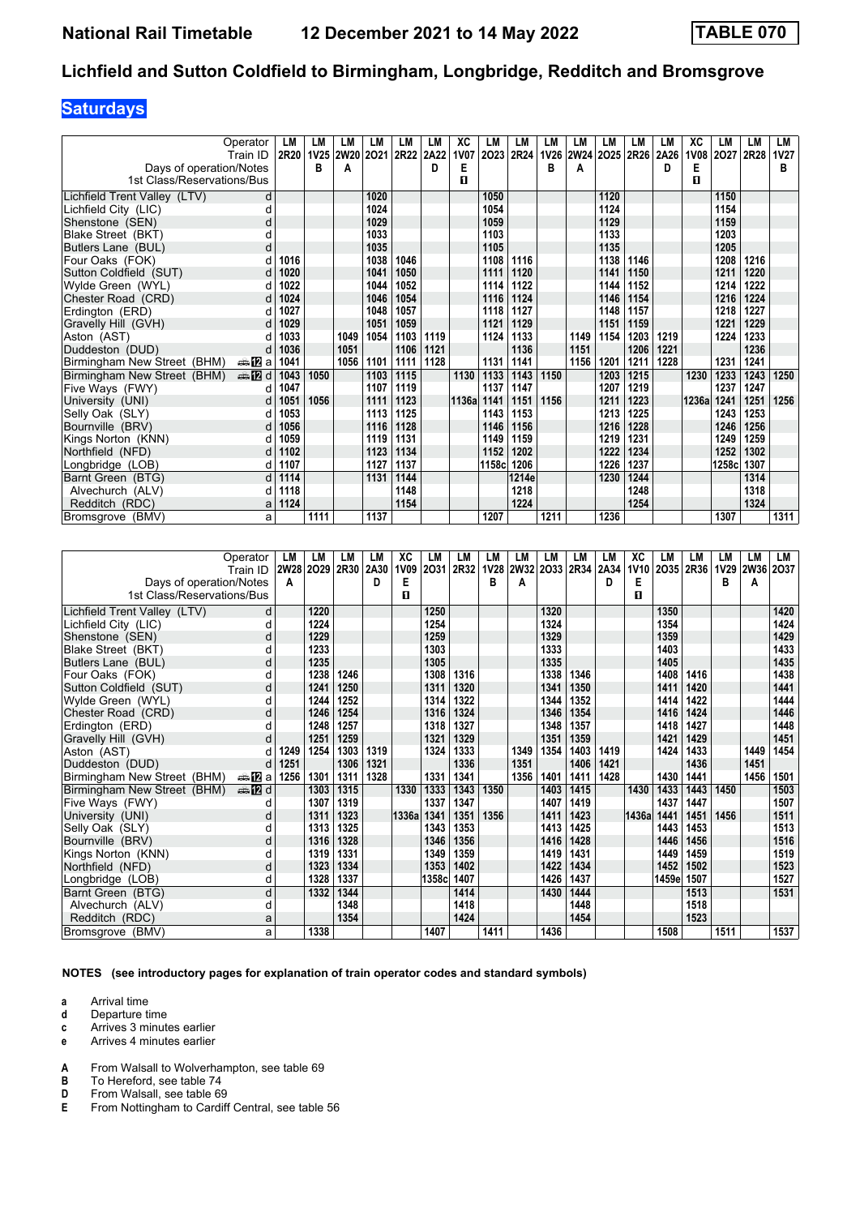## **Saturdays**

|                              | Operator               | LM   | LM          | LM   | LM   | LM   | LM   | ХC          | LM    | LM    | LM          | LM   | LM        | <b>LM</b> | LM   | XC          | LM    | LM   | LM          |
|------------------------------|------------------------|------|-------------|------|------|------|------|-------------|-------|-------|-------------|------|-----------|-----------|------|-------------|-------|------|-------------|
|                              | Train ID               | 2R20 | 1V25   2W20 |      | 2021 | 2R22 | 2A22 | <b>1V07</b> | 2023  | 2R24  | <b>1V26</b> |      | 2W24 2025 | 2R26      | 2A26 | <b>1V08</b> | 2027  | 2R28 | <b>1V27</b> |
| Days of operation/Notes      |                        |      | в           | A    |      |      | D    | E           |       |       | В           | A    |           |           | D    | Е           |       |      | в           |
| 1st Class/Reservations/Bus   |                        |      |             |      |      |      |      | п           |       |       |             |      |           |           |      | п           |       |      |             |
| Lichfield Trent Valley (LTV) | d                      |      |             |      | 1020 |      |      |             | 1050  |       |             |      | 1120      |           |      |             | 1150  |      |             |
| Lichfield City (LIC)         | d                      |      |             |      | 1024 |      |      |             | 1054  |       |             |      | 1124      |           |      |             | 1154  |      |             |
| Shenstone (SEN)              | d                      |      |             |      | 1029 |      |      |             | 1059  |       |             |      | 1129      |           |      |             | 1159  |      |             |
| Blake Street (BKT)           | d                      |      |             |      | 1033 |      |      |             | 1103  |       |             |      | 1133      |           |      |             | 1203  |      |             |
| Butlers Lane (BUL)           | d                      |      |             |      | 1035 |      |      |             | 1105  |       |             |      | 1135      |           |      |             | 1205  |      |             |
| Four Oaks (FOK)              | d                      | 1016 |             |      | 1038 | 1046 |      |             | 1108  | 1116  |             |      | 1138      | 1146      |      |             | 1208  | 1216 |             |
| Sutton Coldfield (SUT)       |                        | 1020 |             |      | 1041 | 1050 |      |             | 1111  | 1120  |             |      | 1141      | 1150      |      |             | 1211  | 1220 |             |
| Wylde Green (WYL)            |                        | 1022 |             |      | 1044 | 1052 |      |             | 1114  | 1122  |             |      | 1144      | 1152      |      |             | 1214  | 1222 |             |
| Chester Road (CRD)           |                        | 1024 |             |      | 1046 | 1054 |      |             | 1116  | 1124  |             |      | 1146      | 1154      |      |             | 1216  | 1224 |             |
| Erdinaton (ERD)              |                        | 1027 |             |      | 1048 | 1057 |      |             | 1118  | 1127  |             |      | 1148      | 1157      |      |             | 1218  | 1227 |             |
| Gravelly Hill (GVH)          | d                      | 1029 |             |      | 1051 | 1059 |      |             | 1121  | 1129  |             |      | 1151      | 1159      |      |             | 1221  | 1229 |             |
| Aston (AST)                  |                        | 1033 |             | 1049 | 1054 | 1103 | 1119 |             | 1124  | 1133  |             | 1149 | 1154      | 1203      | 1219 |             | 1224  | 1233 |             |
| Duddeston (DUD)              | d                      | 1036 |             | 1051 |      | 1106 | 1121 |             |       | 1136  |             | 1151 |           | 1206      | 1221 |             |       | 1236 |             |
| Birmingham New Street (BHM)  | dan <mark>ma</mark> Ωa | 1041 |             | 1056 | 1101 | 1111 | 1128 |             | 1131  | 1141  |             | 1156 | 1201      | 1211      | 1228 |             | 1231  | 1241 |             |
| Birmingham New Street (BHM)  | <b>en 12</b> d         | 1043 | 1050        |      | 1103 | 1115 |      | 1130        | 1133  | 1143  | 1150        |      | 1203      | 1215      |      | 1230        | 1233  | 1243 | 1250        |
| Five Ways (FWY)              | d                      | 1047 |             |      | 1107 | 1119 |      |             | 1137  | 1147  |             |      | 1207      | 1219      |      |             | 1237  | 1247 |             |
| University (UNI)             | d                      | 1051 | 1056        |      | 1111 | 1123 |      | 1136a       | 1141  | 1151  | 1156        |      | 1211      | 1223      |      | 1236a       | 1241  | 1251 | 1256        |
| Selly Oak (SLY)              | d                      | 1053 |             |      | 1113 | 1125 |      |             | 1143  | 1153  |             |      | 1213      | 1225      |      |             | 1243  | 1253 |             |
| Bournville (BRV)             | d                      | 1056 |             |      | 1116 | 1128 |      |             | 1146  | 1156  |             |      | 1216      | 1228      |      |             | 1246  | 1256 |             |
| Kings Norton (KNN)           | d                      | 1059 |             |      | 1119 | 1131 |      |             | 1149  | 1159  |             |      | 1219      | 1231      |      |             | 1249  | 1259 |             |
| Northfield (NFD)             |                        | 1102 |             |      | 1123 | 1134 |      |             | 1152  | 1202  |             |      | 1222      | 1234      |      |             | 1252  | 1302 |             |
| Longbridge (LOB)             | d                      | 1107 |             |      | 1127 | 1137 |      |             | 1158c | 1206  |             |      | 1226      | 1237      |      |             | 1258c | 1307 |             |
| Barnt Green (BTG)            | d                      | 1114 |             |      | 1131 | 1144 |      |             |       | 1214e |             |      | 1230      | 1244      |      |             |       | 1314 |             |
| Alvechurch (ALV)             | d                      | 1118 |             |      |      | 1148 |      |             |       | 1218  |             |      |           | 1248      |      |             |       | 1318 |             |
| Redditch (RDC)               | а                      | 1124 |             |      |      | 1154 |      |             |       | 1224  |             |      |           | 1254      |      |             |       | 1324 |             |
| Bromsgrove (BMV)             | a                      |      | 1111        |      | 1137 |      |      |             | 1207  |       | 1211        |      | 1236      |           |      |             | 1307  |      | 1311        |

|                              | Operator               | LM          | LM   | LМ   | LM   | XC          | LM     | LM   | LM          | LM   | LM        | LM   | LM   | ХC          | LM    | LM   | LM   | LM          | LM   |
|------------------------------|------------------------|-------------|------|------|------|-------------|--------|------|-------------|------|-----------|------|------|-------------|-------|------|------|-------------|------|
|                              | Train ID               | <b>2W28</b> | 2029 | 2R30 | 2A30 | <b>1V09</b> | 2031   | 2R32 | <b>1V28</b> |      | 2W32 2O33 | 2R34 | 2A34 | <b>1V10</b> | 2035  | 2R36 | 1V29 | <b>2W36</b> | 2037 |
| Days of operation/Notes      |                        | A           |      |      | D    | Е           |        |      | в           | A    |           |      | D    | Е           |       |      | в    | A           |      |
| 1st Class/Reservations/Bus   |                        |             |      |      |      | п           |        |      |             |      |           |      |      | п           |       |      |      |             |      |
| Lichfield Trent Valley (LTV) | d                      |             | 1220 |      |      |             | 1250   |      |             |      | 1320      |      |      |             | 1350  |      |      |             | 1420 |
| Lichfield City (LIC)         | U                      |             | 1224 |      |      |             | 1254   |      |             |      | 1324      |      |      |             | 1354  |      |      |             | 1424 |
| Shenstone (SEN)              | d                      |             | 1229 |      |      |             | 1259   |      |             |      | 1329      |      |      |             | 1359  |      |      |             | 1429 |
| Blake Street (BKT)           |                        |             | 1233 |      |      |             | 1303   |      |             |      | 1333      |      |      |             | 1403  |      |      |             | 1433 |
| Butlers Lane (BUL)           | d                      |             | 1235 |      |      |             | 1305   |      |             |      | 1335      |      |      |             | 1405  |      |      |             | 1435 |
| Four Oaks (FOK)              | d                      |             | 1238 | 1246 |      |             | 1308   | 1316 |             |      | 1338      | 1346 |      |             | 1408  | 1416 |      |             | 1438 |
| Sutton Coldfield (SUT)       | d                      |             | 1241 | 1250 |      |             | 1311   | 1320 |             |      | 1341      | 1350 |      |             | 1411  | 1420 |      |             | 1441 |
| Wylde Green (WYL)            | d                      |             | 1244 | 1252 |      |             | 1314   | 1322 |             |      | 1344      | 1352 |      |             | 1414  | 1422 |      |             | 1444 |
| Chester Road (CRD)           | d                      |             | 1246 | 1254 |      |             | 1316   | 1324 |             |      | 1346      | 1354 |      |             | 1416  | 1424 |      |             | 1446 |
| Erdington (ERD)              |                        |             | 1248 | 1257 |      |             | 1318   | 1327 |             |      | 1348      | 1357 |      |             | 1418  | 1427 |      |             | 1448 |
| Gravelly Hill (GVH)          |                        |             | 1251 | 1259 |      |             | 1321   | 1329 |             |      | 1351      | 1359 |      |             | 1421  | 1429 |      |             | 1451 |
| Aston (AST)                  |                        | 1249        | 1254 | 1303 | 1319 |             | 1324   | 1333 |             | 1349 | 1354      | 1403 | 1419 |             | 1424  | 1433 |      | 1449        | 1454 |
| Duddeston (DUD)              | d                      | 1251        |      | 1306 | 1321 |             |        | 1336 |             | 1351 |           | 1406 | 1421 |             |       | 1436 |      | 1451        |      |
| Birmingham New Street (BHM)  | ana <mark>na</mark> ⊡a | 1256        | 1301 | 1311 | 1328 |             | 1331   | 1341 |             | 1356 | 1401      | 1411 | 1428 |             | 1430  | 1441 |      | 1456        | 1501 |
| Birmingham New Street (BHM)  | <b>⊯ 12</b> d          |             | 1303 | 1315 |      | 1330        | 1333   | 1343 | 1350        |      | 1403      | 1415 |      | 1430        | 1433  | 1443 | 1450 |             | 1503 |
| Five Ways (FWY)              | U                      |             | 1307 | 1319 |      |             | 1337   | 1347 |             |      | 1407      | 1419 |      |             | 1437  | 1447 |      |             | 1507 |
| University (UNI)             | d                      |             | 1311 | 1323 |      | 1336a       | 1341   | 1351 | 1356        |      | 1411      | 1423 |      | 1436a       | 1441  | 1451 | 1456 |             | 1511 |
| Selly Oak (SLY)              |                        |             | 1313 | 1325 |      |             | 1343   | 1353 |             |      | 1413      | 1425 |      |             | 1443  | 1453 |      |             | 1513 |
| Bournville (BRV)             | d                      |             | 1316 | 1328 |      |             | 1346   | 1356 |             |      | 1416      | 1428 |      |             | 1446  | 1456 |      |             | 1516 |
| Kings Norton (KNN)           | d                      |             | 1319 | 1331 |      |             | 1349   | 1359 |             |      | 1419      | 1431 |      |             | 1449  | 1459 |      |             | 1519 |
| Northfield (NFD)             | d                      |             | 1323 | 1334 |      |             | 1353   | 1402 |             |      | 1422      | 1434 |      |             | 1452  | 1502 |      |             | 1523 |
| Longbridge (LOB)             | d                      |             | 1328 | 1337 |      |             | 1358cl | 1407 |             |      | 1426      | 1437 |      |             | 1459e | 1507 |      |             | 1527 |
| Barnt Green (BTG)            | d                      |             | 1332 | 1344 |      |             |        | 1414 |             |      | 1430      | 1444 |      |             |       | 1513 |      |             | 1531 |
| Alvechurch (ALV)             | d                      |             |      | 1348 |      |             |        | 1418 |             |      |           | 1448 |      |             |       | 1518 |      |             |      |
| Redditch (RDC)               | а                      |             |      | 1354 |      |             |        | 1424 |             |      |           | 1454 |      |             |       | 1523 |      |             |      |
| Bromsgrove (BMV)             | a                      |             | 1338 |      |      |             | 1407   |      | 1411        |      | 1436      |      |      |             | 1508  |      | 1511 |             | 1537 |

**NOTES (see introductory pages for explanation of train operator codes and standard symbols)**

- **d** Departure time
- **c** Arrives 3 minutes earlier
- **e** Arrives 4 minutes earlier
- **A** From Walsall to Wolverhampton, see table 69<br>**B** To Hereford, see table 74
- **B** To Hereford, see table 74<br>**D** From Walsall, see table 69
- **D** From Walsall, see table 69<br>**E** From Nottingham to Cardiff
- From Nottingham to Cardiff Central, see table 56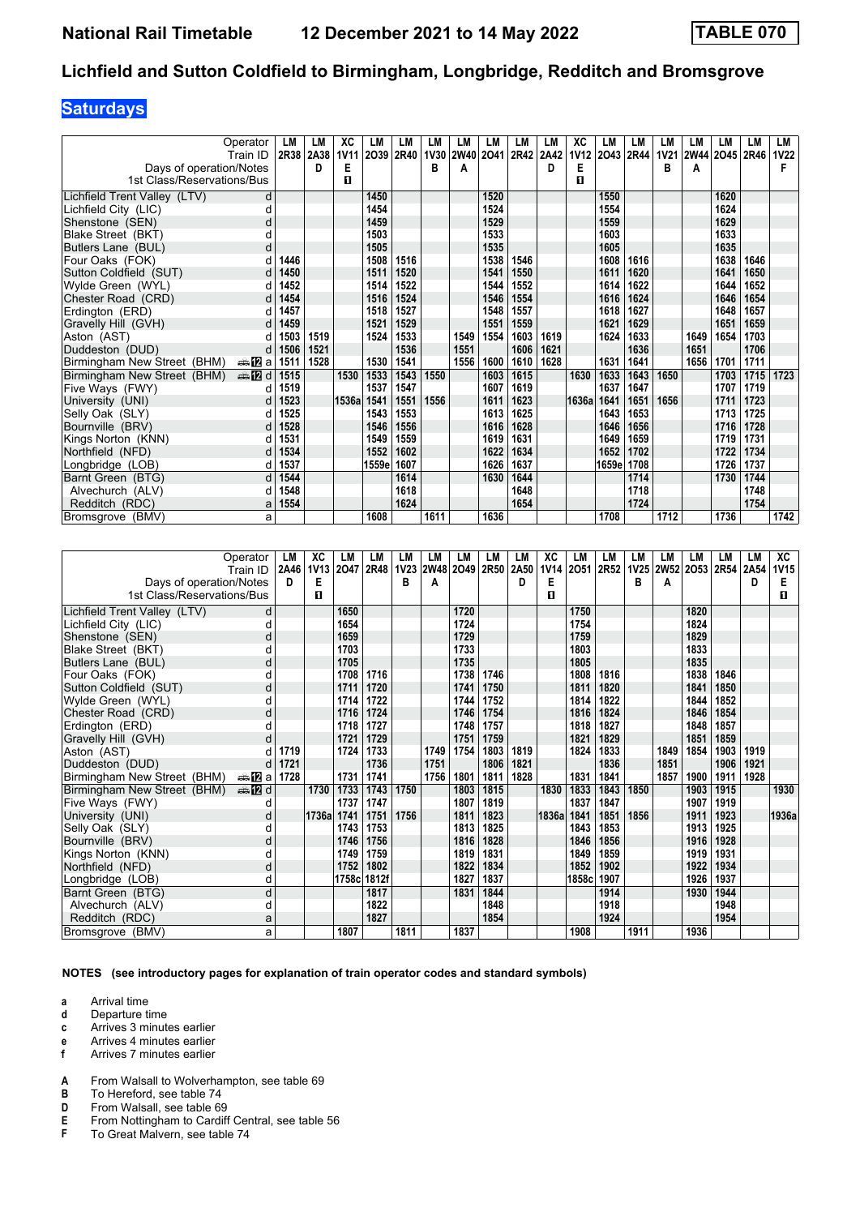## **Saturdays**

|                              | Operator              | LM   | LM   | xс          | LM    | LM   | LМ          | LM        | LM   | LМ   | LM   | ХC          | LM    | LM   | LM          | LM          | LМ   | LM   | LM          |
|------------------------------|-----------------------|------|------|-------------|-------|------|-------------|-----------|------|------|------|-------------|-------|------|-------------|-------------|------|------|-------------|
|                              | Train ID              | 2R38 | 2A38 | <b>1V11</b> | 2039  | 2R40 | <b>1V30</b> | 2W40 2O41 |      | 2R42 | 2A42 | <b>1V12</b> | 2043  | 2R44 | <b>1V21</b> | <b>2W44</b> | 2045 | 2R46 | <b>1V22</b> |
| Days of operation/Notes      |                       |      | D    | Е           |       |      | в           | А         |      |      | D    | Е           |       |      | В           | Α           |      |      |             |
| 1st Class/Reservations/Bus   |                       |      |      | п           |       |      |             |           |      |      |      | п           |       |      |             |             |      |      |             |
| Lichfield Trent Valley (LTV) | d                     |      |      |             | 1450  |      |             |           | 1520 |      |      |             | 1550  |      |             |             | 1620 |      |             |
| Lichfield City (LIC)         | d                     |      |      |             | 1454  |      |             |           | 1524 |      |      |             | 1554  |      |             |             | 1624 |      |             |
| Shenstone (SEN)              | d                     |      |      |             | 1459  |      |             |           | 1529 |      |      |             | 1559  |      |             |             | 1629 |      |             |
| Blake Street (BKT)           | d                     |      |      |             | 1503  |      |             |           | 1533 |      |      |             | 1603  |      |             |             | 1633 |      |             |
| Butlers Lane (BUL)           | d                     |      |      |             | 1505  |      |             |           | 1535 |      |      |             | 1605  |      |             |             | 1635 |      |             |
| Four Oaks (FOK)              | d                     | 1446 |      |             | 1508  | 1516 |             |           | 1538 | 1546 |      |             | 1608  | 1616 |             |             | 1638 | 1646 |             |
| Sutton Coldfield (SUT)       | d                     | 1450 |      |             | 1511  | 1520 |             |           | 1541 | 1550 |      |             | 1611  | 1620 |             |             | 1641 | 1650 |             |
| Wylde Green (WYL)            | d                     | 1452 |      |             | 1514  | 1522 |             |           | 1544 | 1552 |      |             | 1614  | 1622 |             |             | 1644 | 1652 |             |
| Chester Road (CRD)           | d                     | 1454 |      |             | 1516  | 1524 |             |           | 1546 | 1554 |      |             | 1616  | 1624 |             |             | 1646 | 1654 |             |
| Erdington (ERD)              |                       | 1457 |      |             | 1518  | 1527 |             |           | 1548 | 1557 |      |             | 1618  | 1627 |             |             | 1648 | 1657 |             |
| Gravelly Hill (GVH)          | d                     | 1459 |      |             | 1521  | 1529 |             |           | 1551 | 1559 |      |             | 1621  | 1629 |             |             | 1651 | 1659 |             |
| Aston (AST)                  | d                     | 1503 | 1519 |             | 1524  | 1533 |             | 1549      | 1554 | 1603 | 1619 |             | 1624  | 1633 |             | 1649        | 1654 | 1703 |             |
| Duddeston (DUD)              | d                     | 1506 | 1521 |             |       | 1536 |             | 1551      |      | 1606 | 1621 |             |       | 1636 |             | 1651        |      | 1706 |             |
| Birmingham New Street (BHM)  | dan <mark>79</mark> a | 1511 | 1528 |             | 1530  | 1541 |             | 1556      | 1600 | 1610 | 1628 |             | 1631  | 1641 |             | 1656        | 1701 | 1711 |             |
| Birmingham New Street (BHM)  | den <b>in</b> d       | 1515 |      | 1530        | 1533  | 1543 | 1550        |           | 1603 | 1615 |      | 1630        | 1633  | 1643 | 1650        |             | 1703 | 1715 | 1723        |
| Five Ways (FWY)              | d                     | 1519 |      |             | 1537  | 1547 |             |           | 1607 | 1619 |      |             | 1637  | 1647 |             |             | 1707 | 1719 |             |
| University (UNI)             | d                     | 1523 |      | 1536a       | 1541  | 1551 | 1556        |           | 1611 | 1623 |      | 1636a       | 1641  | 1651 | 1656        |             | 1711 | 1723 |             |
| Selly Oak (SLY)              | d                     | 1525 |      |             | 1543  | 1553 |             |           | 1613 | 1625 |      |             | 1643  | 1653 |             |             | 1713 | 1725 |             |
| Bournville (BRV)             | d                     | 1528 |      |             | 1546  | 1556 |             |           | 1616 | 1628 |      |             | 1646  | 1656 |             |             | 1716 | 1728 |             |
| Kings Norton (KNN)           | d                     | 1531 |      |             | 1549  | 1559 |             |           | 1619 | 1631 |      |             | 1649  | 1659 |             |             | 1719 | 1731 |             |
| Northfield (NFD)             | d                     | 1534 |      |             | 1552  | 1602 |             |           | 1622 | 1634 |      |             | 1652  | 1702 |             |             | 1722 | 1734 |             |
| Longbridge (LOB)             | d                     | 1537 |      |             | 1559e | 1607 |             |           | 1626 | 1637 |      |             | 1659e | 1708 |             |             | 1726 | 1737 |             |
| Barnt Green (BTG)            | d                     | 1544 |      |             |       | 1614 |             |           | 1630 | 1644 |      |             |       | 1714 |             |             | 1730 | 1744 |             |
| Alvechurch (ALV)             | d                     | 1548 |      |             |       | 1618 |             |           |      | 1648 |      |             |       | 1718 |             |             |      | 1748 |             |
| Redditch (RDC)               | a                     | 1554 |      |             |       | 1624 |             |           |      | 1654 |      |             |       | 1724 |             |             |      | 1754 |             |
| Bromsgrove (BMV)             | a                     |      |      |             | 1608  |      | 1611        |           | 1636 |      |      |             | 1708  |      | 1712        |             | 1736 |      | 1742        |

|                              | Operator               | LM   | ХC          | LM   | LM          | LM          | LM          | LM   | LM   | LM   | ХC          | LM     | LM        | LM   | LM        | LM   | LM             | LM   | XC          |
|------------------------------|------------------------|------|-------------|------|-------------|-------------|-------------|------|------|------|-------------|--------|-----------|------|-----------|------|----------------|------|-------------|
|                              | Train ID               | 2A46 | <b>1V13</b> | 2047 | 2R48        | <b>1V23</b> | <b>2W48</b> | 2049 | 2R50 | 2A50 | <b>1V14</b> |        | 2051 2R52 |      | 1V25 2W52 |      | 2053 2R54 2A54 |      | <b>1V15</b> |
| Days of operation/Notes      |                        | D.   | Е           |      |             | в           | А           |      |      | D    | Е           |        |           | в    | A         |      |                | D    | Е           |
| 1st Class/Reservations/Bus   |                        |      | п           |      |             |             |             |      |      |      | п           |        |           |      |           |      |                |      | п           |
| Lichfield Trent Valley (LTV) | d                      |      |             | 1650 |             |             |             | 1720 |      |      |             | 1750   |           |      |           | 1820 |                |      |             |
| Lichfield City (LIC)         | d                      |      |             | 1654 |             |             |             | 1724 |      |      |             | 1754   |           |      |           | 1824 |                |      |             |
| Shenstone (SEN)              | d                      |      |             | 1659 |             |             |             | 1729 |      |      |             | 1759   |           |      |           | 1829 |                |      |             |
| Blake Street (BKT)           | d                      |      |             | 1703 |             |             |             | 1733 |      |      |             | 1803   |           |      |           | 1833 |                |      |             |
| Butlers Lane (BUL)           | d                      |      |             | 1705 |             |             |             | 1735 |      |      |             | 1805   |           |      |           | 1835 |                |      |             |
| Four Oaks (FOK)              | d                      |      |             | 1708 | 1716        |             |             | 1738 | 1746 |      |             | 1808   | 1816      |      |           | 1838 | 1846           |      |             |
| Sutton Coldfield (SUT)       | d                      |      |             | 1711 | 1720        |             |             | 1741 | 1750 |      |             | 1811   | 1820      |      |           | 1841 | 1850           |      |             |
| Wylde Green (WYL)            | d                      |      |             | 1714 | 1722        |             |             | 1744 | 1752 |      |             | 1814   | 1822      |      |           | 1844 | 1852           |      |             |
| Chester Road (CRD)           | d                      |      |             | 1716 | 1724        |             |             | 1746 | 1754 |      |             | 1816   | 1824      |      |           | 1846 | 1854           |      |             |
| Erdington (ERD)              |                        |      |             | 1718 | 1727        |             |             | 1748 | 1757 |      |             | 1818   | 1827      |      |           | 1848 | 1857           |      |             |
| Gravelly Hill (GVH)          | d                      |      |             | 1721 | 1729        |             |             | 1751 | 1759 |      |             | 1821   | 1829      |      |           | 1851 | 1859           |      |             |
| Aston (AST)                  |                        | 1719 |             | 1724 | 1733        |             | 1749        | 1754 | 1803 | 1819 |             | 1824   | 1833      |      | 1849      | 1854 | 1903           | 1919 |             |
| Duddeston (DUD)              | d                      | 1721 |             |      | 1736        |             | 1751        |      | 1806 | 1821 |             |        | 1836      |      | 1851      |      | 1906           | 1921 |             |
| Birmingham New Street (BHM)  | des <mark>n</mark> ⊒ a | 1728 |             | 1731 | 1741        |             | 1756        | 1801 | 1811 | 1828 |             | 1831   | 1841      |      | 1857      | 1900 | 1911           | 1928 |             |
| Birmingham New Street (BHM)  | <b>⊯ 12</b> d          |      | 1730        | 1733 | 1743        | 1750        |             | 1803 | 1815 |      | 1830        | 1833   | 1843      | 1850 |           | 1903 | 1915           |      | 1930        |
| Five Ways (FWY)              | d                      |      |             | 1737 | 1747        |             |             | 1807 | 1819 |      |             | 1837   | 1847      |      |           | 1907 | 1919           |      |             |
| University (UNI)             | d                      |      | 1736al      | 1741 | 1751        | 1756        |             | 1811 | 1823 |      | 1836a       | 1841   | 1851      | 1856 |           | 1911 | 1923           |      | 1936a       |
| Selly Oak (SLY)              | d                      |      |             | 1743 | 1753        |             |             | 1813 | 1825 |      |             | 1843   | 1853      |      |           | 1913 | 1925           |      |             |
| Bournville (BRV)             | d                      |      |             | 1746 | 1756        |             |             | 1816 | 1828 |      |             | 1846   | 1856      |      |           | 1916 | 1928           |      |             |
| Kings Norton (KNN)           | d                      |      |             | 1749 | 1759        |             |             | 1819 | 1831 |      |             | 1849   | 1859      |      |           | 1919 | 1931           |      |             |
| Northfield (NFD)             | d                      |      |             | 1752 | 1802        |             |             | 1822 | 1834 |      |             | 1852   | 1902      |      |           | 1922 | 1934           |      |             |
| Longbridge (LOB)             | d                      |      |             |      | 1758c 1812f |             |             | 1827 | 1837 |      |             | 1858cl | 1907      |      |           | 1926 | 1937           |      |             |
| Barnt Green (BTG)            | d                      |      |             |      | 1817        |             |             | 1831 | 1844 |      |             |        | 1914      |      |           | 1930 | 1944           |      |             |
| Alvechurch (ALV)             | d                      |      |             |      | 1822        |             |             |      | 1848 |      |             |        | 1918      |      |           |      | 1948           |      |             |
| Redditch (RDC)               | а                      |      |             |      | 1827        |             |             |      | 1854 |      |             |        | 1924      |      |           |      | 1954           |      |             |
| Bromsgrove (BMV)             | a                      |      |             | 1807 |             | 1811        |             | 1837 |      |      |             | 1908   |           | 1911 |           | 1936 |                |      |             |

**NOTES (see introductory pages for explanation of train operator codes and standard symbols)**

- **d** Departure time
- **c** Arrives 3 minutes earlier
- **e** Arrives 4 minutes earlier<br>**f** Arrives 7 minutes earlier
- **f** Arrives 7 minutes earlier
- **A** From Walsall to Wolverhampton, see table 69<br>**B** To Hereford, see table 74
- To Hereford, see table 74
- 
- **D** From Walsall, see table 69<br>**E** From Nottingham to Cardiff<br>**F** To Great Malvern, see table From Nottingham to Cardiff Central, see table 56
- To Great Malvern, see table 74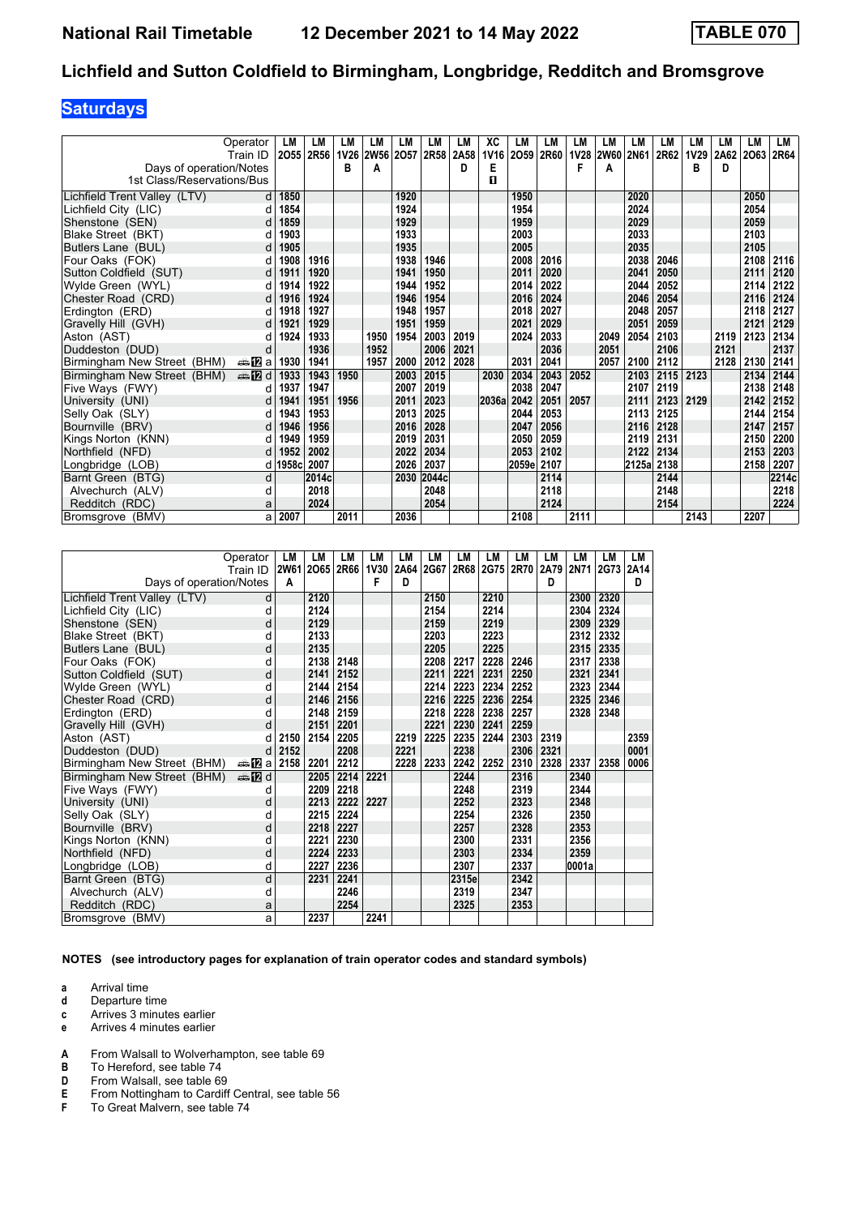## **Saturdays**

|                              | Operator               | LM    | LM        | LM          | LM        | LM   | LМ    | LM   | XC          | LМ    | LM   | LM   | LM        | LM          | LМ   | LM          | LМ   | LM   | LM    |
|------------------------------|------------------------|-------|-----------|-------------|-----------|------|-------|------|-------------|-------|------|------|-----------|-------------|------|-------------|------|------|-------|
|                              | Train ID               |       | 2055 2R56 | <b>1V26</b> | 2W56 2O57 |      | 2R58  | 2A58 | <b>1V16</b> | 2059  | 2R60 |      | 1V28 2W60 | <b>2N61</b> | 2R62 | <b>1V29</b> | 2A62 | 2063 | 2R64  |
| Days of operation/Notes      |                        |       |           | в           | А         |      |       | D    | Е           |       |      | F    | Α         |             |      | в           | D    |      |       |
| 1st Class/Reservations/Bus   |                        |       |           |             |           |      |       |      | п           |       |      |      |           |             |      |             |      |      |       |
| Lichfield Trent Valley (LTV) | d                      | 1850  |           |             |           | 1920 |       |      |             | 1950  |      |      |           | 2020        |      |             |      | 2050 |       |
| Lichfield City (LIC)         |                        | 1854  |           |             |           | 1924 |       |      |             | 1954  |      |      |           | 2024        |      |             |      | 2054 |       |
| Shenstone (SEN)              |                        | 1859  |           |             |           | 1929 |       |      |             | 1959  |      |      |           | 2029        |      |             |      | 2059 |       |
| Blake Street (BKT)           | d                      | 1903  |           |             |           | 1933 |       |      |             | 2003  |      |      |           | 2033        |      |             |      | 2103 |       |
| Butlers Lane (BUL)           |                        | 1905  |           |             |           | 1935 |       |      |             | 2005  |      |      |           | 2035        |      |             |      | 2105 |       |
| Four Oaks (FOK)              | d                      | 1908  | 1916      |             |           | 1938 | 1946  |      |             | 2008  | 2016 |      |           | 2038        | 2046 |             |      | 2108 | 2116  |
| Sutton Coldfield (SUT)       | d                      | 1911  | 1920      |             |           | 1941 | 1950  |      |             | 2011  | 2020 |      |           | 2041        | 2050 |             |      | 2111 | 2120  |
| Wylde Green (WYL)            | d                      | 1914  | 1922      |             |           | 1944 | 1952  |      |             | 2014  | 2022 |      |           | 2044        | 2052 |             |      | 2114 | 2122  |
| Chester Road (CRD)           | d                      | 1916  | 1924      |             |           | 1946 | 1954  |      |             | 2016  | 2024 |      |           | 2046        | 2054 |             |      | 2116 | 2124  |
| Erdinaton (ERD)              | d                      | 1918  | 1927      |             |           | 1948 | 1957  |      |             | 2018  | 2027 |      |           | 2048        | 2057 |             |      | 2118 | 2127  |
| Gravelly Hill (GVH)          | d                      | 1921  | 1929      |             |           | 1951 | 1959  |      |             | 2021  | 2029 |      |           | 2051        | 2059 |             |      | 2121 | 2129  |
| Aston (AST)                  | d                      | 1924  | 1933      |             | 1950      | 1954 | 2003  | 2019 |             | 2024  | 2033 |      | 2049      | 2054        | 2103 |             | 2119 | 2123 | 2134  |
| Duddeston (DUD)              | d                      |       | 1936      |             | 1952      |      | 2006  | 2021 |             |       | 2036 |      | 2051      |             | 2106 |             | 2121 |      | 2137  |
| Birmingham New Street (BHM)  | dan <mark>na</mark> p⊒ | 1930  | 1941      |             | 1957      | 2000 | 2012  | 2028 |             | 2031  | 2041 |      | 2057      | 2100        | 2112 |             | 2128 | 2130 | 2141  |
| Birmingham New Street (BHM)  | <b>en 12</b> d         | 1933  | 1943      | 1950        |           | 2003 | 2015  |      | 2030        | 2034  | 2043 | 2052 |           | 2103        | 2115 | 2123        |      | 2134 | 2144  |
| Five Ways (FWY)              | d                      | 1937  | 1947      |             |           | 2007 | 2019  |      |             | 2038  | 2047 |      |           | 2107        | 2119 |             |      | 2138 | 2148  |
| University (UNI)             | d                      | 1941  | 1951      | 1956        |           | 2011 | 2023  |      | 2036a       | 2042  | 2051 | 2057 |           | 2111        | 2123 | 2129        |      | 2142 | 2152  |
| Selly Oak (SLY)              | d                      | 1943  | 1953      |             |           | 2013 | 2025  |      |             | 2044  | 2053 |      |           | 2113        | 2125 |             |      | 2144 | 2154  |
| Bournville (BRV)             | d                      | 1946  | 1956      |             |           | 2016 | 2028  |      |             | 2047  | 2056 |      |           | 2116        | 2128 |             |      | 2147 | 2157  |
| Kings Norton (KNN)           | d                      | 1949  | 1959      |             |           | 2019 | 2031  |      |             | 2050  | 2059 |      |           | 2119        | 2131 |             |      | 2150 | 2200  |
| Northfield (NFD)             | d                      | 1952  | 2002      |             |           | 2022 | 2034  |      |             | 2053  | 2102 |      |           | 2122        | 2134 |             |      | 2153 | 2203  |
| Longbridge (LOB)             | d                      | 1958c | 2007      |             |           | 2026 | 2037  |      |             | 2059e | 2107 |      |           | 2125a 2138  |      |             |      | 2158 | 2207  |
| Barnt Green (BTG)            | d                      |       | 2014c     |             |           | 2030 | 2044c |      |             |       | 2114 |      |           |             | 2144 |             |      |      | 2214c |
| Alvechurch (ALV)             | d                      |       | 2018      |             |           |      | 2048  |      |             |       | 2118 |      |           |             | 2148 |             |      |      | 2218  |
| Redditch (RDC)               | a                      |       | 2024      |             |           |      | 2054  |      |             |       | 2124 |      |           |             | 2154 |             |      |      | 2224  |
| Bromsgrove (BMV)             | a                      | 2007  |           | 2011        |           | 2036 |       |      |             | 2108  |      | 2111 |           |             |      | 2143        |      | 2207 |       |

| Operator<br>Train ID<br>Days of operation/Notes | A         | LM<br>LM<br>2W61 2O65 2R66 | LM   | LM<br><b>1V30</b><br>F | LM<br>2A64<br>D | LM<br>2G67 | LM    | LM<br>2R68 2G75 | <b>LM</b> | LM<br>2R70 2A79<br>D | LM<br><b>2N71</b> | LM<br>2G73 | LM<br>2A14<br>D |
|-------------------------------------------------|-----------|----------------------------|------|------------------------|-----------------|------------|-------|-----------------|-----------|----------------------|-------------------|------------|-----------------|
| Lichfield Trent Valley (LTV)                    | d         | 2120                       |      |                        |                 | 2150       |       | 2210            |           |                      | 2300              | 2320       |                 |
| Lichfield City (LIC)                            | d         | 2124                       |      |                        |                 | 2154       |       | 2214            |           |                      | 2304              | 2324       |                 |
| Shenstone (SEN)                                 | d         | 2129                       |      |                        |                 | 2159       |       | 2219            |           |                      | 2309              | 2329       |                 |
| Blake Street (BKT)                              | d         | 2133                       |      |                        |                 | 2203       |       | 2223            |           |                      | 2312              | 2332       |                 |
| Butlers Lane (BUL)                              | d         | 2135                       |      |                        |                 | 2205       |       | 2225            |           |                      | 2315              | 2335       |                 |
| Four Oaks (FOK)                                 | d         | 2138                       | 2148 |                        |                 | 2208       | 2217  | 2228            | 2246      |                      | 2317              | 2338       |                 |
| Sutton Coldfield (SUT)                          | d         | 2141                       | 2152 |                        |                 | 2211       | 2221  | 2231            | 2250      |                      | 2321              | 2341       |                 |
| Wylde Green (WYL)                               | d         | 2144                       | 2154 |                        |                 | 2214       | 2223  | 2234            | 2252      |                      | 2323              | 2344       |                 |
| Chester Road (CRD)                              | d         | 2146                       | 2156 |                        |                 | 2216       | 2225  | 2236            | 2254      |                      | 2325              | 2346       |                 |
| Erdington (ERD)                                 | d         | 2148                       | 2159 |                        |                 | 2218       | 2228  | 2238            | 2257      |                      | 2328              | 2348       |                 |
| Gravelly Hill (GVH)                             | d         | 2151                       | 2201 |                        |                 | 2221       | 2230  | 2241            | 2259      |                      |                   |            |                 |
| Aston (AST)                                     | d<br>2150 | 2154                       | 2205 |                        | 2219            | 2225       | 2235  | 2244            | 2303      | 2319                 |                   |            | 2359            |
| Duddeston (DUD)                                 | d         | 2152                       | 2208 |                        | 2221            |            | 2238  |                 | 2306      | 2321                 |                   |            | 0001            |
| Birmingham New Street (BHM)<br>⇔a DZ a          | 2158      | 2201                       | 2212 |                        | 2228            | 2233       | 2242  | 2252            | 2310      | 2328                 | 2337              | 2358       | 0006            |
| Birmingham New Street (BHM)<br><b>en 12</b> d   |           | 2205                       | 2214 | 2221                   |                 |            | 2244  |                 | 2316      |                      | 2340              |            |                 |
| Five Ways (FWY)                                 | d         | 2209                       | 2218 |                        |                 |            | 2248  |                 | 2319      |                      | 2344              |            |                 |
| University (UNI)                                | d         | 2213                       | 2222 | 2227                   |                 |            | 2252  |                 | 2323      |                      | 2348              |            |                 |
| Selly Oak (SLY)                                 | d         | 2215                       | 2224 |                        |                 |            | 2254  |                 | 2326      |                      | 2350              |            |                 |
| Bournville (BRV)                                | d         | 2218                       | 2227 |                        |                 |            | 2257  |                 | 2328      |                      | 2353              |            |                 |
| Kings Norton (KNN)                              | d         | 2221                       | 2230 |                        |                 |            | 2300  |                 | 2331      |                      | 2356              |            |                 |
| Northfield (NFD)                                | d         | 2224                       | 2233 |                        |                 |            | 2303  |                 | 2334      |                      | 2359              |            |                 |
| Longbridge (LOB)                                | d         | 2227                       | 2236 |                        |                 |            | 2307  |                 | 2337      |                      | 0001a             |            |                 |
| Barnt Green (BTG)                               | d         | 2231                       | 2241 |                        |                 |            | 2315e |                 | 2342      |                      |                   |            |                 |
| Alvechurch (ALV)                                | d         |                            | 2246 |                        |                 |            | 2319  |                 | 2347      |                      |                   |            |                 |
| Redditch (RDC)                                  | a         |                            | 2254 |                        |                 |            | 2325  |                 | 2353      |                      |                   |            |                 |
| Bromsgrove (BMV)                                | a         | 2237                       |      | 2241                   |                 |            |       |                 |           |                      |                   |            |                 |

#### **NOTES (see introductory pages for explanation of train operator codes and standard symbols)**

**a** Arrival time<br>**d** Departure t

- **d** Departure time
- **c** Arrives 3 minutes earlier **e** Arrives 4 minutes earlier
- **A** From Walsall to Wolverhampton, see table 69
- 
- **B** To Hereford, see table 74<br>**D** From Walsall, see table 69 **D** From Walsall, see table 69<br>**E** From Nottingham to Cardiff
- **E** From Nottingham to Cardiff Central, see table 56<br>**F** To Great Malvern, see table 74
- To Great Malvern, see table 74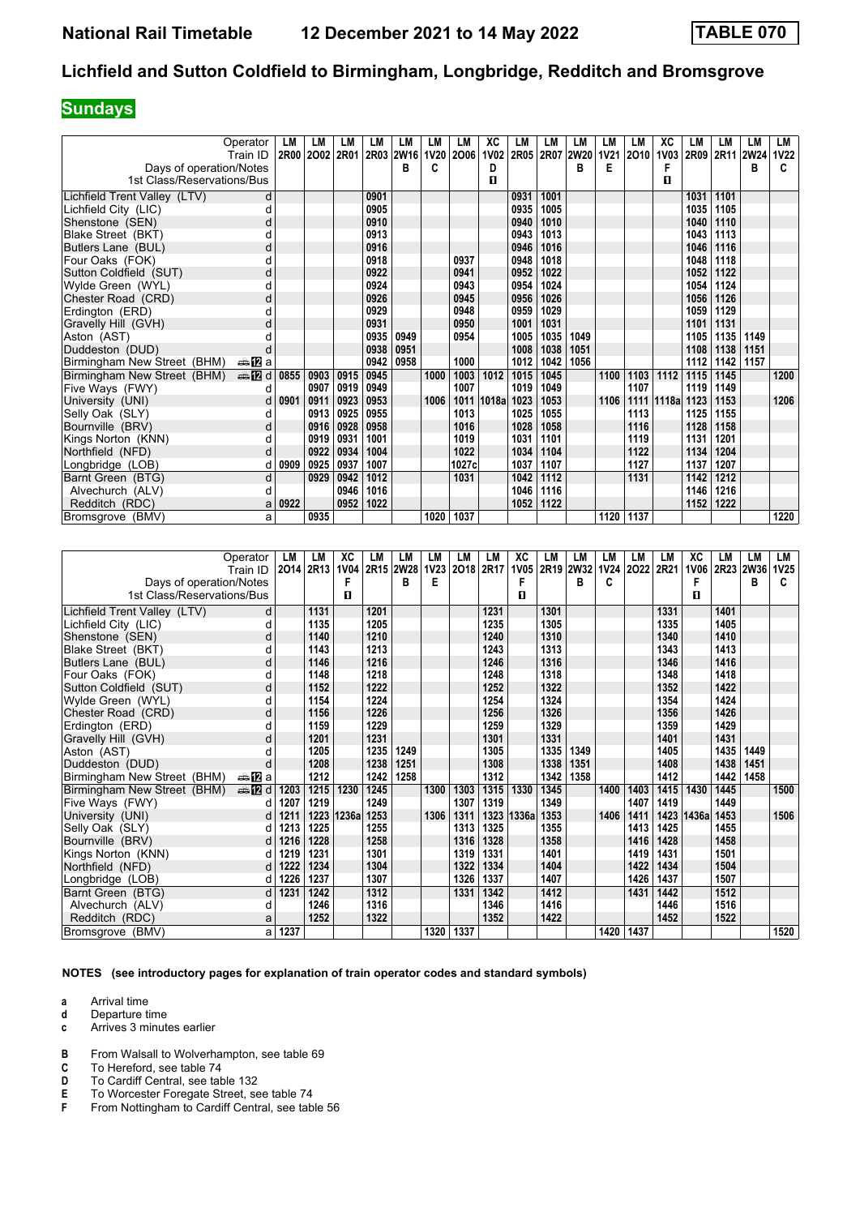## **Sundays**

|                              | Operator                   | LM   | LM        | LM   | LM   | LM             | LM   | LM    | XC          | LМ   | LM   | LM          | LM   | LM        | XC          | LM   | LM   | LM                  | LM   |
|------------------------------|----------------------------|------|-----------|------|------|----------------|------|-------|-------------|------|------|-------------|------|-----------|-------------|------|------|---------------------|------|
|                              | Train ID                   |      | 2R00 2002 | 2R01 |      | 2R03 2W16 1V20 |      | 2006  | <b>1V02</b> | 2R05 | 2R07 | <b>2W20</b> |      | 1V21 2010 | <b>1V03</b> |      |      | 2R09 2R11 2W24 1V22 |      |
| Days of operation/Notes      |                            |      |           |      |      | В              | c    |       | D           |      |      | в           | Е    |           | F           |      |      | в                   |      |
| 1st Class/Reservations/Bus   |                            |      |           |      |      |                |      |       | п           |      |      |             |      |           | п           |      |      |                     |      |
| Lichfield Trent Valley (LTV) | d                          |      |           |      | 0901 |                |      |       |             | 0931 | 1001 |             |      |           |             | 1031 | 1101 |                     |      |
| Lichfield City (LIC)         |                            |      |           |      | 0905 |                |      |       |             | 0935 | 1005 |             |      |           |             | 1035 | 1105 |                     |      |
| Shenstone (SEN)              | d                          |      |           |      | 0910 |                |      |       |             | 0940 | 1010 |             |      |           |             | 1040 | 1110 |                     |      |
| Blake Street (BKT)           | d                          |      |           |      | 0913 |                |      |       |             | 0943 | 1013 |             |      |           |             | 1043 | 1113 |                     |      |
| Butlers Lane (BUL)           | d                          |      |           |      | 0916 |                |      |       |             | 0946 | 1016 |             |      |           |             | 1046 | 1116 |                     |      |
| Four Oaks (FOK)              | d                          |      |           |      | 0918 |                |      | 0937  |             | 0948 | 1018 |             |      |           |             | 1048 | 1118 |                     |      |
| Sutton Coldfield (SUT)       | d                          |      |           |      | 0922 |                |      | 0941  |             | 0952 | 1022 |             |      |           |             | 1052 | 1122 |                     |      |
| Wylde Green (WYL)            | d                          |      |           |      | 0924 |                |      | 0943  |             | 0954 | 1024 |             |      |           |             | 1054 | 1124 |                     |      |
| Chester Road (CRD)           | d                          |      |           |      | 0926 |                |      | 0945  |             | 0956 | 1026 |             |      |           |             | 1056 | 1126 |                     |      |
| Erdinaton (ERD)              | d                          |      |           |      | 0929 |                |      | 0948  |             | 0959 | 1029 |             |      |           |             | 1059 | 1129 |                     |      |
| Gravelly Hill (GVH)          | d                          |      |           |      | 0931 |                |      | 0950  |             | 1001 | 1031 |             |      |           |             | 1101 | 1131 |                     |      |
| Aston (AST)                  |                            |      |           |      | 0935 | 0949           |      | 0954  |             | 1005 | 1035 | 1049        |      |           |             | 1105 | 1135 | 1149                |      |
| Duddeston (DUD)              | d                          |      |           |      | 0938 | 0951           |      |       |             | 1008 | 1038 | 1051        |      |           |             | 1108 | 1138 | 1151                |      |
| Birmingham New Street (BHM)  | des <mark>n</mark> ⊒ a     |      |           |      | 0942 | 0958           |      | 1000  |             | 1012 | 1042 | 1056        |      |           |             | 1112 | 1142 | 1157                |      |
| Birmingham New Street (BHM)  | $\triangle \blacksquare$ d | 0855 | 0903      | 0915 | 0945 |                | 1000 | 1003  | 1012        | 1015 | 1045 |             | 1100 | 1103      | 1112        | 1115 | 1145 |                     | 1200 |
| Five Ways (FWY)              | d                          |      | 0907      | 0919 | 0949 |                |      | 1007  |             | 1019 | 1049 |             |      | 1107      |             | 1119 | 1149 |                     |      |
| University (UNI)             | d                          | 0901 | 0911      | 0923 | 0953 |                | 1006 | 1011  | 1018a       | 1023 | 1053 |             | 1106 |           | 1111 1118a  | 1123 | 1153 |                     | 1206 |
| Selly Oak (SLY)              | d                          |      | 0913      | 0925 | 0955 |                |      | 1013  |             | 1025 | 1055 |             |      | 1113      |             | 1125 | 1155 |                     |      |
| Bournville (BRV)             | d                          |      | 0916      | 0928 | 0958 |                |      | 1016  |             | 1028 | 1058 |             |      | 1116      |             | 1128 | 1158 |                     |      |
| Kings Norton (KNN)           | d                          |      | 0919      | 0931 | 1001 |                |      | 1019  |             | 1031 | 1101 |             |      | 1119      |             | 1131 | 1201 |                     |      |
| Northfield (NFD)             | d                          |      | 0922      | 0934 | 1004 |                |      | 1022  |             | 1034 | 1104 |             |      | 1122      |             | 1134 | 1204 |                     |      |
| Longbridge (LOB)             | d                          | 0909 | 0925      | 0937 | 1007 |                |      | 1027c |             | 1037 | 1107 |             |      | 1127      |             | 1137 | 1207 |                     |      |
| Barnt Green (BTG)            | d                          |      | 0929      | 0942 | 1012 |                |      | 1031  |             | 1042 | 1112 |             |      | 1131      |             | 1142 | 1212 |                     |      |
| Alvechurch (ALV)             | d                          |      |           | 0946 | 1016 |                |      |       |             | 1046 | 1116 |             |      |           |             | 1146 | 1216 |                     |      |
| Redditch (RDC)               | a                          | 0922 |           | 0952 | 1022 |                |      |       |             | 1052 | 1122 |             |      |           |             | 1152 | 1222 |                     |      |
| Bromsgrove (BMV)             | a                          |      | 0935      |      |      |                | 1020 | 1037  |             |      |      |             |      | 1120 1137 |             |      |      |                     | 1220 |

|                              | Operator               | LМ        | LM   | xс          | LM   | LM        | LM   | LM   | LM   | XC          | LM   | LM   | LM          | LM   | LM   | XC         | LМ             | LM   | LM          |
|------------------------------|------------------------|-----------|------|-------------|------|-----------|------|------|------|-------------|------|------|-------------|------|------|------------|----------------|------|-------------|
|                              | Train ID               | 2014 2R13 |      | <b>1V04</b> |      | 2R15 2W28 | 1V23 | 2018 | 2R17 | <b>1V05</b> | 2R19 | 2W32 | <b>1V24</b> | 2022 | 2R21 |            | 1V06 2R23 2W36 |      | <b>1V25</b> |
| Days of operation/Notes      |                        |           |      | F           |      | в         | Е    |      |      | F           |      | в    | C           |      |      | F          |                | в    |             |
| 1st Class/Reservations/Bus   |                        |           |      | п           |      |           |      |      |      | п           |      |      |             |      |      | п          |                |      |             |
| Lichfield Trent Valley (LTV) | d                      |           | 1131 |             | 1201 |           |      |      | 1231 |             | 1301 |      |             |      | 1331 |            | 1401           |      |             |
| Lichfield City (LIC)         | d                      |           | 1135 |             | 1205 |           |      |      | 1235 |             | 1305 |      |             |      | 1335 |            | 1405           |      |             |
| Shenstone (SEN)              | d                      |           | 1140 |             | 1210 |           |      |      | 1240 |             | 1310 |      |             |      | 1340 |            | 1410           |      |             |
| Blake Street (BKT)           | d                      |           | 1143 |             | 1213 |           |      |      | 1243 |             | 1313 |      |             |      | 1343 |            | 1413           |      |             |
| Butlers Lane (BUL)           | d                      |           | 1146 |             | 1216 |           |      |      | 1246 |             | 1316 |      |             |      | 1346 |            | 1416           |      |             |
| Four Oaks (FOK)              | d                      |           | 1148 |             | 1218 |           |      |      | 1248 |             | 1318 |      |             |      | 1348 |            | 1418           |      |             |
| Sutton Coldfield (SUT)       | d                      |           | 1152 |             | 1222 |           |      |      | 1252 |             | 1322 |      |             |      | 1352 |            | 1422           |      |             |
| Wylde Green (WYL)            | d                      |           | 1154 |             | 1224 |           |      |      | 1254 |             | 1324 |      |             |      | 1354 |            | 1424           |      |             |
| Chester Road (CRD)           | d                      |           | 1156 |             | 1226 |           |      |      | 1256 |             | 1326 |      |             |      | 1356 |            | 1426           |      |             |
| Erdington (ERD)              | d                      |           | 1159 |             | 1229 |           |      |      | 1259 |             | 1329 |      |             |      | 1359 |            | 1429           |      |             |
| Gravelly Hill (GVH)          | d                      |           | 1201 |             | 1231 |           |      |      | 1301 |             | 1331 |      |             |      | 1401 |            | 1431           |      |             |
| Aston (AST)                  |                        |           | 1205 |             | 1235 | 1249      |      |      | 1305 |             | 1335 | 1349 |             |      | 1405 |            | 1435           | 1449 |             |
| Duddeston (DUD)              | d                      |           | 1208 |             | 1238 | 1251      |      |      | 1308 |             | 1338 | 1351 |             |      | 1408 |            | 1438           | 1451 |             |
| Birmingham New Street (BHM)  | dan <mark>na</mark> pa |           | 1212 |             | 1242 | 1258      |      |      | 1312 |             | 1342 | 1358 |             |      | 1412 |            | 1442           | 1458 |             |
| Birmingham New Street (BHM)  | dina na manda di       | 1203      | 1215 | 1230        | 1245 |           | 1300 | 1303 | 1315 | 1330        | 1345 |      | 1400        | 1403 | 1415 | 1430       | 1445           |      | 1500        |
| Five Ways (FWY)              | d                      | 1207      | 1219 |             | 1249 |           |      | 1307 | 1319 |             | 1349 |      |             | 1407 | 1419 |            | 1449           |      |             |
| University (UNI)             | d                      | 1211      | 1223 | 1236a       | 1253 |           | 1306 | 1311 | 1323 | 1336a       | 1353 |      | 1406        | 1411 |      | 1423 1436a | 1453           |      | 1506        |
| Selly Oak (SLY)              | d                      | 1213      | 1225 |             | 1255 |           |      | 1313 | 1325 |             | 1355 |      |             | 1413 | 1425 |            | 1455           |      |             |
| Bournville (BRV)             | d                      | 1216      | 1228 |             | 1258 |           |      | 1316 | 1328 |             | 1358 |      |             | 1416 | 1428 |            | 1458           |      |             |
| Kings Norton (KNN)           | d                      | 1219      | 1231 |             | 1301 |           |      | 1319 | 1331 |             | 1401 |      |             | 1419 | 1431 |            | 1501           |      |             |
| Northfield (NFD)             | d                      | 1222      | 1234 |             | 1304 |           |      | 1322 | 1334 |             | 1404 |      |             | 1422 | 1434 |            | 1504           |      |             |
| Longbridge (LOB)             | d                      | 1226      | 1237 |             | 1307 |           |      | 1326 | 1337 |             | 1407 |      |             | 1426 | 1437 |            | 1507           |      |             |
| Barnt Green (BTG)            | d                      | 1231      | 1242 |             | 1312 |           |      | 1331 | 1342 |             | 1412 |      |             | 1431 | 1442 |            | 1512           |      |             |
| Alvechurch (ALV)             | d                      |           | 1246 |             | 1316 |           |      |      | 1346 |             | 1416 |      |             |      | 1446 |            | 1516           |      |             |
| Redditch (RDC)               | a                      |           | 1252 |             | 1322 |           |      |      | 1352 |             | 1422 |      |             |      | 1452 |            | 1522           |      |             |
| Bromsgrove (BMV)             | a                      | 1237      |      |             |      |           | 1320 | 1337 |      |             |      |      | 1420        | 1437 |      |            |                |      | 1520        |

**NOTES (see introductory pages for explanation of train operator codes and standard symbols)**

- **d** Departure time
- **c** Arrives 3 minutes earlier
- **B** From Walsall to Wolverhampton, see table 69
- **C** To Hereford, see table 74<br>**D** To Cardiff Central, see tab
- **D** To Cardiff Central, see table 132<br>**E** To Worcester Foregate Street, se
- **E** To Worcester Foregate Street, see table 74<br>**F** From Nottingham to Cardiff Central, see tab
- From Nottingham to Cardiff Central, see table 56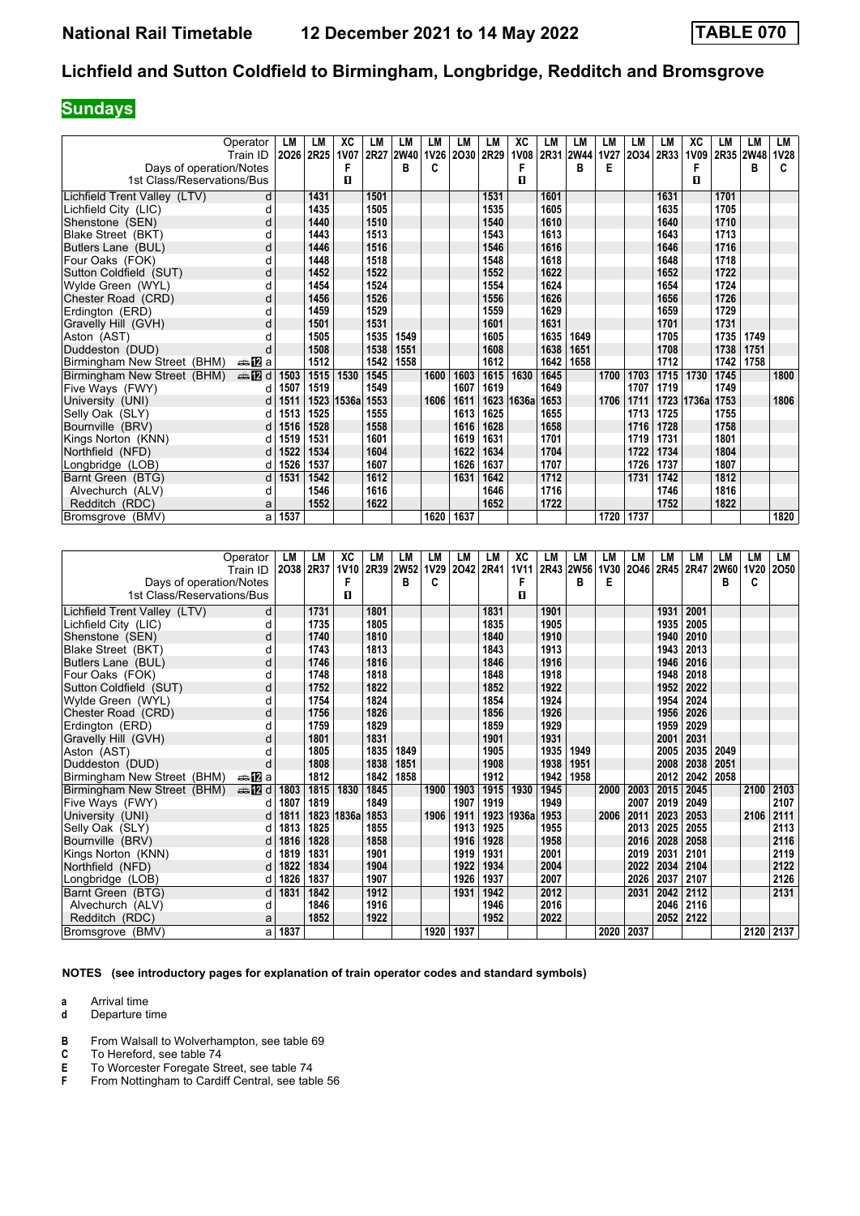## **Sundays**

|                              | Operator               | LM   | LM        | ХC          | LM        | LM   | LМ   | LM        | LM   | XC          | LM   | LM          | LM   | LM   | LM        | XC         | LM   | LM        | LM          |
|------------------------------|------------------------|------|-----------|-------------|-----------|------|------|-----------|------|-------------|------|-------------|------|------|-----------|------------|------|-----------|-------------|
|                              | Train ID               |      | 2026 2R25 | <b>1V07</b> | 2R27 2W40 |      | 1V26 | 2030      | 2R29 | <b>1V08</b> | 2R31 | <b>2W44</b> | 1V27 |      | 2034 2R33 | 1V09       |      | 2R35 2W48 | <b>1V28</b> |
| Days of operation/Notes      |                        |      |           |             |           | в    | c    |           |      | F           |      | в           | Е    |      |           | F          |      | в         | c           |
| 1st Class/Reservations/Bus   |                        |      |           | п           |           |      |      |           |      | п           |      |             |      |      |           | п          |      |           |             |
| Lichfield Trent Valley (LTV) | d                      |      | 1431      |             | 1501      |      |      |           | 1531 |             | 1601 |             |      |      | 1631      |            | 1701 |           |             |
| Lichfield City (LIC)         | d                      |      | 1435      |             | 1505      |      |      |           | 1535 |             | 1605 |             |      |      | 1635      |            | 1705 |           |             |
| Shenstone (SEN)              | d                      |      | 1440      |             | 1510      |      |      |           | 1540 |             | 1610 |             |      |      | 1640      |            | 1710 |           |             |
| Blake Street (BKT)           | d                      |      | 1443      |             | 1513      |      |      |           | 1543 |             | 1613 |             |      |      | 1643      |            | 1713 |           |             |
| Butlers Lane (BUL)           | d                      |      | 1446      |             | 1516      |      |      |           | 1546 |             | 1616 |             |      |      | 1646      |            | 1716 |           |             |
| Four Oaks (FOK)              | d                      |      | 1448      |             | 1518      |      |      |           | 1548 |             | 1618 |             |      |      | 1648      |            | 1718 |           |             |
| Sutton Coldfield (SUT)       | d                      |      | 1452      |             | 1522      |      |      |           | 1552 |             | 1622 |             |      |      | 1652      |            | 1722 |           |             |
| Wylde Green (WYL)            | d                      |      | 1454      |             | 1524      |      |      |           | 1554 |             | 1624 |             |      |      | 1654      |            | 1724 |           |             |
| Chester Road (CRD)           | d                      |      | 1456      |             | 1526      |      |      |           | 1556 |             | 1626 |             |      |      | 1656      |            | 1726 |           |             |
| Erdington (ERD)              | d                      |      | 1459      |             | 1529      |      |      |           | 1559 |             | 1629 |             |      |      | 1659      |            | 1729 |           |             |
| Gravelly Hill (GVH)          | d                      |      | 1501      |             | 1531      |      |      |           | 1601 |             | 1631 |             |      |      | 1701      |            | 1731 |           |             |
| Aston (AST)                  | d                      |      | 1505      |             | 1535      | 1549 |      |           | 1605 |             | 1635 | 1649        |      |      | 1705      |            | 1735 | 1749      |             |
| Duddeston (DUD)              | d                      |      | 1508      |             | 1538      | 1551 |      |           | 1608 |             | 1638 | 1651        |      |      | 1708      |            | 1738 | 1751      |             |
| Birmingham New Street (BHM)  | ana <mark>n</mark> 2ia |      | 1512      |             | 1542      | 1558 |      |           | 1612 |             | 1642 | 1658        |      |      | 1712      |            | 1742 | 1758      |             |
| Birmingham New Street (BHM)  | <b>AD</b> d            | 1503 | 1515      | 1530        | 1545      |      | 1600 | 1603      | 1615 | 1630        | 1645 |             | 1700 | 1703 | 1715      | 1730       | 1745 |           | 1800        |
| Five Ways (FWY)              | d                      | 1507 | 1519      |             | 1549      |      |      | 1607      | 1619 |             | 1649 |             |      | 1707 | 1719      |            | 1749 |           |             |
| University (UNI)             | d                      | 1511 |           | 1523 1536a  | 1553      |      | 1606 | 1611      | 1623 | 1636a       | 1653 |             | 1706 | 1711 |           | 1723 1736a | 1753 |           | 1806        |
| Selly Oak (SLY)              | d                      | 1513 | 1525      |             | 1555      |      |      | 1613      | 1625 |             | 1655 |             |      | 1713 | 1725      |            | 1755 |           |             |
| Bournville (BRV)             | d                      | 1516 | 1528      |             | 1558      |      |      | 1616      | 1628 |             | 1658 |             |      | 1716 | 1728      |            | 1758 |           |             |
| Kings Norton (KNN)           | d                      | 1519 | 1531      |             | 1601      |      |      | 1619      | 1631 |             | 1701 |             |      | 1719 | 1731      |            | 1801 |           |             |
| Northfield (NFD)             | d                      | 1522 | 1534      |             | 1604      |      |      | 1622      | 1634 |             | 1704 |             |      | 1722 | 1734      |            | 1804 |           |             |
| Longbridge (LOB)             | d                      | 1526 | 1537      |             | 1607      |      |      | 1626      | 1637 |             | 1707 |             |      | 1726 | 1737      |            | 1807 |           |             |
| Barnt Green (BTG)            | d                      | 1531 | 1542      |             | 1612      |      |      | 1631      | 1642 |             | 1712 |             |      | 1731 | 1742      |            | 1812 |           |             |
| Alvechurch (ALV)             | d                      |      | 1546      |             | 1616      |      |      |           | 1646 |             | 1716 |             |      |      | 1746      |            | 1816 |           |             |
| Redditch (RDC)               | a                      |      | 1552      |             | 1622      |      |      |           | 1652 |             | 1722 |             |      |      | 1752      |            | 1822 |           |             |
| Bromsgrove (BMV)             | a                      | 1537 |           |             |           |      |      | 1620 1637 |      |             |      |             | 1720 | 1737 |           |            |      |           | 1820        |

|                              | Operator                   | LM        | LM   | ХC          | LM   | LM          | LМ          | LM   | LM   | XC          | LМ   | LM          | LM          | LM   | LM   | LM   | LМ             | LM          | LM        |
|------------------------------|----------------------------|-----------|------|-------------|------|-------------|-------------|------|------|-------------|------|-------------|-------------|------|------|------|----------------|-------------|-----------|
|                              | Train ID                   | 2038 2R37 |      | <b>1V10</b> | 2R39 | <b>2W52</b> | <b>1V29</b> | 2042 | 2R41 | <b>1V11</b> | 2R43 | <b>2W56</b> | <b>1V30</b> | 2046 |      |      | 2R45 2R47 2W60 | <b>1V20</b> | 2050      |
| Days of operation/Notes      |                            |           |      | F           |      | в           | c           |      |      | F           |      | в           | Е           |      |      |      | в              | C           |           |
| 1st Class/Reservations/Bus   |                            |           |      | п           |      |             |             |      |      | п           |      |             |             |      |      |      |                |             |           |
| Lichfield Trent Valley (LTV) | d                          |           | 1731 |             | 1801 |             |             |      | 1831 |             | 1901 |             |             |      | 1931 | 2001 |                |             |           |
| Lichfield City (LIC)         | d                          |           | 1735 |             | 1805 |             |             |      | 1835 |             | 1905 |             |             |      | 1935 | 2005 |                |             |           |
| Shenstone (SEN)              | d                          |           | 1740 |             | 1810 |             |             |      | 1840 |             | 1910 |             |             |      | 1940 | 2010 |                |             |           |
| Blake Street (BKT)           | d                          |           | 1743 |             | 1813 |             |             |      | 1843 |             | 1913 |             |             |      | 1943 | 2013 |                |             |           |
| Butlers Lane (BUL)           | d                          |           | 1746 |             | 1816 |             |             |      | 1846 |             | 1916 |             |             |      | 1946 | 2016 |                |             |           |
| Four Oaks (FOK)              | d                          |           | 1748 |             | 1818 |             |             |      | 1848 |             | 1918 |             |             |      | 1948 | 2018 |                |             |           |
| Sutton Coldfield (SUT)       | d                          |           | 1752 |             | 1822 |             |             |      | 1852 |             | 1922 |             |             |      | 1952 | 2022 |                |             |           |
| Wylde Green (WYL)            | d                          |           | 1754 |             | 1824 |             |             |      | 1854 |             | 1924 |             |             |      | 1954 | 2024 |                |             |           |
| Chester Road (CRD)           | d                          |           | 1756 |             | 1826 |             |             |      | 1856 |             | 1926 |             |             |      | 1956 | 2026 |                |             |           |
| Erdinaton (ERD)              | d                          |           | 1759 |             | 1829 |             |             |      | 1859 |             | 1929 |             |             |      | 1959 | 2029 |                |             |           |
| Gravelly Hill (GVH)          | d                          |           | 1801 |             | 1831 |             |             |      | 1901 |             | 1931 |             |             |      | 2001 | 2031 |                |             |           |
| Aston (AST)                  | d                          |           | 1805 |             | 1835 | 1849        |             |      | 1905 |             | 1935 | 1949        |             |      | 2005 | 2035 | 2049           |             |           |
| Duddeston (DUD)              | d                          |           | 1808 |             | 1838 | 1851        |             |      | 1908 |             | 1938 | 1951        |             |      | 2008 | 2038 | 2051           |             |           |
| Birmingham New Street (BHM)  | ana <mark>n</mark> 2ia     |           | 1812 |             | 1842 | 1858        |             |      | 1912 |             | 1942 | 1958        |             |      | 2012 | 2042 | 2058           |             |           |
| Birmingham New Street (BHM)  | $\triangle \blacksquare$ d | 1803      | 1815 | 1830        | 1845 |             | 1900        | 1903 | 1915 | 1930        | 1945 |             | 2000        | 2003 | 2015 | 2045 |                | 2100        | 2103      |
| Five Ways (FWY)              | d                          | 1807      | 1819 |             | 1849 |             |             | 1907 | 1919 |             | 1949 |             |             | 2007 | 2019 | 2049 |                |             | 2107      |
| University (UNI)             | d                          | 1811      | 1823 | 1836a       | 1853 |             | 1906        | 1911 | 1923 | 1936a       | 1953 |             | 2006        | 2011 | 2023 | 2053 |                | 2106        | 2111      |
| Selly Oak (SLY)              | d                          | 1813      | 1825 |             | 1855 |             |             | 1913 | 1925 |             | 1955 |             |             | 2013 | 2025 | 2055 |                |             | 2113      |
| Bournville (BRV)             | d                          | 1816      | 1828 |             | 1858 |             |             | 1916 | 1928 |             | 1958 |             |             | 2016 | 2028 | 2058 |                |             | 2116      |
| Kings Norton (KNN)           | d                          | 1819      | 1831 |             | 1901 |             |             | 1919 | 1931 |             | 2001 |             |             | 2019 | 2031 | 2101 |                |             | 2119      |
| Northfield (NFD)             | d                          | 1822      | 1834 |             | 1904 |             |             | 1922 | 1934 |             | 2004 |             |             | 2022 | 2034 | 2104 |                |             | 2122      |
| Longbridge (LOB)             | d                          | 1826      | 1837 |             | 1907 |             |             | 1926 | 1937 |             | 2007 |             |             | 2026 | 2037 | 2107 |                |             | 2126      |
| Barnt Green (BTG)            | d                          | 1831      | 1842 |             | 1912 |             |             | 1931 | 1942 |             | 2012 |             |             | 2031 | 2042 | 2112 |                |             | 2131      |
| Alvechurch (ALV)             | d                          |           | 1846 |             | 1916 |             |             |      | 1946 |             | 2016 |             |             |      | 2046 | 2116 |                |             |           |
| Redditch (RDC)               | a                          |           | 1852 |             | 1922 |             |             |      | 1952 |             | 2022 |             |             |      | 2052 | 2122 |                |             |           |
| Bromsgrove (BMV)             | a                          | 1837      |      |             |      |             | 1920        | 1937 |      |             |      |             | 2020        | 2037 |      |      |                |             | 2120 2137 |

**NOTES (see introductory pages for explanation of train operator codes and standard symbols)**

**a** Arrival time<br>**d** Departure t

- **d** Departure time
- **B** From Walsall to Wolverhampton, see table 69 **C** To Hereford. see table 74
- 
- **C** To Hereford, see table 74<br>**E** To Worcester Foregate St<br>**F** From Nottingham to Cardi To Worcester Foregate Street, see table 74
- From Nottingham to Cardiff Central, see table 56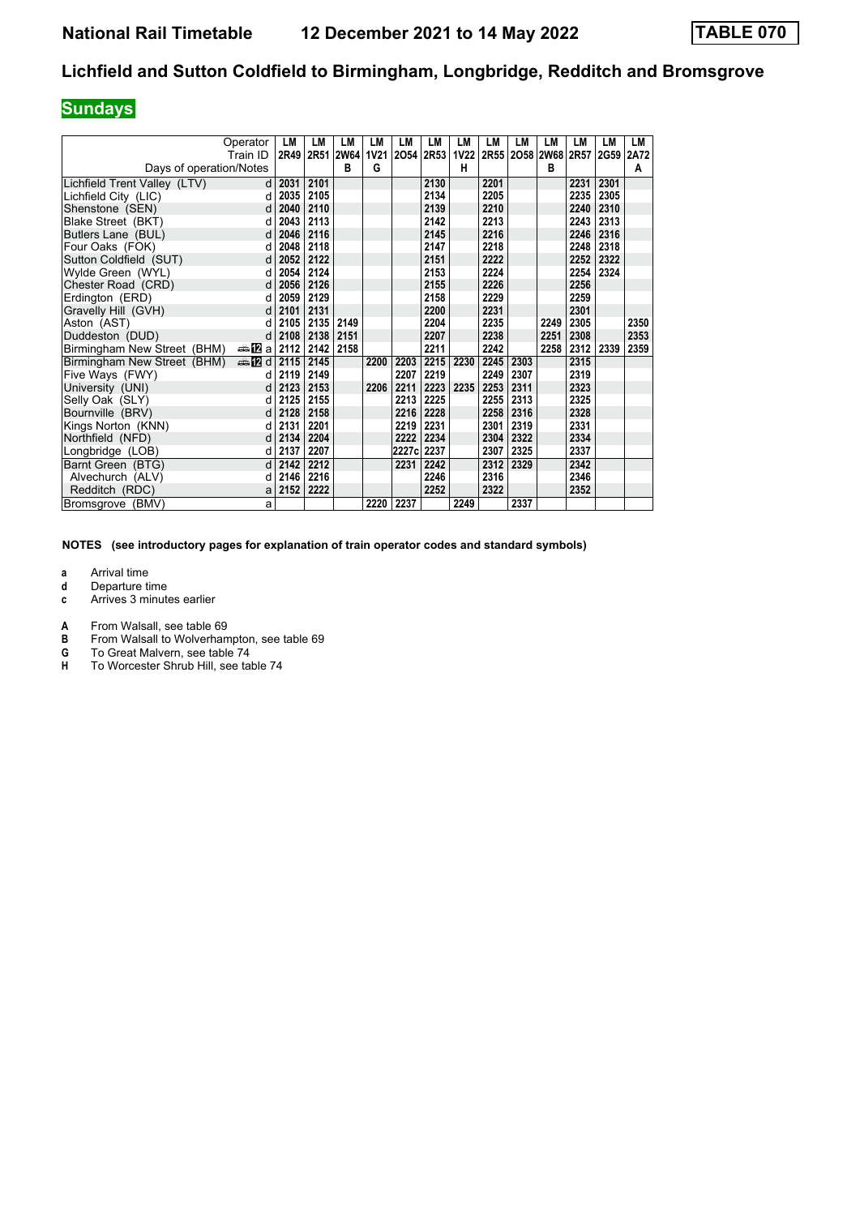## **Sundays**

| Operator<br>Train ID<br>Days of operation/Notes | LM   | <b>LM</b><br>2R49 2R51 | LM<br><b>2W64</b><br>B | LM<br>1V21<br>G | LM<br>2054 | LM<br><b>2R53</b> | LM<br>н | LM<br>1V22 2R55 | LM   | LM<br>2058 2W68 2R57<br>B | LM   | LМ<br>2G59 2A72 | <b>LM</b><br>A |
|-------------------------------------------------|------|------------------------|------------------------|-----------------|------------|-------------------|---------|-----------------|------|---------------------------|------|-----------------|----------------|
|                                                 |      |                        |                        |                 |            |                   |         |                 |      |                           |      |                 |                |
| Lichfield Trent Valley (LTV)<br><sub>d</sub>    | 2031 | 2101                   |                        |                 |            | 2130              |         | 2201            |      |                           | 2231 | 2301            |                |
| Lichfield City (LIC)<br>d                       | 2035 | 2105                   |                        |                 |            | 2134              |         | 2205            |      |                           | 2235 | 2305            |                |
| Shenstone (SEN)<br>d                            | 2040 | 2110                   |                        |                 |            | 2139              |         | 2210            |      |                           | 2240 | 2310            |                |
| Blake Street (BKT)<br>d                         | 2043 | 2113                   |                        |                 |            | 2142              |         | 2213            |      |                           | 2243 | 2313            |                |
| Butlers Lane (BUL)<br>d                         | 2046 | 2116                   |                        |                 |            | 2145              |         | 2216            |      |                           | 2246 | 2316            |                |
| Four Oaks (FOK)<br>d                            | 2048 | 2118                   |                        |                 |            | 2147              |         | 2218            |      |                           | 2248 | 2318            |                |
| Sutton Coldfield (SUT)<br>d                     | 2052 | 2122                   |                        |                 |            | 2151              |         | 2222            |      |                           | 2252 | 2322            |                |
| Wylde Green (WYL)<br>d                          | 2054 | 2124                   |                        |                 |            | 2153              |         | 2224            |      |                           | 2254 | 2324            |                |
| Chester Road (CRD)<br>d                         | 2056 | 2126                   |                        |                 |            | 2155              |         | 2226            |      |                           | 2256 |                 |                |
| Erdington (ERD)<br>d                            | 2059 | 2129                   |                        |                 |            | 2158              |         | 2229            |      |                           | 2259 |                 |                |
| Gravelly Hill (GVH)<br>d                        | 2101 | 2131                   |                        |                 |            | 2200              |         | 2231            |      |                           | 2301 |                 |                |
| Aston (AST)<br>d                                | 2105 | 2135                   | 2149                   |                 |            | 2204              |         | 2235            |      | 2249                      | 2305 |                 | 2350           |
| Duddeston (DUD)<br>d                            | 2108 | 2138                   | 2151                   |                 |            | 2207              |         | 2238            |      | 2251                      | 2308 |                 | 2353           |
| nna MEIal<br>Birmingham New Street (BHM)        | 2112 | 2142                   | 2158                   |                 |            | 2211              |         | 2242            |      | 2258                      | 2312 | 2339            | 2359           |
| $\triangleq 2$ d<br>Birmingham New Street (BHM) | 2115 | 2145                   |                        | 2200            | 2203       | 2215              | 2230    | 2245            | 2303 |                           | 2315 |                 |                |
| Five Ways (FWY)<br>d                            | 2119 | 2149                   |                        |                 | 2207       | 2219              |         | 2249            | 2307 |                           | 2319 |                 |                |
| University (UNI)<br>d                           | 2123 | 2153                   |                        | 2206            | 2211       | 2223              | 2235    | 2253            | 2311 |                           | 2323 |                 |                |
| Selly Oak (SLY)<br>d                            | 2125 | 2155                   |                        |                 | 2213       | 2225              |         | 2255            | 2313 |                           | 2325 |                 |                |
| Bournville (BRV)<br>d                           | 2128 | 2158                   |                        |                 | 2216       | 2228              |         | 2258            | 2316 |                           | 2328 |                 |                |
| Kings Norton (KNN)<br>d                         | 2131 | 2201                   |                        |                 | 2219       | 2231              |         | 2301            | 2319 |                           | 2331 |                 |                |
| Northfield (NFD)<br>d                           | 2134 | 2204                   |                        |                 | 2222       | 2234              |         | 2304            | 2322 |                           | 2334 |                 |                |
| Longbridge (LOB)<br>d                           | 2137 | 2207                   |                        |                 | 2227c      | 2237              |         | 2307            | 2325 |                           | 2337 |                 |                |
| Barnt Green (BTG)<br>d                          | 2142 | 2212                   |                        |                 | 2231       | 2242              |         | 2312            | 2329 |                           | 2342 |                 |                |
| Alvechurch (ALV)<br>d                           | 2146 | 2216                   |                        |                 |            | 2246              |         | 2316            |      |                           | 2346 |                 |                |
| Redditch (RDC)<br>a                             | 2152 | 2222                   |                        |                 |            | 2252              |         | 2322            |      |                           | 2352 |                 |                |
| Bromsgrove (BMV)<br>a                           |      |                        |                        | 2220            | 2237       |                   | 2249    |                 | 2337 |                           |      |                 |                |

**NOTES (see introductory pages for explanation of train operator codes and standard symbols)**

- **d** Departure time
- **c** Arrives 3 minutes earlier
- **A** From Walsall, see table 69<br>**B** From Walsall to Wolverham
- **B** From Walsall to Wolverhampton, see table 69<br>**G** To Great Malvern, see table 74
- **6** To Great Malvern, see table 74<br>**H** To Worcester Shrub Hill, see tal
- To Worcester Shrub Hill, see table 74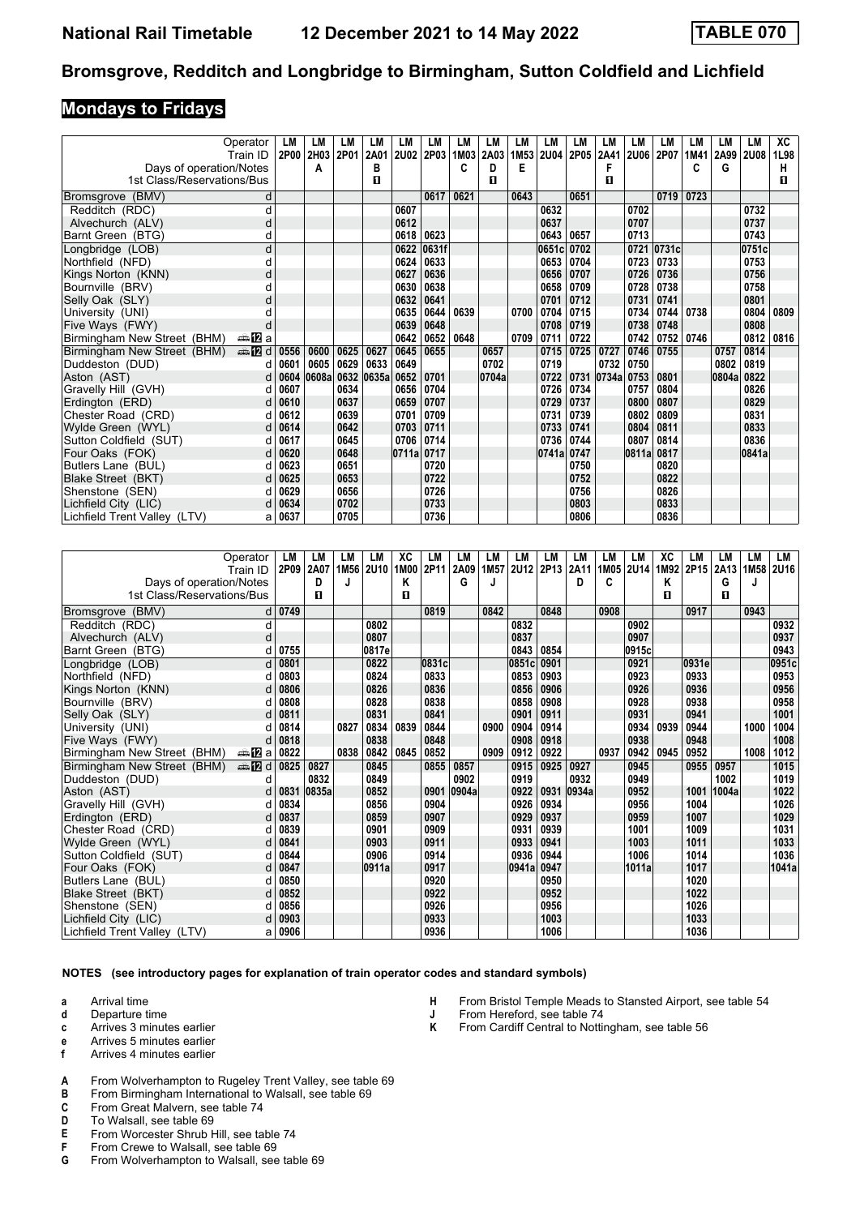#### **Mondays to Fridays**

|                              | Operator   | LМ   | LM         | LМ   | LM    | LM        | LM    | LM               | LМ    | LM   | LM          | LM   | LM         | LМ          | LM         | LM   | LM         | LM          | XC   |
|------------------------------|------------|------|------------|------|-------|-----------|-------|------------------|-------|------|-------------|------|------------|-------------|------------|------|------------|-------------|------|
|                              | Train ID   |      | 2P00 2H03  | 2P01 | 2A01  | 2U02 2P03 |       | 1M <sub>03</sub> | 2A03  | 1M53 | <b>2U04</b> | 2P05 | 2A41       | <b>2U06</b> | 2P07       | 1M41 | 2A99       | <b>2U08</b> | 1L98 |
| Days of operation/Notes      |            |      | А          |      | В     |           |       | c                | D     | Е    |             |      |            |             |            | C    | G          |             | н    |
| 1st Class/Reservations/Bus   |            |      |            |      | П     |           |       |                  | п     |      |             |      | п          |             |            |      |            |             | п    |
| (BMV)<br><b>Bromsgrove</b>   | d          |      |            |      |       |           | 0617  | 0621             |       | 0643 |             | 0651 |            |             | 0719       | 0723 |            |             |      |
| Redditch (RDC)               | d          |      |            |      |       | 0607      |       |                  |       |      | 0632        |      |            | 0702        |            |      |            | 0732        |      |
| Alvechurch (ALV)             | d          |      |            |      |       | 0612      |       |                  |       |      | 0637        |      |            | 0707        |            |      |            | 0737        |      |
| Barnt Green (BTG)            | d          |      |            |      |       | 0618      | 0623  |                  |       |      | 0643        | 0657 |            | 0713        |            |      |            | 0743        |      |
| Longbridge (LOB)             | d          |      |            |      |       | 0622      | 0631f |                  |       |      | 0651c       | 0702 |            |             | 0721 0731c |      |            | 0751c       |      |
| Northfield (NFD)             |            |      |            |      |       | 0624      | 0633  |                  |       |      | 0653        | 0704 |            | 0723        | 0733       |      |            | 0753        |      |
| Kings Norton (KNN)           | o          |      |            |      |       | 0627      | 0636  |                  |       |      | 0656        | 0707 |            | 0726        | 0736       |      |            | 0756        |      |
| Bournville (BRV)             |            |      |            |      |       | 0630      | 0638  |                  |       |      | 0658        | 0709 |            | 0728        | 0738       |      |            | 0758        |      |
| Selly Oak (SLY)              |            |      |            |      |       | 0632      | 0641  |                  |       |      | 0701        | 0712 |            | 0731        | 0741       |      |            | 0801        |      |
| University (UNI)             |            |      |            |      |       | 0635      | 0644  | 0639             |       | 0700 | 0704        | 0715 |            | 0734        | 0744       | 0738 |            | 0804        | 0809 |
| Five Ways (FWY)              |            |      |            |      |       | 0639      | 0648  |                  |       |      | 0708        | 0719 |            | 0738        | 0748       |      |            | 0808        |      |
| Birmingham New Street (BHM)  | a≞MEa      |      |            |      |       | 0642      | 0652  | 0648             |       | 0709 | 0711        | 0722 |            | 0742        | 0752       | 0746 |            | 0812        | 0816 |
| Birmingham New Street (BHM)  | <b>美卫d</b> | 0556 | 0600       | 0625 | 0627  | 0645      | 0655  |                  | 0657  |      | 0715        | 0725 | 0727       | 0746        | 0755       |      | 0757       | 0814        |      |
| Duddeston (DUD)              |            | 0601 | 0605       | 0629 | 0633  | 0649      |       |                  | 0702  |      | 0719        |      | 0732       | 0750        |            |      | 0802       | 0819        |      |
| Aston (AST)                  | d.         | 0604 | 0608a 0632 |      | 0635a | 0652      | 0701  |                  | 0704a |      | 0722        |      | 0731 0734a | 0753        | 0801       |      | 0804a 0822 |             |      |
| Gravelly Hill (GVH)          |            | 0607 |            | 0634 |       | 0656      | 0704  |                  |       |      | 0726        | 0734 |            | 0757        | 0804       |      |            | 0826        |      |
| Erdington (ERD)              | d          | 0610 |            | 0637 |       | 0659      | 0707  |                  |       |      | 0729        | 0737 |            | 0800        | 0807       |      |            | 0829        |      |
| Chester Road (CRD)           |            | 0612 |            | 0639 |       | 0701      | 0709  |                  |       |      | 0731        | 0739 |            | 0802        | 0809       |      |            | 0831        |      |
| Wylde Green (WYL)            |            | 0614 |            | 0642 |       | 0703      | 0711  |                  |       |      | 0733        | 0741 |            | 0804        | 0811       |      |            | 0833        |      |
| Sutton Coldfield (SUT)       |            | 0617 |            | 0645 |       | 0706      | 0714  |                  |       |      | 0736        | 0744 |            | 0807        | 0814       |      |            | 0836        |      |
| Four Oaks (FOK)              |            | 0620 |            | 0648 |       | 0711a     | 0717  |                  |       |      | 0741a       | 0747 |            | 0811a       | 0817       |      |            | 0841a       |      |
| Butlers Lane (BUL)           |            | 0623 |            | 0651 |       |           | 0720  |                  |       |      |             | 0750 |            |             | 0820       |      |            |             |      |
| Blake Street (BKT)           |            | 0625 |            | 0653 |       |           | 0722  |                  |       |      |             | 0752 |            |             | 0822       |      |            |             |      |
| Shenstone (SEN)              |            | 0629 |            | 0656 |       |           | 0726  |                  |       |      |             | 0756 |            |             | 0826       |      |            |             |      |
| Lichfield City (LIC)         |            | 0634 |            | 0702 |       |           | 0733  |                  |       |      |             | 0803 |            |             | 0833       |      |            |             |      |
| Lichfield Trent Valley (LTV) | а          | 0637 |            | 0705 |       |           | 0736  |                  |       |      |             | 0806 |            |             | 0836       |      |            |             |      |

|                              | Operator               | LM        | LM    | LМ   | LM          | XC   | LM    | LM    | LM   | LM          | LM   | LM    | LM   | LM          | XC   | LM               | LМ    | LM   | LM          |
|------------------------------|------------------------|-----------|-------|------|-------------|------|-------|-------|------|-------------|------|-------|------|-------------|------|------------------|-------|------|-------------|
|                              | Train ID               | 2P09 2A07 |       | 1M56 | <b>2U10</b> | 1M00 | 2P11  | 2A09  | 1M57 | <b>2U12</b> | 2P13 | 2A11  | 1M05 | <b>2U14</b> | 1M92 | 2P <sub>15</sub> | 2A13  | 1M58 | <b>2U16</b> |
| Days of operation/Notes      |                        |           | D     | J    |             | Κ    |       | G     | J    |             |      | D     | C    |             | Κ    |                  | G     |      |             |
| 1st Class/Reservations/Bus   |                        |           | п     |      |             | п    |       |       |      |             |      |       |      |             | п    |                  | п     |      |             |
| Bromsgrove (BMV)             | d                      | 0749      |       |      |             |      | 0819  |       | 0842 |             | 0848 |       | 0908 |             |      | 0917             |       | 0943 |             |
| Redditch (RDC)               | d                      |           |       |      | 0802        |      |       |       |      | 0832        |      |       |      | 0902        |      |                  |       |      | 0932        |
| Alvechurch (ALV)             | d                      |           |       |      | 0807        |      |       |       |      | 0837        |      |       |      | 0907        |      |                  |       |      | 0937        |
| Barnt Green (BTG)            | d                      | 0755      |       |      | 0817e       |      |       |       |      | 0843        | 0854 |       |      | 0915c       |      |                  |       |      | 0943        |
| Longbridge (LOB)             | d                      | 0801      |       |      | 0822        |      | 0831c |       |      | 0851c       | 0901 |       |      | 0921        |      | 0931e            |       |      | 0951c       |
| Northfield (NFD)             |                        | 0803      |       |      | 0824        |      | 0833  |       |      | 0853        | 0903 |       |      | 0923        |      | 0933             |       |      | 0953        |
| Kings Norton (KNN)           |                        | 0806      |       |      | 0826        |      | 0836  |       |      | 0856        | 0906 |       |      | 0926        |      | 0936             |       |      | 0956        |
| Bournville (BRV)             | d                      | 0808      |       |      | 0828        |      | 0838  |       |      | 0858        | 0908 |       |      | 0928        |      | 0938             |       |      | 0958        |
| Selly Oak (SLY)              |                        | 0811      |       |      | 0831        |      | 0841  |       |      | 0901        | 0911 |       |      | 0931        |      | 0941             |       |      | 1001        |
| University (UNI)             |                        | 0814      |       | 0827 | 0834        | 0839 | 0844  |       | 0900 | 0904        | 0914 |       |      | 0934        | 0939 | 0944             |       | 1000 | 1004        |
| Five Ways (FWY)              | d                      | 0818      |       |      | 0838        |      | 0848  |       |      | 0908        | 0918 |       |      | 0938        |      | 0948             |       |      | 1008        |
| Birmingham New Street (BHM)  | ana <mark>na</mark> ⊡a | 0822      |       | 0838 | 0842        | 0845 | 0852  |       | 0909 | 0912        | 0922 |       | 0937 | 0942        | 0945 | 0952             |       | 1008 | 1012        |
| Birmingham New Street (BHM)  | <b>⊯ 12</b> d          | 0825      | 0827  |      | 0845        |      | 0855  | 0857  |      | 0915        | 0925 | 0927  |      | 0945        |      | 0955             | 0957  |      | 1015        |
| Duddeston (DUD)              | d                      |           | 0832  |      | 0849        |      |       | 0902  |      | 0919        |      | 0932  |      | 0949        |      |                  | 1002  |      | 1019        |
| Aston (AST)                  | d                      | 0831      | 0835a |      | 0852        |      | 0901  | 0904a |      | 0922        | 0931 | 0934a |      | 0952        |      | 1001             | 1004a |      | 1022        |
| Gravelly Hill (GVH)          |                        | 0834      |       |      | 0856        |      | 0904  |       |      | 0926        | 0934 |       |      | 0956        |      | 1004             |       |      | 1026        |
| Erdington (ERD)              | d                      | 0837      |       |      | 0859        |      | 0907  |       |      | 0929        | 0937 |       |      | 0959        |      | 1007             |       |      | 1029        |
| Chester Road (CRD)           | d                      | 0839      |       |      | 0901        |      | 0909  |       |      | 0931        | 0939 |       |      | 1001        |      | 1009             |       |      | 1031        |
| Wylde Green (WYL)            | d                      | 0841      |       |      | 0903        |      | 0911  |       |      | 0933        | 0941 |       |      | 1003        |      | 1011             |       |      | 1033        |
| Sutton Coldfield (SUT)       | d                      | 0844      |       |      | 0906        |      | 0914  |       |      | 0936        | 0944 |       |      | 1006        |      | 1014             |       |      | 1036        |
| Four Oaks (FOK)              |                        | 0847      |       |      | 0911a       |      | 0917  |       |      | 0941a       | 0947 |       |      | 1011a       |      | 1017             |       |      | 1041a       |
| Butlers Lane (BUL)           | d                      | 0850      |       |      |             |      | 0920  |       |      |             | 0950 |       |      |             |      | 1020             |       |      |             |
| Blake Street (BKT)           | d                      | 0852      |       |      |             |      | 0922  |       |      |             | 0952 |       |      |             |      | 1022             |       |      |             |
| Shenstone (SEN)              |                        | 0856      |       |      |             |      | 0926  |       |      |             | 0956 |       |      |             |      | 1026             |       |      |             |
| Lichfield City (LIC)         | d                      | 0903      |       |      |             |      | 0933  |       |      |             | 1003 |       |      |             |      | 1033             |       |      |             |
| Lichfield Trent Valley (LTV) | a                      | 0906      |       |      |             |      | 0936  |       |      |             | 1006 |       |      |             |      | 1036             |       |      |             |

**NOTES (see introductory pages for explanation of train operator codes and standard symbols)**

**a** Arrival time

**d** Departure time

**c** Arrives 3 minutes earlier

**e** Arrives 5 minutes earlier<br>**f** Arrives 4 minutes earlier

**f** Arrives 4 minutes earlier

- **H** From Bristol Temple Meads to Stansted Airport, see table 54
- **-** From Hereford, see table 74<br>**K** From Cardiff Central to Nottin
	- From Cardiff Central to Nottingham, see table 56
- **A** From Wolverhampton to Rugeley Trent Valley, see table 69<br>**B** From Birmingham International to Walsall, see table 69
- From Birmingham International to Walsall, see table 69
- **C** From Great Malvern, see table 74
- **D** To Walsall, see table 69<br>**E** From Worcester Shrub H
- **E** From Worcester Shrub Hill, see table 74<br>**F** From Crewe to Walsall, see table 69
- **F** From Crewe to Walsall, see table 69<br>**G** From Wolverhampton to Walsall, see
- From Wolverhampton to Walsall, see table 69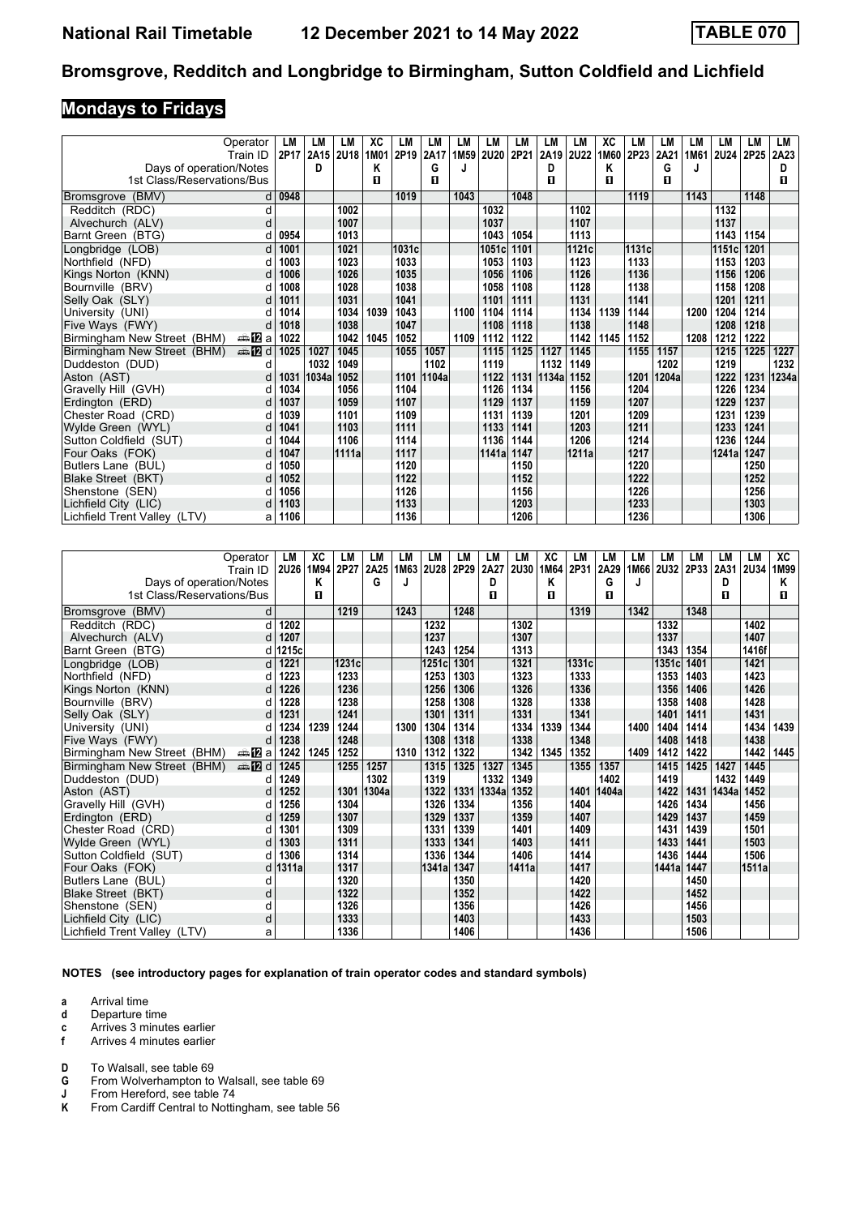## **Mondays to Fridays**

|                              | Operator        | LМ   | LM    | LM        | XC   | LM     | LM    | LM   | LM    | LM   | LM    | LM          | ХC   | LM     | LM    | <b>LM</b> | LM     | LM   | LM    |
|------------------------------|-----------------|------|-------|-----------|------|--------|-------|------|-------|------|-------|-------------|------|--------|-------|-----------|--------|------|-------|
|                              | Train ID        | 2P17 |       | 2A15 2U18 | 1M01 | 2P19   | 2A17  | 1M59 | 2U20  | 2P21 | 2A19  | <b>2U22</b> | 1M60 | 2P23   | 2A21  | 1M61      | 2U24   | 2P25 | 2A23  |
| Days of operation/Notes      |                 |      | D     |           | Κ    |        | G     |      |       |      | D     |             | Κ    |        | G     | J         |        |      | D     |
| 1st Class/Reservations/Bus   |                 |      |       |           | п    |        | п     |      |       |      | п     |             | П    |        | п     |           |        |      | п     |
| (BMV)<br><b>Bromsgrove</b>   |                 | 0948 |       |           |      | 1019   |       | 1043 |       | 1048 |       |             |      | 1119   |       | 1143      |        | 1148 |       |
| Redditch (RDC)               | d               |      |       | 1002      |      |        |       |      | 1032  |      |       | 1102        |      |        |       |           | 1132   |      |       |
| Alvechurch (ALV)             | d               |      |       | 1007      |      |        |       |      | 1037  |      |       | 1107        |      |        |       |           | 1137   |      |       |
| Barnt Green (BTG)            |                 | 0954 |       | 1013      |      |        |       |      | 1043  | 1054 |       | 1113        |      |        |       |           | 1143   | 1154 |       |
| Longbridge (LOB)             | d               | 1001 |       | 1021      |      | 1031cl |       |      | 1051c | 1101 |       | 1121c       |      | 1131cl |       |           | 1151cl | 1201 |       |
| Northfield (NFD)             |                 | 1003 |       | 1023      |      | 1033   |       |      | 1053  | 1103 |       | 1123        |      | 1133   |       |           | 1153   | 1203 |       |
| Kings Norton (KNN)           |                 | 1006 |       | 1026      |      | 1035   |       |      | 1056  | 1106 |       | 1126        |      | 1136   |       |           | 1156   | 1206 |       |
| Bournville (BRV)             |                 | 1008 |       | 1028      |      | 1038   |       |      | 1058  | 1108 |       | 1128        |      | 1138   |       |           | 1158   | 1208 |       |
| Selly Oak (SLY)              |                 | 1011 |       | 1031      |      | 1041   |       |      | 1101  | 1111 |       | 1131        |      | 1141   |       |           | 1201   | 1211 |       |
| University (UNI)             |                 | 1014 |       | 1034      | 1039 | 1043   |       | 1100 | 1104  | 1114 |       | 1134        | 1139 | 1144   |       | 1200      | 1204   | 1214 |       |
| Five Ways (FWY)              |                 | 1018 |       | 1038      |      | 1047   |       |      | 1108  | 1118 |       | 1138        |      | 1148   |       |           | 1208   | 1218 |       |
| Birmingham New Street (BHM)  | a≞MEa           | 1022 |       | 1042      | 1045 | 1052   |       | 1109 | 1112  | 1122 |       | 1142        | 1145 | 1152   |       | 1208      | 1212   | 1222 |       |
| Birmingham New Street (BHM)  | dan <b>in</b> d | 1025 | 1027  | 1045      |      | 1055   | 1057  |      | 1115  | 1125 | 1127  | 1145        |      | 1155   | 1157  |           | 1215   | 1225 | 1227  |
| Duddeston (DUD)              | d               |      | 1032  | 1049      |      |        | 1102  |      | 1119  |      | 1132  | 1149        |      |        | 1202  |           | 1219   |      | 1232  |
| Aston (AST)                  |                 | 1031 | 1034a | 1052      |      | 1101   | 1104a |      | 1122  | 1131 | 1134a | 1152        |      | 1201   | 1204a |           | 1222   | 1231 | 1234a |
| Gravelly Hill (GVH)          |                 | 1034 |       | 1056      |      | 1104   |       |      | 1126  | 1134 |       | 1156        |      | 1204   |       |           | 1226   | 1234 |       |
| Erdington (ERD)              | d               | 1037 |       | 1059      |      | 1107   |       |      | 1129  | 1137 |       | 1159        |      | 1207   |       |           | 1229   | 1237 |       |
| Chester Road (CRD)           |                 | 1039 |       | 1101      |      | 1109   |       |      | 1131  | 1139 |       | 1201        |      | 1209   |       |           | 1231   | 1239 |       |
| Wylde Green (WYL)            | d               | 1041 |       | 1103      |      | 1111   |       |      | 1133  | 1141 |       | 1203        |      | 1211   |       |           | 1233   | 1241 |       |
| Sutton Coldfield (SUT)       |                 | 1044 |       | 1106      |      | 1114   |       |      | 1136  | 1144 |       | 1206        |      | 1214   |       |           | 1236   | 1244 |       |
| Four Oaks (FOK)              | d               | 1047 |       | 1111a     |      | 1117   |       |      | 1141a | 1147 |       | 1211a       |      | 1217   |       |           | 1241a  | 1247 |       |
| Butlers Lane (BUL)           |                 | 1050 |       |           |      | 1120   |       |      |       | 1150 |       |             |      | 1220   |       |           |        | 1250 |       |
| Blake Street (BKT)           | d               | 1052 |       |           |      | 1122   |       |      |       | 1152 |       |             |      | 1222   |       |           |        | 1252 |       |
| Shenstone (SEN)              |                 | 1056 |       |           |      | 1126   |       |      |       | 1156 |       |             |      | 1226   |       |           |        | 1256 |       |
| Lichfield City (LIC)         |                 | 1103 |       |           |      | 1133   |       |      |       | 1203 |       |             |      | 1233   |       |           |        | 1303 |       |
| Lichfield Trent Valley (LTV) | а               | 1106 |       |           |      | 1136   |       |      |       | 1206 |       |             |      | 1236   |       |           |        | 1306 |       |

|                              | Operator               | LM    | XC   | LМ    | LM    | LM   | LM          | LM   | LM    | LM          | XC   | LM    | LM    | LM   | LM          | LM   | LМ    | LM    | XC   |
|------------------------------|------------------------|-------|------|-------|-------|------|-------------|------|-------|-------------|------|-------|-------|------|-------------|------|-------|-------|------|
|                              | Train ID               | 2U26  | 1M94 | 2P27  | 2A25  | 1M63 | <b>2U28</b> | 2P29 | 2A27  | <b>2U30</b> | 1M64 | 2P31  | 2A29  | 1M66 | <b>2U32</b> | 2P33 | 2A31  | 2U34  | 1M99 |
| Days of operation/Notes      |                        |       | Κ    |       | G     |      |             |      | D     |             | Κ    |       | G     | J    |             |      | D     |       | Κ    |
| 1st Class/Reservations/Bus   |                        |       | п    |       |       |      |             |      | п     |             | п    |       | п     |      |             |      | п     |       | п    |
| Bromsgrove (BMV)             | d                      |       |      | 1219  |       | 1243 |             | 1248 |       |             |      | 1319  |       | 1342 |             | 1348 |       |       |      |
| Redditch (RDC)               | d                      | 1202  |      |       |       |      | 1232        |      |       | 1302        |      |       |       |      | 1332        |      |       | 1402  |      |
| Alvechurch (ALV)             | d                      | 1207  |      |       |       |      | 1237        |      |       | 1307        |      |       |       |      | 1337        |      |       | 1407  |      |
| Barnt Green (BTG)            | d                      | 1215c |      |       |       |      | 1243        | 1254 |       | 1313        |      |       |       |      | 1343        | 1354 |       | 1416f |      |
| Longbridge (LOB)             | d                      | 1221  |      | 1231c |       |      | 1251c       | 1301 |       | 1321        |      | 1331c |       |      | 1351c       | 1401 |       | 1421  |      |
| Northfield (NFD)             |                        | 1223  |      | 1233  |       |      | 1253        | 1303 |       | 1323        |      | 1333  |       |      | 1353        | 1403 |       | 1423  |      |
| Kings Norton (KNN)           |                        | 1226  |      | 1236  |       |      | 1256        | 1306 |       | 1326        |      | 1336  |       |      | 1356        | 1406 |       | 1426  |      |
| Bournville (BRV)             |                        | 1228  |      | 1238  |       |      | 1258        | 1308 |       | 1328        |      | 1338  |       |      | 1358        | 1408 |       | 1428  |      |
| Selly Oak (SLY)              |                        | 1231  |      | 1241  |       |      | 1301        | 1311 |       | 1331        |      | 1341  |       |      | 1401        | 1411 |       | 1431  |      |
| University (UNI)             | d                      | 1234  | 1239 | 1244  |       | 1300 | 1304        | 1314 |       | 1334        | 1339 | 1344  |       | 1400 | 1404        | 1414 |       | 1434  | 1439 |
| Five Ways (FWY)              |                        | 1238  |      | 1248  |       |      | 1308        | 1318 |       | 1338        |      | 1348  |       |      | 1408        | 1418 |       | 1438  |      |
| Birmingham New Street (BHM)  | ana <mark>na</mark> ⊡a | 1242  | 1245 | 1252  |       | 1310 | 1312        | 1322 |       | 1342        | 1345 | 1352  |       | 1409 | 1412        | 1422 |       | 1442  | 1445 |
| Birmingham New Street (BHM)  | d <b>lan</b> and       | 1245  |      | 1255  | 1257  |      | 1315        | 1325 | 1327  | 1345        |      | 1355  | 1357  |      | 1415        | 1425 | 1427  | 1445  |      |
| Duddeston (DUD)              |                        | 1249  |      |       | 1302  |      | 1319        |      | 1332  | 1349        |      |       | 1402  |      | 1419        |      | 1432  | 1449  |      |
| Aston (AST)                  |                        | 1252  |      | 1301  | 1304a |      | 1322        | 1331 | 1334a | 1352        |      | 1401  | 1404a |      | 1422        | 1431 | 1434a | 1452  |      |
| Gravelly Hill (GVH)          |                        | 1256  |      | 1304  |       |      | 1326        | 1334 |       | 1356        |      | 1404  |       |      | 1426        | 1434 |       | 1456  |      |
| Erdington (ERD)              | d                      | 1259  |      | 1307  |       |      | 1329        | 1337 |       | 1359        |      | 1407  |       |      | 1429        | 1437 |       | 1459  |      |
| Chester Road (CRD)           |                        | 1301  |      | 1309  |       |      | 1331        | 1339 |       | 1401        |      | 1409  |       |      | 1431        | 1439 |       | 1501  |      |
| Wylde Green (WYL)            | d                      | 1303  |      | 1311  |       |      | 1333        | 1341 |       | 1403        |      | 1411  |       |      | 1433        | 1441 |       | 1503  |      |
| Sutton Coldfield (SUT)       |                        | 1306  |      | 1314  |       |      | 1336        | 1344 |       | 1406        |      | 1414  |       |      | 1436        | 1444 |       | 1506  |      |
| Four Oaks (FOK)              | d                      | 1311a |      | 1317  |       |      | 1341a       | 1347 |       | 1411a       |      | 1417  |       |      | 1441a       | 1447 |       | 1511a |      |
| Butlers Lane (BUL)           | d                      |       |      | 1320  |       |      |             | 1350 |       |             |      | 1420  |       |      |             | 1450 |       |       |      |
| Blake Street (BKT)           | d                      |       |      | 1322  |       |      |             | 1352 |       |             |      | 1422  |       |      |             | 1452 |       |       |      |
| Shenstone (SEN)              | d                      |       |      | 1326  |       |      |             | 1356 |       |             |      | 1426  |       |      |             | 1456 |       |       |      |
| Lichfield City (LIC)         | d                      |       |      | 1333  |       |      |             | 1403 |       |             |      | 1433  |       |      |             | 1503 |       |       |      |
| Lichfield Trent Valley (LTV) | а                      |       |      | 1336  |       |      |             | 1406 |       |             |      | 1436  |       |      |             | 1506 |       |       |      |

**NOTES (see introductory pages for explanation of train operator codes and standard symbols)**

**a** Arrival time

**d** Departure time

**c** Arrives 3 minutes earlier<br>**f** Arrives 4 minutes earlier

**f** Arrives 4 minutes earlier

**D** To Walsall, see table 69<br>**G** From Wolverhampton to **4** From Wolverhampton to Walsall, see table 69<br>**J** From Hereford, see table 74

**-** From Hereford, see table 74<br>**K** From Cardiff Central to Nottin

From Cardiff Central to Nottingham, see table 56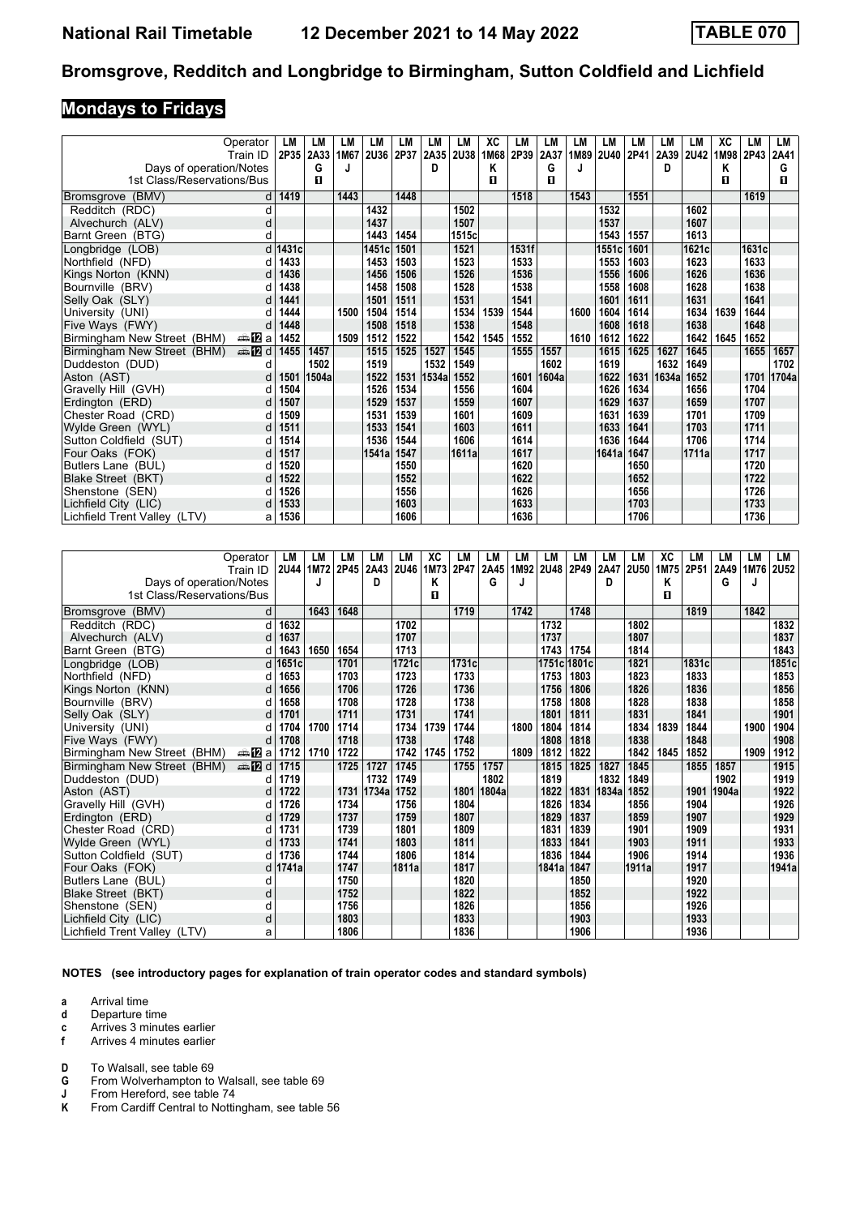#### **Mondays to Fridays**

|                              | Operator      | LM    | LM        | LM   | LM          | LM   | LМ    | LM    | XC   | LМ    | LM    | LM   | LM          | LM   | LM    | LM          | ХC   | LM    | LM    |
|------------------------------|---------------|-------|-----------|------|-------------|------|-------|-------|------|-------|-------|------|-------------|------|-------|-------------|------|-------|-------|
|                              | Train ID      |       | 2P35 2A33 | 1M67 | <b>2U36</b> | 2P37 | 2A35  | 2U38  | 1M68 | 2P39  | 2A37  | 1M89 | <b>2U40</b> | 2P41 | 2A39  | <b>2U42</b> | 1M98 | 2P43  | 2A41  |
| Days of operation/Notes      |               |       | G         |      |             |      | D     |       | Κ    |       | G     | J    |             |      | D     |             | Κ    |       | G     |
| 1st Class/Reservations/Bus   |               |       | п         |      |             |      |       |       | п    |       | п     |      |             |      |       |             | п    |       | п     |
| (BMV)<br><b>Bromsgrove</b>   | d             | 1419  |           | 1443 |             | 1448 |       |       |      | 1518  |       | 1543 |             | 1551 |       |             |      | 1619  |       |
| Redditch (RDC)               | d             |       |           |      | 1432        |      |       | 1502  |      |       |       |      | 1532        |      |       | 1602        |      |       |       |
| Alvechurch (ALV)             | d             |       |           |      | 1437        |      |       | 1507  |      |       |       |      | 1537        |      |       | 1607        |      |       |       |
| Barnt Green (BTG)            | d             |       |           |      | 1443        | 1454 |       | 1515c |      |       |       |      | 1543        | 1557 |       | 1613        |      |       |       |
| Longbridge (LOB)             | d             | 1431c |           |      | 1451c       | 1501 |       | 1521  |      | 1531f |       |      | 1551c       | 1601 |       | 1621c       |      | 1631c |       |
| Northfield (NFD)             |               | 1433  |           |      | 1453        | 1503 |       | 1523  |      | 1533  |       |      | 1553        | 1603 |       | 1623        |      | 1633  |       |
| Kings Norton (KNN)           |               | 1436  |           |      | 1456        | 1506 |       | 1526  |      | 1536  |       |      | 1556        | 1606 |       | 1626        |      | 1636  |       |
| Bournville (BRV)             |               | 1438  |           |      | 1458        | 1508 |       | 1528  |      | 1538  |       |      | 1558        | 1608 |       | 1628        |      | 1638  |       |
| Selly Oak (SLY)              |               | 1441  |           |      | 1501        | 1511 |       | 1531  |      | 1541  |       |      | 1601        | 1611 |       | 1631        |      | 1641  |       |
| University (UNI)             |               | 1444  |           | 1500 | 1504        | 1514 |       | 1534  | 1539 | 1544  |       | 1600 | 1604        | 1614 |       | 1634        | 1639 | 1644  |       |
| Five Ways (FWY)              |               | 1448  |           |      | 1508        | 1518 |       | 1538  |      | 1548  |       |      | 1608        | 1618 |       | 1638        |      | 1648  |       |
| Birmingham New Street (BHM)  | a≞MEa         | 1452  |           | 1509 | 1512        | 1522 |       | 1542  | 1545 | 1552  |       | 1610 | 1612        | 1622 |       | 1642        | 1645 | 1652  |       |
| Birmingham New Street (BHM)  | <b>⊯ 12</b> d | 1455  | 1457      |      | 1515        | 1525 | 1527  | 1545  |      | 1555  | 1557  |      | 1615        | 1625 | 1627  | 1645        |      | 1655  | 1657  |
| Duddeston (DUD)              | d             |       | 1502      |      | 1519        |      | 1532  | 1549  |      |       | 1602  |      | 1619        |      | 1632  | 1649        |      |       | 1702  |
| Aston (AST)                  |               | 1501  | 1504a     |      | 1522        | 1531 | 1534a | 1552  |      | 1601  | 1604a |      | 1622        | 1631 | 1634a | 1652        |      | 1701  | 1704a |
| Gravelly Hill (GVH)          |               | 1504  |           |      | 1526        | 1534 |       | 1556  |      | 1604  |       |      | 1626        | 1634 |       | 1656        |      | 1704  |       |
| Erdington (ERD)              | d             | 1507  |           |      | 1529        | 1537 |       | 1559  |      | 1607  |       |      | 1629        | 1637 |       | 1659        |      | 1707  |       |
| Chester Road (CRD)           |               | 1509  |           |      | 1531        | 1539 |       | 1601  |      | 1609  |       |      | 1631        | 1639 |       | 1701        |      | 1709  |       |
| Wylde Green (WYL)            | d             | 1511  |           |      | 1533        | 1541 |       | 1603  |      | 1611  |       |      | 1633        | 1641 |       | 1703        |      | 1711  |       |
| Sutton Coldfield (SUT)       |               | 1514  |           |      | 1536        | 1544 |       | 1606  |      | 1614  |       |      | 1636        | 1644 |       | 1706        |      | 1714  |       |
| Four Oaks (FOK)              |               | 1517  |           |      | 1541a       | 1547 |       | 1611a |      | 1617  |       |      | 1641a       | 1647 |       | 1711a       |      | 1717  |       |
| Butlers Lane (BUL)           |               | 1520  |           |      |             | 1550 |       |       |      | 1620  |       |      |             | 1650 |       |             |      | 1720  |       |
| Blake Street (BKT)           |               | 1522  |           |      |             | 1552 |       |       |      | 1622  |       |      |             | 1652 |       |             |      | 1722  |       |
| Shenstone (SEN)              |               | 1526  |           |      |             | 1556 |       |       |      | 1626  |       |      |             | 1656 |       |             |      | 1726  |       |
| Lichfield City (LIC)         |               | 1533  |           |      |             | 1603 |       |       |      | 1633  |       |      |             | 1703 |       |             |      | 1733  |       |
| Lichfield Trent Valley (LTV) | а             | 1536  |           |      |             | 1606 |       |       |      | 1636  |       |      |             | 1706 |       |             |      | 1736  |       |

|                              | Operator        | LM        | LM   | LM   | LM    | LM        | XC   | LM    | LM    | LМ   | LM          | LM    | LM         | LM    | XC   | LM     | LМ    | LM   | LM          |
|------------------------------|-----------------|-----------|------|------|-------|-----------|------|-------|-------|------|-------------|-------|------------|-------|------|--------|-------|------|-------------|
|                              | Train ID        | 2U44 1M72 |      | 2P45 | 2A43  | 2U46 1M73 |      | 2P47  | 2A45  | 1M92 | <b>2U48</b> | 2P49  | 2A47       | 2U50  | 1M75 | 2P51   | 2A49  | 1M76 | <b>2U52</b> |
| Days of operation/Notes      |                 |           | J    |      | D     |           | Κ    |       | G     |      |             |       | D          |       | Κ    |        | G     | J    |             |
| 1st Class/Reservations/Bus   |                 |           |      |      |       |           | п    |       |       |      |             |       |            |       | п    |        |       |      |             |
| Bromsgrove (BMV)             | d               |           | 1643 | 1648 |       |           |      | 1719  |       | 1742 |             | 1748  |            |       |      | 1819   |       | 1842 |             |
| Redditch (RDC)               | d               | 1632      |      |      |       | 1702      |      |       |       |      | 1732        |       |            | 1802  |      |        |       |      | 1832        |
| Alvechurch (ALV)             | d               | 1637      |      |      |       | 1707      |      |       |       |      | 1737        |       |            | 1807  |      |        |       |      | 1837        |
| Barnt Green (BTG)            | d               | 1643      | 1650 | 1654 |       | 1713      |      |       |       |      | 1743        | 1754  |            | 1814  |      |        |       |      | 1843        |
| Longbridge (LOB)             |                 | d 1651c   |      | 1701 |       | 1721c     |      | 1731c |       |      | 1751c       | 1801c |            | 1821  |      | 1831cl |       |      | 1851c       |
| Northfield (NFD)             |                 | 1653      |      | 1703 |       | 1723      |      | 1733  |       |      | 1753        | 1803  |            | 1823  |      | 1833   |       |      | 1853        |
| Kings Norton (KNN)           |                 | 1656      |      | 1706 |       | 1726      |      | 1736  |       |      | 1756        | 1806  |            | 1826  |      | 1836   |       |      | 1856        |
| Bournville (BRV)             |                 | 1658      |      | 1708 |       | 1728      |      | 1738  |       |      | 1758        | 1808  |            | 1828  |      | 1838   |       |      | 1858        |
| Selly Oak (SLY)              |                 | 1701      |      | 1711 |       | 1731      |      | 1741  |       |      | 1801        | 1811  |            | 1831  |      | 1841   |       |      | 1901        |
| University (UNI)             |                 | 1704      | 1700 | 1714 |       | 1734      | 1739 | 1744  |       | 1800 | 1804        | 1814  |            | 1834  | 1839 | 1844   |       | 1900 | 1904        |
| Five Ways (FWY)              |                 | 1708      |      | 1718 |       | 1738      |      | 1748  |       |      | 1808        | 1818  |            | 1838  |      | 1848   |       |      | 1908        |
| Birmingham New Street (BHM)  | a≞172 a         | 1712      | 1710 | 1722 |       | 1742      | 1745 | 1752  |       | 1809 | 1812        | 1822  |            | 1842  | 1845 | 1852   |       | 1909 | 1912        |
| Birmingham New Street (BHM)  | dan <b>in</b> d | 1715      |      | 1725 | 1727  | 1745      |      | 1755  | 1757  |      | 1815        | 1825  | 1827       | 1845  |      | 1855   | 1857  |      | 1915        |
| Duddeston (DUD)              |                 | 1719      |      |      | 1732  | 1749      |      |       | 1802  |      | 1819        |       | 1832       | 1849  |      |        | 1902  |      | 1919        |
| Aston (AST)                  |                 | 1722      |      | 1731 | 1734a | 1752      |      | 1801  | 1804a |      | 1822        |       | 1831 1834a | 1852  |      | 1901   | 1904a |      | 1922        |
| Gravelly Hill (GVH)          |                 | 1726      |      | 1734 |       | 1756      |      | 1804  |       |      | 1826        | 1834  |            | 1856  |      | 1904   |       |      | 1926        |
| Erdington (ERD)              | d               | 1729      |      | 1737 |       | 1759      |      | 1807  |       |      | 1829        | 1837  |            | 1859  |      | 1907   |       |      | 1929        |
| Chester Road (CRD)           |                 | 1731      |      | 1739 |       | 1801      |      | 1809  |       |      | 1831        | 1839  |            | 1901  |      | 1909   |       |      | 1931        |
| Wylde Green (WYL)            | d               | 1733      |      | 1741 |       | 1803      |      | 1811  |       |      | 1833        | 1841  |            | 1903  |      | 1911   |       |      | 1933        |
| Sutton Coldfield (SUT)       |                 | 1736      |      | 1744 |       | 1806      |      | 1814  |       |      | 1836        | 1844  |            | 1906  |      | 1914   |       |      | 1936        |
| Four Oaks (FOK)              |                 | d 1741a   |      | 1747 |       | 1811a     |      | 1817  |       |      | 1841a       | 1847  |            | 1911a |      | 1917   |       |      | 1941a       |
| Butlers Lane (BUL)           | d               |           |      | 1750 |       |           |      | 1820  |       |      |             | 1850  |            |       |      | 1920   |       |      |             |
| Blake Street (BKT)           | d               |           |      | 1752 |       |           |      | 1822  |       |      |             | 1852  |            |       |      | 1922   |       |      |             |
| Shenstone (SEN)              | d               |           |      | 1756 |       |           |      | 1826  |       |      |             | 1856  |            |       |      | 1926   |       |      |             |
| Lichfield City (LIC)         | d               |           |      | 1803 |       |           |      | 1833  |       |      |             | 1903  |            |       |      | 1933   |       |      |             |
| Lichfield Trent Valley (LTV) | a               |           |      | 1806 |       |           |      | 1836  |       |      |             | 1906  |            |       |      | 1936   |       |      |             |

**NOTES (see introductory pages for explanation of train operator codes and standard symbols)**

**a** Arrival time

**d** Departure time

**c** Arrives 3 minutes earlier<br>**f** Arrives 4 minutes earlier

**f** Arrives 4 minutes earlier

**D** To Walsall, see table 69<br>**G** From Wolverhampton to **4** From Wolverhampton to Walsall, see table 69<br>**J** From Hereford, see table 74

**-** From Hereford, see table 74<br>**K** From Cardiff Central to Nottin

From Cardiff Central to Nottingham, see table 56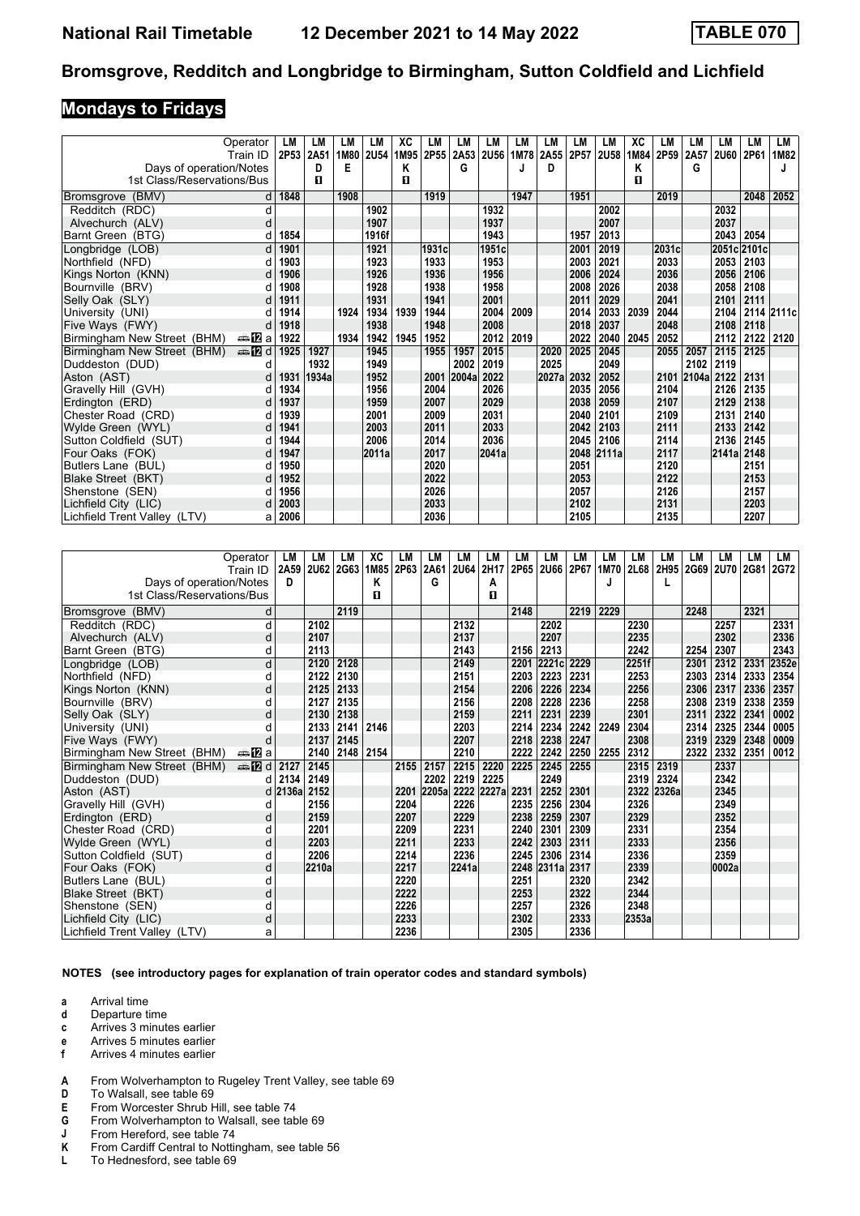## **Mondays to Fridays**

|                              | Operator      | LM        | LM    | LМ   | LM          | XC   | LM    | LM    | LM          | LМ   | LM    | LM   | LM          | XC   | LM    | LM         | LM          | LM        | LM         |
|------------------------------|---------------|-----------|-------|------|-------------|------|-------|-------|-------------|------|-------|------|-------------|------|-------|------------|-------------|-----------|------------|
|                              | Train ID      | 2P53 2A51 |       | 1M80 | <b>2U54</b> | 1M95 | 2P55  | 2A53  | <b>2U56</b> | 1M78 | 2A55  | 2P57 | <b>2U58</b> | 1M84 | 2P59  | 2A57       | <b>2U60</b> | 2P61      | 1M82       |
| Days of operation/Notes      |               |           | D     | Е    |             | Κ    |       | G     |             |      | D     |      |             | Κ    |       | G          |             |           |            |
| 1st Class/Reservations/Bus   |               |           | п     |      |             | п    |       |       |             |      |       |      |             | п    |       |            |             |           |            |
| (BMV)<br><b>Bromsgrove</b>   | d             | 1848      |       | 1908 |             |      | 1919  |       |             | 1947 |       | 1951 |             |      | 2019  |            |             | 2048      | 2052       |
| Redditch (RDC)               | d             |           |       |      | 1902        |      |       |       | 1932        |      |       |      | 2002        |      |       |            | 2032        |           |            |
| Alvechurch (ALV)             | d             |           |       |      | 1907        |      |       |       | 1937        |      |       |      | 2007        |      |       |            | 2037        |           |            |
| Barnt Green (BTG)            | d             | 1854      |       |      | 1916f       |      |       |       | 1943        |      |       | 1957 | 2013        |      |       |            | 2043 2054   |           |            |
| Longbridge (LOB)             | d             | 1901      |       |      | 1921        |      | 1931c |       | 1951c       |      |       | 2001 | 2019        |      | 2031c |            | 2051c 2101c |           |            |
| Northfield (NFD)             | d             | 1903      |       |      | 1923        |      | 1933  |       | 1953        |      |       | 2003 | 2021        |      | 2033  |            |             | 2053 2103 |            |
| Kings Norton (KNN)           | d             | 1906      |       |      | 1926        |      | 1936  |       | 1956        |      |       | 2006 | 2024        |      | 2036  |            | 2056        | 2106      |            |
| Bournville (BRV)             | d             | 1908      |       |      | 1928        |      | 1938  |       | 1958        |      |       | 2008 | 2026        |      | 2038  |            | 2058        | 2108      |            |
| Selly Oak (SLY)              | d             | 1911      |       |      | 1931        |      | 1941  |       | 2001        |      |       | 2011 | 2029        |      | 2041  |            | 2101        | 2111      |            |
| University (UNI)             |               | 1914      |       | 1924 | 1934        | 1939 | 1944  |       | 2004        | 2009 |       | 2014 | 2033        | 2039 | 2044  |            | 2104        |           | 2114 2111c |
| Five Ways (FWY)              | d             | 1918      |       |      | 1938        |      | 1948  |       | 2008        |      |       | 2018 | 2037        |      | 2048  |            | 2108        | 2118      |            |
| Birmingham New Street (BHM)  | a≞MZa         | 1922      |       | 1934 | 1942        | 1945 | 1952  |       | 2012        | 2019 |       | 2022 | 2040        | 2045 | 2052  |            | 2112        | 2122      | 2120       |
| Birmingham New Street (BHM)  | <b>⊯ 12</b> d | 1925      | 1927  |      | 1945        |      | 1955  | 1957  | 2015        |      | 2020  | 2025 | 2045        |      | 2055  | 2057       | 2115        | 2125      |            |
| Duddeston (DUD)              | d             |           | 1932  |      | 1949        |      |       | 2002  | 2019        |      | 2025  |      | 2049        |      |       | 2102       | 2119        |           |            |
| Aston (AST)                  | d             | 1931      | 1934a |      | 1952        |      | 2001  | 2004a | 2022        |      | 2027a | 2032 | 2052        |      |       | 2101 2104a | 2122        | 2131      |            |
| Gravelly Hill (GVH)          | d             | 1934      |       |      | 1956        |      | 2004  |       | 2026        |      |       | 2035 | 2056        |      | 2104  |            | 2126        | 2135      |            |
| Erdington (ERD)              | d             | 1937      |       |      | 1959        |      | 2007  |       | 2029        |      |       | 2038 | 2059        |      | 2107  |            | 2129        | 2138      |            |
| Chester Road (CRD)           | d             | 1939      |       |      | 2001        |      | 2009  |       | 2031        |      |       | 2040 | 2101        |      | 2109  |            | 2131        | 2140      |            |
| Wylde Green (WYL)            | d             | 1941      |       |      | 2003        |      | 2011  |       | 2033        |      |       | 2042 | 2103        |      | 2111  |            | 2133        | 2142      |            |
| Sutton Coldfield (SUT)       | d             | 1944      |       |      | 2006        |      | 2014  |       | 2036        |      |       | 2045 | 2106        |      | 2114  |            | 2136        | 2145      |            |
| Four Oaks (FOK)              | d             | 1947      |       |      | 2011a       |      | 2017  |       | 2041a       |      |       |      | 2048 2111a  |      | 2117  |            | 2141a 2148  |           |            |
| Butlers Lane (BUL)           | d             | 1950      |       |      |             |      | 2020  |       |             |      |       | 2051 |             |      | 2120  |            |             | 2151      |            |
| Blake Street (BKT)           | d             | 1952      |       |      |             |      | 2022  |       |             |      |       | 2053 |             |      | 2122  |            |             | 2153      |            |
| Shenstone (SEN)              | d             | 1956      |       |      |             |      | 2026  |       |             |      |       | 2057 |             |      | 2126  |            |             | 2157      |            |
| Lichfield City (LIC)         |               | 2003      |       |      |             |      | 2033  |       |             |      |       | 2102 |             |      | 2131  |            |             | 2203      |            |
| Lichfield Trent Valley (LTV) | а             | 2006      |       |      |             |      | 2036  |       |             |      |       | 2105 |             |      | 2135  |            |             | 2207      |            |

|                              | Operator      | LМ      | LM        | LМ   | ХC   | LM   | LM    | LM          | LM    | LM   | LM          | LM   | LM   | LM    | LM    | LM        | LМ          | LM   | LM          |
|------------------------------|---------------|---------|-----------|------|------|------|-------|-------------|-------|------|-------------|------|------|-------|-------|-----------|-------------|------|-------------|
|                              | Train ID      |         | 2A59 2U62 | 2G63 | 1M85 | 2P63 | 2A61  | <b>2U64</b> | 2H17  | 2P65 | <b>2U66</b> | 2P67 | 1M70 | 2L68  |       | 2H95 2G69 | <b>2U70</b> | 2G81 | <b>2G72</b> |
| Days of operation/Notes      |               | D       |           |      | Κ    |      | G     |             | Α     |      |             |      | J    |       |       |           |             |      |             |
| 1st Class/Reservations/Bus   |               |         |           |      | п    |      |       |             | п     |      |             |      |      |       |       |           |             |      |             |
| Bromsgrove (BMV)             | d             |         |           | 2119 |      |      |       |             |       | 2148 |             | 2219 | 2229 |       |       | 2248      |             | 2321 |             |
| Redditch (RDC)               | d             |         | 2102      |      |      |      |       | 2132        |       |      | 2202        |      |      | 2230  |       |           | 2257        |      | 2331        |
| Alvechurch (ALV)             | d             |         | 2107      |      |      |      |       | 2137        |       |      | 2207        |      |      | 2235  |       |           | 2302        |      | 2336        |
| Barnt Green (BTG)            | d             |         | 2113      |      |      |      |       | 2143        |       | 2156 | 2213        |      |      | 2242  |       | 2254      | 2307        |      | 2343        |
| Longbridge (LOB)             | d             |         | 2120      | 2128 |      |      |       | 2149        |       | 2201 | 2221c       | 2229 |      | 2251f |       | 2301      | 2312        | 2331 | 2352e       |
| Northfield (NFD)             | d             |         | 2122      | 2130 |      |      |       | 2151        |       | 2203 | 2223        | 2231 |      | 2253  |       | 2303      | 2314        | 2333 | 2354        |
| Kings Norton (KNN)           | d             |         | 2125      | 2133 |      |      |       | 2154        |       | 2206 | 2226        | 2234 |      | 2256  |       | 2306      | 2317        | 2336 | 2357        |
| Bournville (BRV)             | d             |         | 2127      | 2135 |      |      |       | 2156        |       | 2208 | 2228        | 2236 |      | 2258  |       | 2308      | 2319        | 2338 | 2359        |
| Selly Oak (SLY)              | d             |         | 2130      | 2138 |      |      |       | 2159        |       | 2211 | 2231        | 2239 |      | 2301  |       | 2311      | 2322        | 2341 | 0002        |
| University (UNI)             |               |         | 2133      | 2141 | 2146 |      |       | 2203        |       | 2214 | 2234        | 2242 | 2249 | 2304  |       | 2314      | 2325        | 2344 | 0005        |
| Five Ways (FWY)              |               |         | 2137      | 2145 |      |      |       | 2207        |       | 2218 | 2238        | 2247 |      | 2308  |       | 2319      | 2329        | 2348 | 0009        |
| Birmingham New Street (BHM)  | a≞MEa         |         | 2140      | 2148 | 2154 |      |       | 2210        |       | 2222 | 2242        | 2250 | 2255 | 2312  |       | 2322      | 2332        | 2351 | 0012        |
| Birmingham New Street (BHM)  | <b>⊯ 12</b> d | 2127    | 2145      |      |      | 2155 | 2157  | 2215        | 2220  | 2225 | 2245        | 2255 |      | 2315  | 2319  |           | 2337        |      |             |
| Duddeston (DUD)              | d             | 2134    | 2149      |      |      |      | 2202  | 2219        | 2225  |      | 2249        |      |      | 2319  | 2324  |           | 2342        |      |             |
| Aston (AST)                  |               | d 2136a | 2152      |      |      | 2201 | 2205a | 2222        | 2227a | 2231 | 2252        | 2301 |      | 2322  | 2326a |           | 2345        |      |             |
| Gravelly Hill (GVH)          | d             |         | 2156      |      |      | 2204 |       | 2226        |       | 2235 | 2256        | 2304 |      | 2326  |       |           | 2349        |      |             |
| Erdington (ERD)              | d             |         | 2159      |      |      | 2207 |       | 2229        |       | 2238 | 2259        | 2307 |      | 2329  |       |           | 2352        |      |             |
| Chester Road (CRD)           | d             |         | 2201      |      |      | 2209 |       | 2231        |       | 2240 | 2301        | 2309 |      | 2331  |       |           | 2354        |      |             |
| Wylde Green (WYL)            | d             |         | 2203      |      |      | 2211 |       | 2233        |       | 2242 | 2303        | 2311 |      | 2333  |       |           | 2356        |      |             |
| Sutton Coldfield (SUT)       | d             |         | 2206      |      |      | 2214 |       | 2236        |       | 2245 | 2306        | 2314 |      | 2336  |       |           | 2359        |      |             |
| Four Oaks (FOK)              | d             |         | 2210a     |      |      | 2217 |       | 2241a       |       |      | 2248 2311a  | 2317 |      | 2339  |       |           | 0002a       |      |             |
| Butlers Lane (BUL)           | d             |         |           |      |      | 2220 |       |             |       | 2251 |             | 2320 |      | 2342  |       |           |             |      |             |
| Blake Street (BKT)           | d             |         |           |      |      | 2222 |       |             |       | 2253 |             | 2322 |      | 2344  |       |           |             |      |             |
| Shenstone (SEN)              |               |         |           |      |      | 2226 |       |             |       | 2257 |             | 2326 |      | 2348  |       |           |             |      |             |
| Lichfield City (LIC)         | d             |         |           |      |      | 2233 |       |             |       | 2302 |             | 2333 |      | 2353a |       |           |             |      |             |
| Lichfield Trent Valley (LTV) | a             |         |           |      |      | 2236 |       |             |       | 2305 |             | 2336 |      |       |       |           |             |      |             |

**NOTES (see introductory pages for explanation of train operator codes and standard symbols)**

- **d** Departure time
- **c** Arrives 3 minutes earlier
- **e** Arrives 5 minutes earlier<br>**f** Arrives 4 minutes earlier
- **f** Arrives 4 minutes earlier
- **A** From Wolverhampton to Rugeley Trent Valley, see table 69<br>**D** To Walsall, see table 69
- 
- From Worcester Shrub Hill, see table 74
- **D** To Walsall, see table 69<br>**E** From Worcester Shrub **F**<br>**G** From Wolverhampton to **6** From Wolverhampton to Walsall, see table 69<br>**J** From Hereford, see table 74
- **-** From Hereford, see table 74<br>**K** From Cardiff Central to Nottin
- **K** From Cardiff Central to Nottingham, see table 56<br>**L** To Hednesford, see table 69
- To Hednesford, see table 69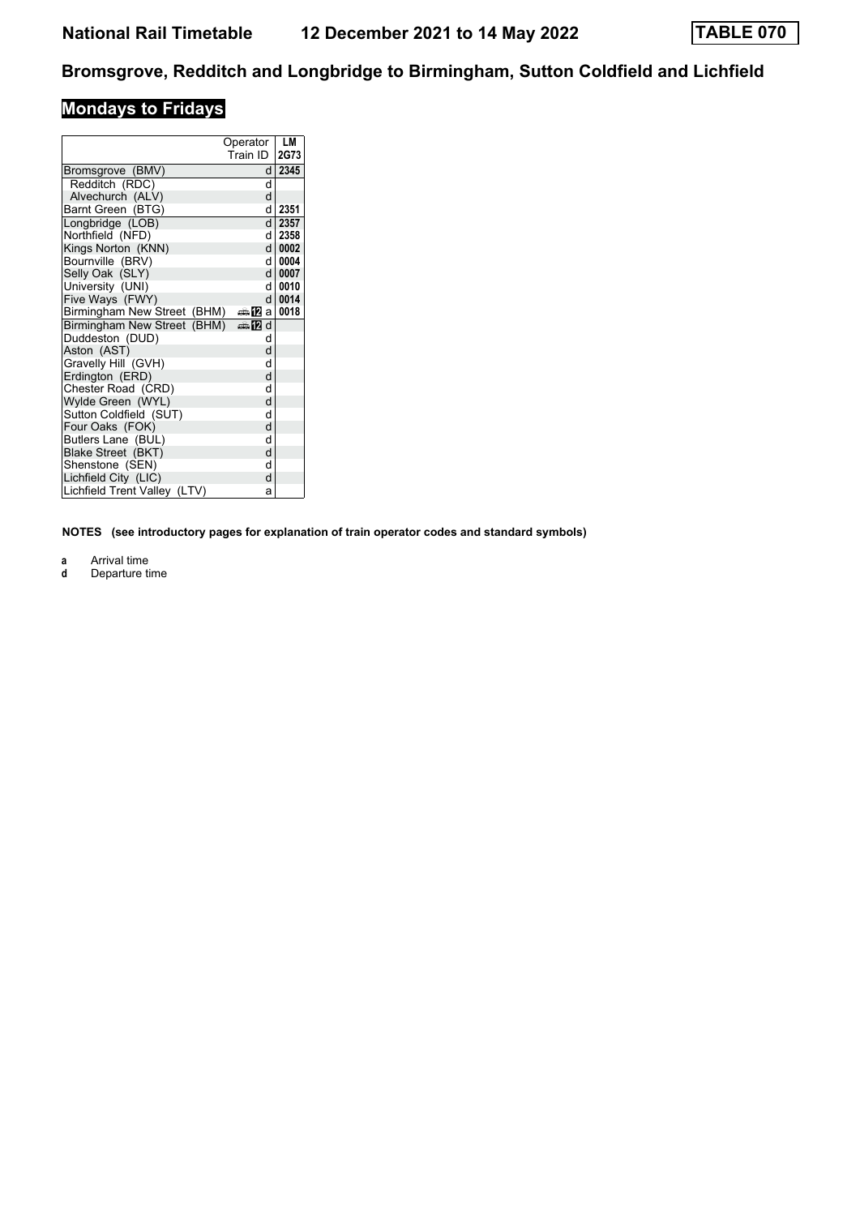# **Mondays to Fridays**

|                                 | Operator<br>Train ID    | LM<br>2G73 |
|---------------------------------|-------------------------|------------|
| Bromsgrove (BMV)                | d                       | 2345       |
| Redditch (RDC)                  | d                       |            |
| Alvechurch (ALV)                | d                       |            |
| Barnt Green (BTG)               | d                       | 2351       |
| Longbridge (LOB)                | d                       | 2357       |
| Northfield (NFD)                | d                       | 2358       |
| Kings Norton (KNN)              | d l                     | 0002       |
| Bournville (BRV)                | d                       | 0004       |
| Selly Oak (SLY)                 | d                       | 0007       |
| University (UNI)                | d                       | 0010       |
| Five Ways (FWY)                 | $\mathsf{d}$            | 0014       |
| Birmingham New Street (BHM)     | da <mark>n</mark> a Dal | 0018       |
| Birmingham New Street (BHM)     | d <b>la</b> a           |            |
| Duddeston (DUD)                 | d                       |            |
| Aston (AST)                     | d                       |            |
| Gravelly Hill (GVH)             | d                       |            |
| Erdington (ERD)                 | d                       |            |
| Chester Road (CRD)              | d                       |            |
| Wylde Green (WYL)               | d                       |            |
| Sutton Coldfield (SUT)          | d                       |            |
| Four Oaks (FOK)                 | d                       |            |
| Butlers Lane (BUL)              | d                       |            |
| Blake Street (BKT)              | d                       |            |
| Shenstone (SEN)                 | d                       |            |
| Lichfield City (LIC)            | d                       |            |
| Lichfield Trent Valley<br>(LTV) | a                       |            |

**NOTES (see introductory pages for explanation of train operator codes and standard symbols)**

**a** Arrival time

**d** Departure time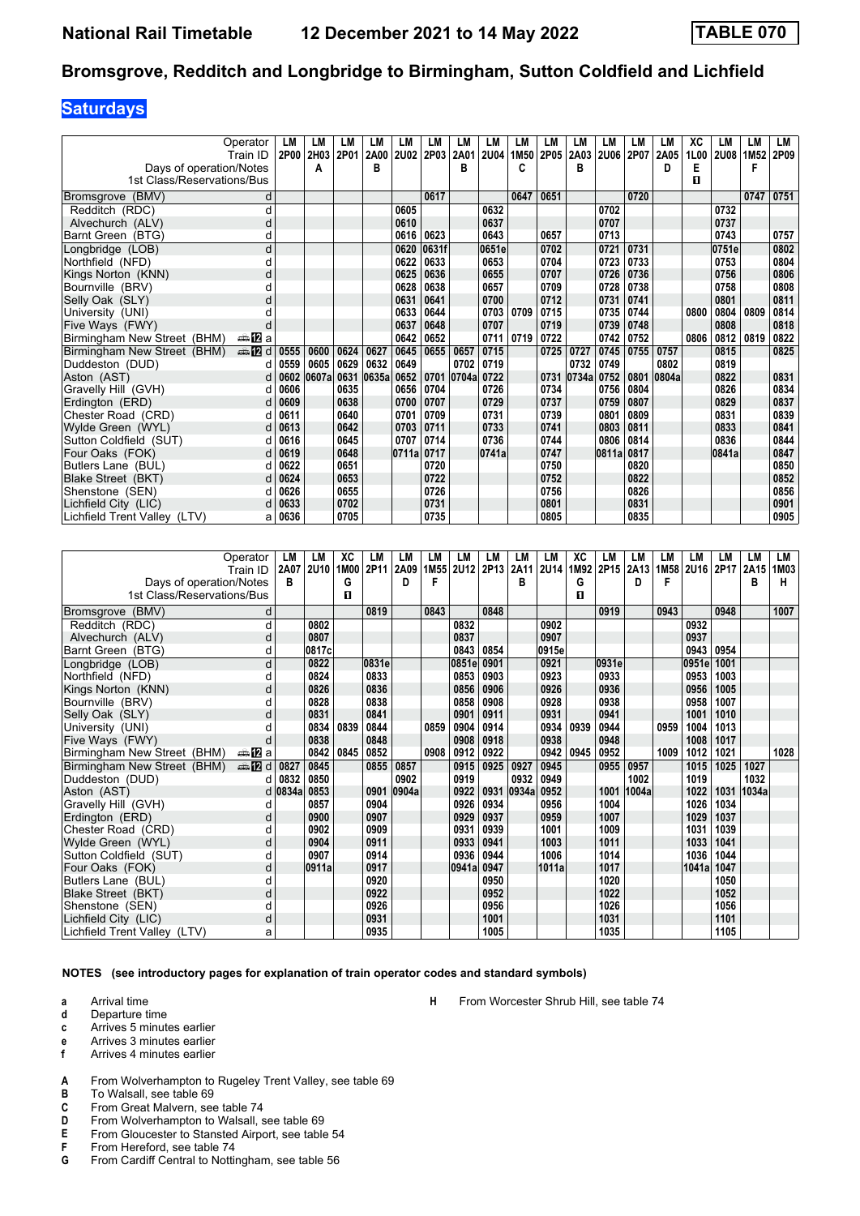## **Saturdays**

|                              | Operator       | LМ   | LМ        | LМ   | LМ    | LM    | LM    | LM    | LM          | <b>LM</b> | LM   | LM    | LM          | LM   | LM    | XC   | LМ    | LM   | LM   |
|------------------------------|----------------|------|-----------|------|-------|-------|-------|-------|-------------|-----------|------|-------|-------------|------|-------|------|-------|------|------|
|                              | Train ID       |      | 2P00 2H03 | 2P01 | 2A00  | 2U02  | 2P03  | 2A01  | <b>2U04</b> | 1M50      | 2P05 | 2A03  | <b>2U06</b> | 2P07 | 2A05  | 1L00 | 2U08  | 1M52 | 2P09 |
| Days of operation/Notes      |                |      | A         |      | в     |       |       | в     |             | C         |      | в     |             |      | D     | Е    |       | F    |      |
| 1st Class/Reservations/Bus   |                |      |           |      |       |       |       |       |             |           |      |       |             |      |       | п    |       |      |      |
| (BMV)<br><b>Bromsgrove</b>   | d              |      |           |      |       |       | 0617  |       |             | 0647      | 0651 |       |             | 0720 |       |      |       | 0747 | 0751 |
| Redditch (RDC)               | d              |      |           |      |       | 0605  |       |       | 0632        |           |      |       | 0702        |      |       |      | 0732  |      |      |
| Alvechurch (ALV)             | d              |      |           |      |       | 0610  |       |       | 0637        |           |      |       | 0707        |      |       |      | 0737  |      |      |
| Barnt Green (BTG)            | d              |      |           |      |       | 0616  | 0623  |       | 0643        |           | 0657 |       | 0713        |      |       |      | 0743  |      | 0757 |
| Longbridge (LOB)             | d              |      |           |      |       | 0620  | 0631f |       | 0651e       |           | 0702 |       | 0721        | 0731 |       |      | 0751e |      | 0802 |
| Northfield (NFD)             | d              |      |           |      |       | 0622  | 0633  |       | 0653        |           | 0704 |       | 0723        | 0733 |       |      | 0753  |      | 0804 |
| Kings Norton (KNN)           | d              |      |           |      |       | 0625  | 0636  |       | 0655        |           | 0707 |       | 0726        | 0736 |       |      | 0756  |      | 0806 |
| Bournville (BRV)             | d              |      |           |      |       | 0628  | 0638  |       | 0657        |           | 0709 |       | 0728        | 0738 |       |      | 0758  |      | 0808 |
| Selly Oak (SLY)              | d              |      |           |      |       | 0631  | 0641  |       | 0700        |           | 0712 |       | 0731        | 0741 |       |      | 0801  |      | 0811 |
| University (UNI)             |                |      |           |      |       | 0633  | 0644  |       | 0703        | 0709      | 0715 |       | 0735        | 0744 |       | 0800 | 0804  | 0809 | 0814 |
| Five Ways (FWY)              |                |      |           |      |       | 0637  | 0648  |       | 0707        |           | 0719 |       | 0739        | 0748 |       |      | 0808  |      | 0818 |
| Birmingham New Street (BHM)  | a≞122la        |      |           |      |       | 0642  | 0652  |       | 0711        | 0719      | 0722 |       | 0742        | 0752 |       | 0806 | 0812  | 0819 | 0822 |
| Birmingham New Street (BHM)  | $\oplus$ [2] d | 0555 | 0600      | 0624 | 0627  | 0645  | 0655  | 0657  | 0715        |           | 0725 | 0727  | 0745        | 0755 | 0757  |      | 0815  |      | 0825 |
| Duddeston (DUD)              | d              | 0559 | 0605      | 0629 | 0632  | 0649  |       | 0702  | 0719        |           |      | 0732  | 0749        |      | 0802  |      | 0819  |      |      |
| Aston (AST)                  | d              | 0602 | 0607a     | 0631 | 0635a | 0652  | 0701  | 0704a | 0722        |           | 0731 | 0734a | 0752        | 0801 | 0804a |      | 0822  |      | 0831 |
| Gravelly Hill (GVH)          | d              | 0606 |           | 0635 |       | 0656  | 0704  |       | 0726        |           | 0734 |       | 0756        | 0804 |       |      | 0826  |      | 0834 |
| Erdington (ERD)              | d              | 0609 |           | 0638 |       | 0700  | 0707  |       | 0729        |           | 0737 |       | 0759        | 0807 |       |      | 0829  |      | 0837 |
| Chester Road (CRD)           | d              | 0611 |           | 0640 |       | 0701  | 0709  |       | 0731        |           | 0739 |       | 0801        | 0809 |       |      | 0831  |      | 0839 |
| Wylde Green (WYL)            | d              | 0613 |           | 0642 |       | 0703  | 0711  |       | 0733        |           | 0741 |       | 0803        | 0811 |       |      | 0833  |      | 0841 |
| Sutton Coldfield (SUT)       | d              | 0616 |           | 0645 |       | 0707  | 0714  |       | 0736        |           | 0744 |       | 0806        | 0814 |       |      | 0836  |      | 0844 |
| Four Oaks (FOK)              | d              | 0619 |           | 0648 |       | 0711a | 0717  |       | 0741a       |           | 0747 |       | 0811a       | 0817 |       |      | 0841a |      | 0847 |
| Butlers Lane (BUL)           | d              | 0622 |           | 0651 |       |       | 0720  |       |             |           | 0750 |       |             | 0820 |       |      |       |      | 0850 |
| Blake Street (BKT)           | d              | 0624 |           | 0653 |       |       | 0722  |       |             |           | 0752 |       |             | 0822 |       |      |       |      | 0852 |
| Shenstone (SEN)              | d              | 0626 |           | 0655 |       |       | 0726  |       |             |           | 0756 |       |             | 0826 |       |      |       |      | 0856 |
| Lichfield City (LIC)         |                | 0633 |           | 0702 |       |       | 0731  |       |             |           | 0801 |       |             | 0831 |       |      |       |      | 0901 |
| Lichfield Trent Valley (LTV) | a              | 0636 |           | 0705 |       |       | 0735  |       |             |           | 0805 |       |             | 0835 |       |      |       |      | 0905 |

|                              | Operator | LM      | LM    | ХC   | LM    | LM    | LM   | LM    | LM   | LМ    | LM          | ХC   | LM    | LМ    | LM   | LM          | LМ   | LM    | LM   |
|------------------------------|----------|---------|-------|------|-------|-------|------|-------|------|-------|-------------|------|-------|-------|------|-------------|------|-------|------|
|                              | Train ID | 2A07    | 2U10  | 1M00 | 2P11  | 2A09  | 1M55 | 2U12  | 2P13 | 2A11  | <b>2U14</b> | 1M92 | 2P15  | 2A13  | 1M58 | <b>2U16</b> | 2P17 | 2A15  | 1M03 |
| Days of operation/Notes      |          | B       |       | G    |       | D     | F    |       |      | B     |             | G    |       | D     | F    |             |      | в     | н    |
| 1st Class/Reservations/Bus   |          |         |       | п    |       |       |      |       |      |       |             | п    |       |       |      |             |      |       |      |
| (BMV)<br><b>Bromsgrove</b>   | d        |         |       |      | 0819  |       | 0843 |       | 0848 |       |             |      | 0919  |       | 0943 |             | 0948 |       | 1007 |
| Redditch (RDC)               | d        |         | 0802  |      |       |       |      | 0832  |      |       | 0902        |      |       |       |      | 0932        |      |       |      |
| Alvechurch (ALV)             | d        |         | 0807  |      |       |       |      | 0837  |      |       | 0907        |      |       |       |      | 0937        |      |       |      |
| Barnt Green (BTG)            | d        |         | 0817c |      |       |       |      | 0843  | 0854 |       | 0915e       |      |       |       |      | 0943        | 0954 |       |      |
| Longbridge (LOB)             | d        |         | 0822  |      | 0831e |       |      | 0851e | 0901 |       | 0921        |      | 0931e |       |      | 0951e       | 1001 |       |      |
| Northfield (NFD)             | d        |         | 0824  |      | 0833  |       |      | 0853  | 0903 |       | 0923        |      | 0933  |       |      | 0953        | 1003 |       |      |
| Kings Norton (KNN)           | d        |         | 0826  |      | 0836  |       |      | 0856  | 0906 |       | 0926        |      | 0936  |       |      | 0956        | 1005 |       |      |
| Bournville (BRV)             | d        |         | 0828  |      | 0838  |       |      | 0858  | 0908 |       | 0928        |      | 0938  |       |      | 0958        | 1007 |       |      |
| Selly Oak (SLY)              | d        |         | 0831  |      | 0841  |       |      | 0901  | 0911 |       | 0931        |      | 0941  |       |      | 1001        | 1010 |       |      |
| University (UNI)             |          |         | 0834  | 0839 | 0844  |       | 0859 | 0904  | 0914 |       | 0934        | 0939 | 0944  |       | 0959 | 1004        | 1013 |       |      |
| Five Ways (FWY)              |          |         | 0838  |      | 0848  |       |      | 0908  | 0918 |       | 0938        |      | 0948  |       |      | 1008        | 1017 |       |      |
| Birmingham New Street (BHM)  | a≞122 a  |         | 0842  | 0845 | 0852  |       | 0908 | 0912  | 0922 |       | 0942        | 0945 | 0952  |       | 1009 | 1012        | 1021 |       | 1028 |
| Birmingham New Street (BHM)  | ⊯ 12 d   | 0827    | 0845  |      | 0855  | 0857  |      | 0915  | 0925 | 0927  | 0945        |      | 0955  | 0957  |      | 1015        | 1025 | 1027  |      |
| Duddeston (DUD)              | d        | 0832    | 0850  |      |       | 0902  |      | 0919  |      | 0932  | 0949        |      |       | 1002  |      | 1019        |      | 1032  |      |
| Aston (AST)                  |          | d 0834a | 0853  |      | 0901  | 0904a |      | 0922  | 0931 | 0934a | 0952        |      | 1001  | 1004a |      | 1022        | 1031 | 1034a |      |
| Gravelly Hill (GVH)          | d        |         | 0857  |      | 0904  |       |      | 0926  | 0934 |       | 0956        |      | 1004  |       |      | 1026        | 1034 |       |      |
| Erdington (ERD)              | d        |         | 0900  |      | 0907  |       |      | 0929  | 0937 |       | 0959        |      | 1007  |       |      | 1029        | 1037 |       |      |
| Chester Road (CRD)           | d        |         | 0902  |      | 0909  |       |      | 0931  | 0939 |       | 1001        |      | 1009  |       |      | 1031        | 1039 |       |      |
| Wylde Green (WYL)            | d        |         | 0904  |      | 0911  |       |      | 0933  | 0941 |       | 1003        |      | 1011  |       |      | 1033        | 1041 |       |      |
| Sutton Coldfield (SUT)       | d        |         | 0907  |      | 0914  |       |      | 0936  | 0944 |       | 1006        |      | 1014  |       |      | 1036        | 1044 |       |      |
| Four Oaks (FOK)              | d        |         | 0911a |      | 0917  |       |      | 0941a | 0947 |       | 1011a       |      | 1017  |       |      | 1041a       | 1047 |       |      |
| Butlers Lane (BUL)           | d        |         |       |      | 0920  |       |      |       | 0950 |       |             |      | 1020  |       |      |             | 1050 |       |      |
| Blake Street (BKT)           | d        |         |       |      | 0922  |       |      |       | 0952 |       |             |      | 1022  |       |      |             | 1052 |       |      |
| Shenstone (SEN)              | U        |         |       |      | 0926  |       |      |       | 0956 |       |             |      | 1026  |       |      |             | 1056 |       |      |
| Lichfield City (LIC)         | d        |         |       |      | 0931  |       |      |       | 1001 |       |             |      | 1031  |       |      |             | 1101 |       |      |
| Lichfield Trent Valley (LTV) | a        |         |       |      | 0935  |       |      |       | 1005 |       |             |      | 1035  |       |      |             | 1105 |       |      |

**NOTES (see introductory pages for explanation of train operator codes and standard symbols)**

**a** Arrival time

- **d** Departure time
- **c** Arrives 5 minutes earlier
- **e** Arrives 3 minutes earlier<br>**f** Arrives 4 minutes earlier
- **f** Arrives 4 minutes earlier
- **A** From Wolverhampton to Rugeley Trent Valley, see table 69<br>**B** To Walsall, see table 69
- To Walsall, see table 69
- **C** From Great Malvern, see table 74
- **D** From Wolverhampton to Walsall, see table 69<br>**E** From Gloucester to Stansted Airport, see table
- **E** From Gloucester to Stansted Airport, see table 54<br>**F** From Hereford, see table 74
- **F** From Hereford, see table 74<br>**G** From Cardiff Central to Nottin
- From Cardiff Central to Nottingham, see table 56

**H** From Worcester Shrub Hill, see table 74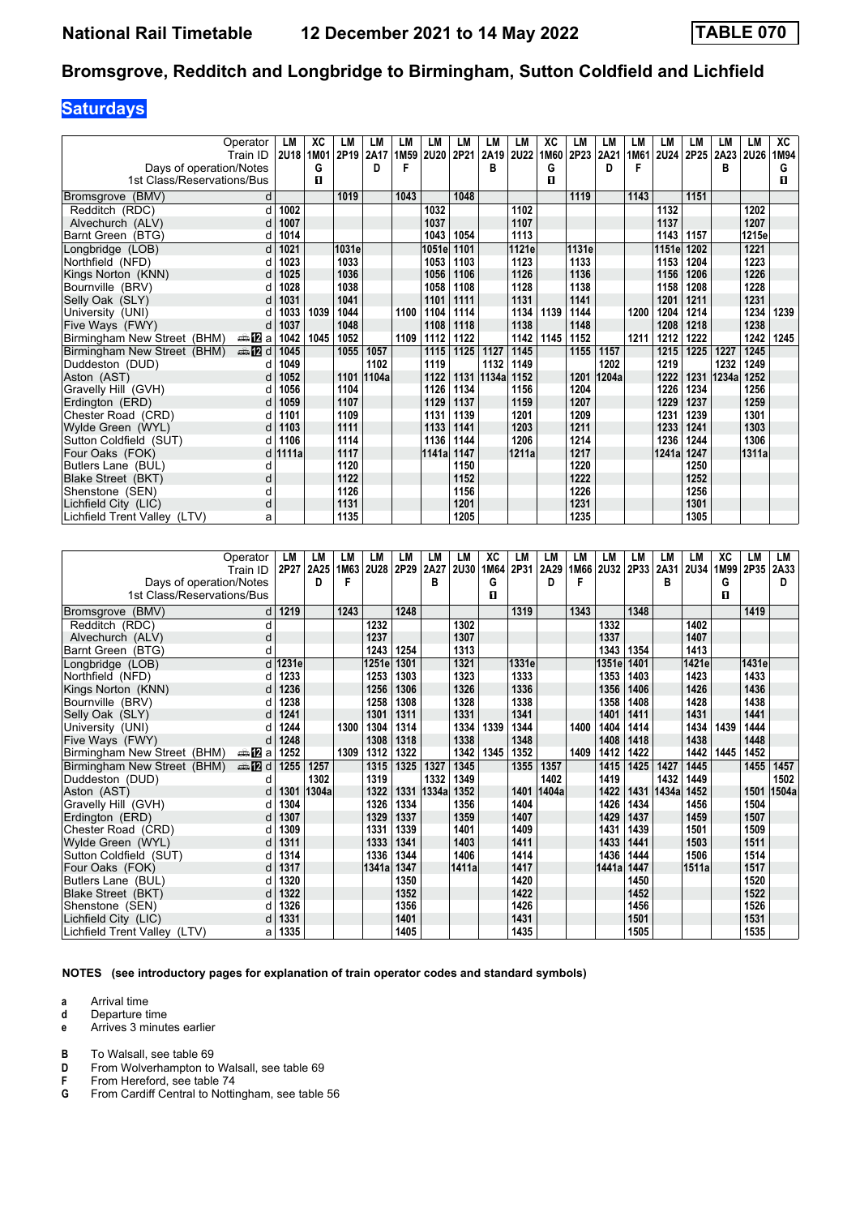# **Saturdays**

|                              | Operator<br>Train ID | LM<br><b>2U18</b> | XC<br>1M01 | <b>LM</b><br>2P19 | LM<br>2A17 | LM<br>1M59 | LМ<br><b>2U20</b> | LM<br>2P21 | LM<br>2A19 | LМ<br>2U22 | XC<br>1M60 | LM<br>2P23 | LM<br>2A21 | LM<br>1M61 | LM<br><b>2U24</b> | LM<br>2P25 | LМ<br>2A23 | LM<br><b>2U26</b> | XC<br>1M94 |
|------------------------------|----------------------|-------------------|------------|-------------------|------------|------------|-------------------|------------|------------|------------|------------|------------|------------|------------|-------------------|------------|------------|-------------------|------------|
| Days of operation/Notes      |                      |                   | G          |                   | D          |            |                   |            | в          |            | G          |            | D          | F          |                   |            | в          |                   | G          |
| 1st Class/Reservations/Bus   |                      |                   | п          |                   |            |            |                   |            |            |            | п          |            |            |            |                   |            |            |                   | п          |
| (BMV)<br><b>Bromsgrove</b>   | d                    |                   |            | 1019              |            | 1043       |                   | 1048       |            |            |            | 1119       |            | 1143       |                   | 1151       |            |                   |            |
| Redditch (RDC)               | d                    | 1002              |            |                   |            |            | 1032              |            |            | 1102       |            |            |            |            | 1132              |            |            | 1202              |            |
| Alvechurch (ALV)             | d                    | 1007              |            |                   |            |            | 1037              |            |            | 1107       |            |            |            |            | 1137              |            |            | 1207              |            |
| Barnt Green (BTG)            | d                    | 1014              |            |                   |            |            | 1043              | 1054       |            | 1113       |            |            |            |            | 1143              | 1157       |            | 1215e             |            |
| Longbridge (LOB)             | d                    | 1021              |            | 1031e             |            |            | 1051e             | 1101       |            | 1121e      |            | 1131e      |            |            | 1151e             | 1202       |            | 1221              |            |
| Northfield (NFD)             | d                    | 1023              |            | 1033              |            |            | 1053              | 1103       |            | 1123       |            | 1133       |            |            | 1153              | 1204       |            | 1223              |            |
| Kings Norton (KNN)           | d                    | 1025              |            | 1036              |            |            | 1056              | 1106       |            | 1126       |            | 1136       |            |            | 1156              | 1206       |            | 1226              |            |
| Bournville (BRV)             | d                    | 1028              |            | 1038              |            |            | 1058              | 1108       |            | 1128       |            | 1138       |            |            | 1158              | 1208       |            | 1228              |            |
| Selly Oak (SLY)              | d                    | 1031              |            | 1041              |            |            | 1101              | 1111       |            | 1131       |            | 1141       |            |            | 1201              | 1211       |            | 1231              |            |
| University (UNI)             | d                    | 1033              | 1039       | 1044              |            | 1100       | 1104              | 1114       |            | 1134       | 1139       | 1144       |            | 1200       | 1204              | 1214       |            | 1234              | 1239       |
| Five Ways (FWY)              | d                    | 1037              |            | 1048              |            |            | 1108              | 1118       |            | 1138       |            | 1148       |            |            | 1208              | 1218       |            | 1238              |            |
| Birmingham New Street (BHM)  | a≞MEa                | 1042              | 1045       | 1052              |            | 1109       | 1112              | 1122       |            | 1142       | 1145       | 1152       |            | 1211       | 1212              | 1222       |            | 1242              | 1245       |
| Birmingham New Street (BHM)  | <b>⊯ 12</b> d        | 1045              |            | 1055              | 1057       |            | 1115              | 1125       | 1127       | 1145       |            | 1155       | 1157       |            | 1215              | 1225       | 1227       | 1245              |            |
| Duddeston (DUD)              | U                    | 1049              |            |                   | 1102       |            | 1119              |            | 1132       | 1149       |            |            | 1202       |            | 1219              |            | 1232       | 1249              |            |
| Aston (AST)                  |                      | 1052              |            | 1101              | 1104a      |            | 1122              | 1131       | 1134a      | 1152       |            | 1201       | 1204a      |            | 1222              | 1231       | 1234a      | 1252              |            |
| Gravelly Hill (GVH)          |                      | 1056              |            | 1104              |            |            | 1126              | 1134       |            | 1156       |            | 1204       |            |            | 1226              | 1234       |            | 1256              |            |
| Erdington (ERD)              | d                    | 1059              |            | 1107              |            |            | 1129              | 1137       |            | 1159       |            | 1207       |            |            | 1229              | 1237       |            | 1259              |            |
| Chester Road (CRD)           | d                    | 1101              |            | 1109              |            |            | 1131              | 1139       |            | 1201       |            | 1209       |            |            | 1231              | 1239       |            | 1301              |            |
| Wylde Green (WYL)            | d                    | 1103              |            | 1111              |            |            | 1133              | 1141       |            | 1203       |            | 1211       |            |            | 1233              | 1241       |            | 1303              |            |
| Sutton Coldfield (SUT)       | d                    | 1106              |            | 1114              |            |            | 1136              | 1144       |            | 1206       |            | 1214       |            |            | 1236              | 1244       |            | 1306              |            |
| Four Oaks (FOK)              |                      | d 1111a           |            | 1117              |            |            | 1141a             | 1147       |            | 1211a      |            | 1217       |            |            | 1241a             | 1247       |            | 1311a             |            |
| Butlers Lane (BUL)           | d                    |                   |            | 1120              |            |            |                   | 1150       |            |            |            | 1220       |            |            |                   | 1250       |            |                   |            |
| Blake Street (BKT)           | d                    |                   |            | 1122              |            |            |                   | 1152       |            |            |            | 1222       |            |            |                   | 1252       |            |                   |            |
| Shenstone (SEN)              | d                    |                   |            | 1126              |            |            |                   | 1156       |            |            |            | 1226       |            |            |                   | 1256       |            |                   |            |
| Lichfield City (LIC)         | d                    |                   |            | 1131              |            |            |                   | 1201       |            |            |            | 1231       |            |            |                   | 1301       |            |                   |            |
| Lichfield Trent Valley (LTV) | a                    |                   |            | 1135              |            |            |                   | 1205       |            |            |            | 1235       |            |            |                   | 1305       |            |                   |            |

|                              | Operator       | LM      | LM    | LМ   | LM          | LM   | LM    | LM    | XC   | LM    | LM    | LM   | LM          | LM   | LM    | LM          | XC   | LM    | LM    |
|------------------------------|----------------|---------|-------|------|-------------|------|-------|-------|------|-------|-------|------|-------------|------|-------|-------------|------|-------|-------|
|                              | Train ID       | 2P27    | 2A25  | 1M63 | <b>2U28</b> | 2P29 | 2A27  | 2U30  | 1M64 | 2P31  | 2A29  | 1M66 | <b>2U32</b> | 2P33 | 2A31  | <b>2U34</b> | 1M99 | 2P35  | 2A33  |
| Days of operation/Notes      |                |         | D     |      |             |      | в     |       | G    |       | D     | F    |             |      | в     |             | G    |       | D     |
| 1st Class/Reservations/Bus   |                |         |       |      |             |      |       |       | п    |       |       |      |             |      |       |             | п    |       |       |
|                              |                |         |       | 1243 |             |      |       |       |      |       |       |      |             |      |       |             |      |       |       |
| Bromsgrove (BMV)             |                | 1219    |       |      |             | 1248 |       |       |      | 1319  |       | 1343 |             | 1348 |       |             |      | 1419  |       |
| Redditch (RDC)               | d              |         |       |      | 1232        |      |       | 1302  |      |       |       |      | 1332        |      |       | 1402        |      |       |       |
| Alvechurch (ALV)             | d              |         |       |      | 1237        |      |       | 1307  |      |       |       |      | 1337        |      |       | 1407        |      |       |       |
| Barnt Green (BTG)            | d              |         |       |      | 1243        | 1254 |       | 1313  |      |       |       |      | 1343        | 1354 |       | 1413        |      |       |       |
| Longbridge (LOB)             |                | d 1231e |       |      | 1251e       | 1301 |       | 1321  |      | 1331e |       |      | 1351e       | 1401 |       | 1421e       |      | 1431e |       |
| Northfield (NFD)             |                | 1233    |       |      | 1253        | 1303 |       | 1323  |      | 1333  |       |      | 1353        | 1403 |       | 1423        |      | 1433  |       |
| Kings Norton (KNN)           | d              | 1236    |       |      | 1256        | 1306 |       | 1326  |      | 1336  |       |      | 1356        | 1406 |       | 1426        |      | 1436  |       |
| Bournville (BRV)             |                | 1238    |       |      | 1258        | 1308 |       | 1328  |      | 1338  |       |      | 1358        | 1408 |       | 1428        |      | 1438  |       |
| Selly Oak (SLY)              | d              | 1241    |       |      | 1301        | 1311 |       | 1331  |      | 1341  |       |      | 1401        | 1411 |       | 1431        |      | 1441  |       |
| University (UNI)             |                | 1244    |       | 1300 | 1304        | 1314 |       | 1334  | 1339 | 1344  |       | 1400 | 1404        | 1414 |       | 1434        | 1439 | 1444  |       |
| Five Ways (FWY)              |                | 1248    |       |      | 1308        | 1318 |       | 1338  |      | 1348  |       |      | 1408        | 1418 |       | 1438        |      | 1448  |       |
| Birmingham New Street (BHM)  | anaDa          | 1252    |       | 1309 | 1312        | 1322 |       | 1342  | 1345 | 1352  |       | 1409 | 1412        | 1422 |       | 1442        | 1445 | 1452  |       |
| Birmingham New Street (BHM)  | <b>en</b> 12 d | 1255    | 1257  |      | 1315        | 1325 | 1327  | 1345  |      | 1355  | 1357  |      | 1415        | 1425 | 1427  | 1445        |      | 1455  | 1457  |
| Duddeston (DUD)              | d              |         | 1302  |      | 1319        |      | 1332  | 1349  |      |       | 1402  |      | 1419        |      | 1432  | 1449        |      |       | 1502  |
| Aston (AST)                  |                | 1301    | 1304a |      | 1322        | 1331 | 1334a | 1352  |      | 1401  | 1404a |      | 1422        | 1431 | 1434a | 1452        |      | 1501  | 1504a |
| Gravelly Hill (GVH)          |                | 1304    |       |      | 1326        | 1334 |       | 1356  |      | 1404  |       |      | 1426        | 1434 |       | 1456        |      | 1504  |       |
| Erdington (ERD)              | d              | 1307    |       |      | 1329        | 1337 |       | 1359  |      | 1407  |       |      | 1429        | 1437 |       | 1459        |      | 1507  |       |
| Chester Road (CRD)           |                | 1309    |       |      | 1331        | 1339 |       | 1401  |      | 1409  |       |      | 1431        | 1439 |       | 1501        |      | 1509  |       |
| Wylde Green (WYL)            | d              | 1311    |       |      | 1333        | 1341 |       | 1403  |      | 1411  |       |      | 1433        | 1441 |       | 1503        |      | 1511  |       |
| Sutton Coldfield (SUT)       |                | 1314    |       |      | 1336        | 1344 |       | 1406  |      | 1414  |       |      | 1436        | 1444 |       | 1506        |      | 1514  |       |
| Four Oaks (FOK)              | d              | 1317    |       |      | 1341a       | 1347 |       | 1411a |      | 1417  |       |      | 1441a       | 1447 |       | 1511a       |      | 1517  |       |
| Butlers Lane (BUL)           |                | 1320    |       |      |             | 1350 |       |       |      | 1420  |       |      |             | 1450 |       |             |      | 1520  |       |
| Blake Street (BKT)           | d              | 1322    |       |      |             | 1352 |       |       |      | 1422  |       |      |             | 1452 |       |             |      | 1522  |       |
| Shenstone (SEN)              | d              | 1326    |       |      |             | 1356 |       |       |      | 1426  |       |      |             | 1456 |       |             |      | 1526  |       |
| Lichfield City (LIC)         |                | 1331    |       |      |             | 1401 |       |       |      | 1431  |       |      |             | 1501 |       |             |      | 1531  |       |
| Lichfield Trent Valley (LTV) | а              | 1335    |       |      |             | 1405 |       |       |      | 1435  |       |      |             | 1505 |       |             |      | 1535  |       |

**NOTES (see introductory pages for explanation of train operator codes and standard symbols)**

**a** Arrival time

- **d** Departure time
- **e** Arrives 3 minutes earlier

**B** To Walsall, see table 69

**D** From Wolverhampton to Walsall, see table 69<br>**F** From Hereford, see table 74

**F** From Hereford, see table 74<br>**G** From Cardiff Central to Nottii

From Cardiff Central to Nottingham, see table 56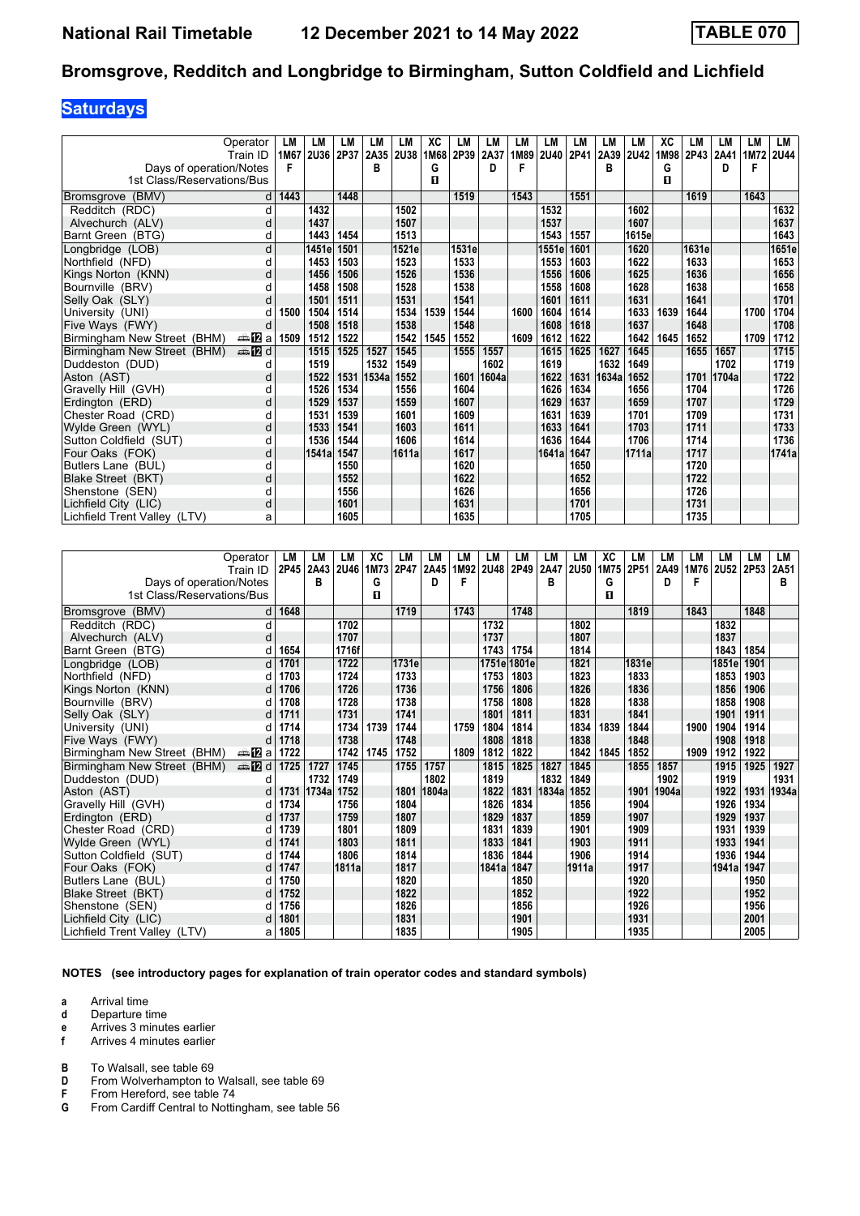## **Saturdays**

|                              | Operator<br>Train ID | LМ<br>1M67 | LM<br>2U36 | LM<br>2P37 | LM<br>2A35 2U38 | LM    | XC<br>1M68 | LM<br>2P39 | <b>LM</b><br>2A37 | LМ<br>1M89 | LM<br><b>2U40</b> | LM<br>2P41 | LM<br>2A39 | LM<br><b>2U42</b> | XC<br>1M98 | LM<br>2P43 | LM<br>2A41 | LM<br>1M72 | LM<br><b>2U44</b> |
|------------------------------|----------------------|------------|------------|------------|-----------------|-------|------------|------------|-------------------|------------|-------------------|------------|------------|-------------------|------------|------------|------------|------------|-------------------|
| Days of operation/Notes      |                      | F          |            |            | в               |       | G          |            | D                 | F          |                   |            | в          |                   | G          |            | D          | F          |                   |
| 1st Class/Reservations/Bus   |                      |            |            |            |                 |       | п          |            |                   |            |                   |            |            |                   | п          |            |            |            |                   |
|                              |                      |            |            |            |                 |       |            |            |                   |            |                   |            |            |                   |            |            |            |            |                   |
| (BMV)<br><b>Bromsgrove</b>   | d                    | 1443       |            | 1448       |                 |       |            | 1519       |                   | 1543       |                   | 1551       |            |                   |            | 1619       |            | 1643       |                   |
| Redditch (RDC)               | d                    |            | 1432       |            |                 | 1502  |            |            |                   |            | 1532              |            |            | 1602              |            |            |            |            | 1632              |
| Alvechurch (ALV)             | d                    |            | 1437       |            |                 | 1507  |            |            |                   |            | 1537              |            |            | 1607              |            |            |            |            | 1637              |
| Barnt Green (BTG)            | d                    |            | 1443       | 1454       |                 | 1513  |            |            |                   |            | 1543              | 1557       |            | 1615e             |            |            |            |            | 1643              |
| Longbridge (LOB)             | d                    |            | 1451e      | 1501       |                 | 1521e |            | 1531e      |                   |            | 1551e             | 1601       |            | 1620              |            | 1631e      |            |            | 1651e             |
| Northfield (NFD)             | d                    |            | 1453       | 1503       |                 | 1523  |            | 1533       |                   |            | 1553              | 1603       |            | 1622              |            | 1633       |            |            | 1653              |
| Kings Norton (KNN)           | d                    |            | 1456       | 1506       |                 | 1526  |            | 1536       |                   |            | 1556              | 1606       |            | 1625              |            | 1636       |            |            | 1656              |
| Bournville (BRV)             |                      |            | 1458       | 1508       |                 | 1528  |            | 1538       |                   |            | 1558              | 1608       |            | 1628              |            | 1638       |            |            | 1658              |
| Selly Oak (SLY)              | d                    |            | 1501       | 1511       |                 | 1531  |            | 1541       |                   |            | 1601              | 1611       |            | 1631              |            | 1641       |            |            | 1701              |
| University (UNI)             |                      | 1500       | 1504       | 1514       |                 | 1534  | 1539       | 1544       |                   | 1600       | 1604              | 1614       |            | 1633              | 1639       | 1644       |            | 1700       | 1704              |
| Five Ways (FWY)              |                      |            | 1508       | 1518       |                 | 1538  |            | 1548       |                   |            | 1608              | 1618       |            | 1637              |            | 1648       |            |            | 1708              |
| Birmingham New Street (BHM)  | ⇔anZa                | 1509       | 1512       | 1522       |                 | 1542  | 1545       | 1552       |                   | 1609       | 1612              | 1622       |            | 1642              | 1645       | 1652       |            | 1709       | 1712              |
| Birmingham New Street (BHM)  | <b>⊯ 12</b> d        |            | 1515       | 1525       | 1527            | 1545  |            | 1555       | 1557              |            | 1615              | 1625       | 1627       | 1645              |            | 1655       | 1657       |            | 1715              |
| Duddeston (DUD)              |                      |            | 1519       |            | 1532            | 1549  |            |            | 1602              |            | 1619              |            | 1632       | 1649              |            |            | 1702       |            | 1719              |
| Aston (AST)                  | d                    |            | 1522       | 1531       | 1534a           | 1552  |            | 1601       | 1604a             |            | 1622              |            | 1631 1634a | 1652              |            | 1701       | 1704a      |            | 1722              |
| Gravelly Hill (GVH)          | d                    |            | 1526       | 1534       |                 | 1556  |            | 1604       |                   |            | 1626              | 1634       |            | 1656              |            | 1704       |            |            | 1726              |
| Erdington (ERD)              | d                    |            | 1529       | 1537       |                 | 1559  |            | 1607       |                   |            | 1629              | 1637       |            | 1659              |            | 1707       |            |            | 1729              |
| Chester Road (CRD)           | d                    |            | 1531       | 1539       |                 | 1601  |            | 1609       |                   |            | 1631              | 1639       |            | 1701              |            | 1709       |            |            | 1731              |
| Wylde Green (WYL)            | d                    |            | 1533       | 1541       |                 | 1603  |            | 1611       |                   |            | 1633              | 1641       |            | 1703              |            | 1711       |            |            | 1733              |
| Sutton Coldfield (SUT)       | d                    |            | 1536       | 1544       |                 | 1606  |            | 1614       |                   |            | 1636              | 1644       |            | 1706              |            | 1714       |            |            | 1736              |
| Four Oaks (FOK)              | d                    |            | 1541a      | 1547       |                 | 1611a |            | 1617       |                   |            | 1641a             | 1647       |            | 1711a             |            | 1717       |            |            | 1741a             |
| Butlers Lane (BUL)           | d                    |            |            | 1550       |                 |       |            | 1620       |                   |            |                   | 1650       |            |                   |            | 1720       |            |            |                   |
| Blake Street (BKT)           | d                    |            |            | 1552       |                 |       |            | 1622       |                   |            |                   | 1652       |            |                   |            | 1722       |            |            |                   |
| Shenstone (SEN)              | d                    |            |            | 1556       |                 |       |            | 1626       |                   |            |                   | 1656       |            |                   |            | 1726       |            |            |                   |
| Lichfield City (LIC)         | d                    |            |            | 1601       |                 |       |            | 1631       |                   |            |                   | 1701       |            |                   |            | 1731       |            |            |                   |
| Lichfield Trent Valley (LTV) | а                    |            |            | 1605       |                 |       |            | 1635       |                   |            |                   | 1705       |            |                   |            | 1735       |            |            |                   |

|                              | Operator<br>Train ID    | LM   | LM<br>2P45 2A43 | LМ<br><b>2U46</b> | XC<br>1M73 | LM<br>2P47 | LМ<br>2A45 | LM<br>1M92 | LM<br><b>2U48</b> | LM<br>2P49 | LM<br>2A47 | LM<br><b>2U50</b> | XC<br>1M75 | LM<br>2P51 | LM<br>2A49 | LM<br>1M76 | LM<br>2U52 2P53 | LM   | LM<br>2A51 |
|------------------------------|-------------------------|------|-----------------|-------------------|------------|------------|------------|------------|-------------------|------------|------------|-------------------|------------|------------|------------|------------|-----------------|------|------------|
|                              |                         |      |                 |                   |            |            |            |            |                   |            |            |                   |            |            |            |            |                 |      |            |
| Days of operation/Notes      |                         |      | в               |                   | G          |            | D          | F          |                   |            | B          |                   | G<br>п     |            | D          | F          |                 |      | B          |
| 1st Class/Reservations/Bus   |                         |      |                 |                   | п          |            |            |            |                   |            |            |                   |            |            |            |            |                 |      |            |
| Bromsgrove (BMV)             |                         | 1648 |                 |                   |            | 1719       |            | 1743       |                   | 1748       |            |                   |            | 1819       |            | 1843       |                 | 1848 |            |
| Redditch (RDC)               | d                       |      |                 | 1702              |            |            |            |            | 1732              |            |            | 1802              |            |            |            |            | 1832            |      |            |
| Alvechurch (ALV)             | d                       |      |                 | 1707              |            |            |            |            | 1737              |            |            | 1807              |            |            |            |            | 1837            |      |            |
| Barnt Green (BTG)            | d                       | 1654 |                 | 1716f             |            |            |            |            | 1743              | 1754       |            | 1814              |            |            |            |            | 1843            | 1854 |            |
| Longbridge (LOB)             | d                       | 1701 |                 | 1722              |            | 1731e      |            |            | 1751e 1801e       |            |            | 1821              |            | 1831e      |            |            | 1851el          | 1901 |            |
| Northfield (NFD)             |                         | 1703 |                 | 1724              |            | 1733       |            |            | 1753              | 1803       |            | 1823              |            | 1833       |            |            | 1853            | 1903 |            |
| Kings Norton (KNN)           |                         | 1706 |                 | 1726              |            | 1736       |            |            | 1756              | 1806       |            | 1826              |            | 1836       |            |            | 1856            | 1906 |            |
| Bournville (BRV)             |                         | 1708 |                 | 1728              |            | 1738       |            |            | 1758              | 1808       |            | 1828              |            | 1838       |            |            | 1858            | 1908 |            |
| Selly Oak (SLY)              | d                       | 1711 |                 | 1731              |            | 1741       |            |            | 1801              | 1811       |            | 1831              |            | 1841       |            |            | 1901            | 1911 |            |
| University (UNI)             |                         | 1714 |                 | 1734              | 1739       | 1744       |            | 1759       | 1804              | 1814       |            | 1834              | 1839       | 1844       |            | 1900       | 1904            | 1914 |            |
| Five Ways (FWY)              |                         | 1718 |                 | 1738              |            | 1748       |            |            | 1808              | 1818       |            | 1838              |            | 1848       |            |            | 1908            | 1918 |            |
| Birmingham New Street (BHM)  | a≞172 a                 | 1722 |                 | 1742              | 1745       | 1752       |            | 1809       | 1812              | 1822       |            | 1842              | 1845       | 1852       |            | 1909       | 1912            | 1922 |            |
| Birmingham New Street (BHM)  | $\oplus$ $\mathbb{Z}$ d | 1725 | 1727            | 1745              |            | 1755       | 1757       |            | 1815              | 1825       | 1827       | 1845              |            | 1855       | 1857       |            | 1915            | 1925 | 1927       |
| Duddeston (DUD)              | d                       |      | 1732            | 1749              |            |            | 1802       |            | 1819              |            | 1832       | 1849              |            |            | 1902       |            | 1919            |      | 1931       |
| Aston (AST)                  |                         | 1731 | 1734a           | 1752              |            | 1801       | 1804a      |            | 1822              | 1831       | 1834a      | 1852              |            | 1901       | 1904a      |            | 1922            | 1931 | 1934a      |
| Gravelly Hill (GVH)          |                         | 1734 |                 | 1756              |            | 1804       |            |            | 1826              | 1834       |            | 1856              |            | 1904       |            |            | 1926            | 1934 |            |
| Erdington (ERD)              |                         | 1737 |                 | 1759              |            | 1807       |            |            | 1829              | 1837       |            | 1859              |            | 1907       |            |            | 1929            | 1937 |            |
| Chester Road (CRD)           |                         | 1739 |                 | 1801              |            | 1809       |            |            | 1831              | 1839       |            | 1901              |            | 1909       |            |            | 1931            | 1939 |            |
| Wylde Green (WYL)            | d                       | 1741 |                 | 1803              |            | 1811       |            |            | 1833              | 1841       |            | 1903              |            | 1911       |            |            | 1933            | 1941 |            |
| Sutton Coldfield (SUT)       |                         | 1744 |                 | 1806              |            | 1814       |            |            | 1836              | 1844       |            | 1906              |            | 1914       |            |            | 1936            | 1944 |            |
| Four Oaks (FOK)              | d                       | 1747 |                 | 1811a             |            | 1817       |            |            | 1841a             | 1847       |            | 1911a             |            | 1917       |            |            | 1941a           | 1947 |            |
| Butlers Lane (BUL)           |                         | 1750 |                 |                   |            | 1820       |            |            |                   | 1850       |            |                   |            | 1920       |            |            |                 | 1950 |            |
| Blake Street (BKT)           | d                       | 1752 |                 |                   |            | 1822       |            |            |                   | 1852       |            |                   |            | 1922       |            |            |                 | 1952 |            |
| Shenstone (SEN)              |                         | 1756 |                 |                   |            | 1826       |            |            |                   | 1856       |            |                   |            | 1926       |            |            |                 | 1956 |            |
| Lichfield City (LIC)         |                         | 1801 |                 |                   |            | 1831       |            |            |                   | 1901       |            |                   |            | 1931       |            |            |                 | 2001 |            |
| Lichfield Trent Valley (LTV) | а                       | 1805 |                 |                   |            | 1835       |            |            |                   | 1905       |            |                   |            | 1935       |            |            |                 | 2005 |            |

**NOTES (see introductory pages for explanation of train operator codes and standard symbols)**

**a** Arrival time

**d** Departure time

**e** Arrives 3 minutes earlier<br>**f** Arrives 4 minutes earlier

**f** Arrives 4 minutes earlier

**B** To Walsall, see table 69<br>**D** From Wolverhampton to **D** From Wolverhampton to Walsall, see table 69<br>**F** From Hereford, see table 74

**F** From Hereford, see table 74<br>**G** From Cardiff Central to Nottii

From Cardiff Central to Nottingham, see table 56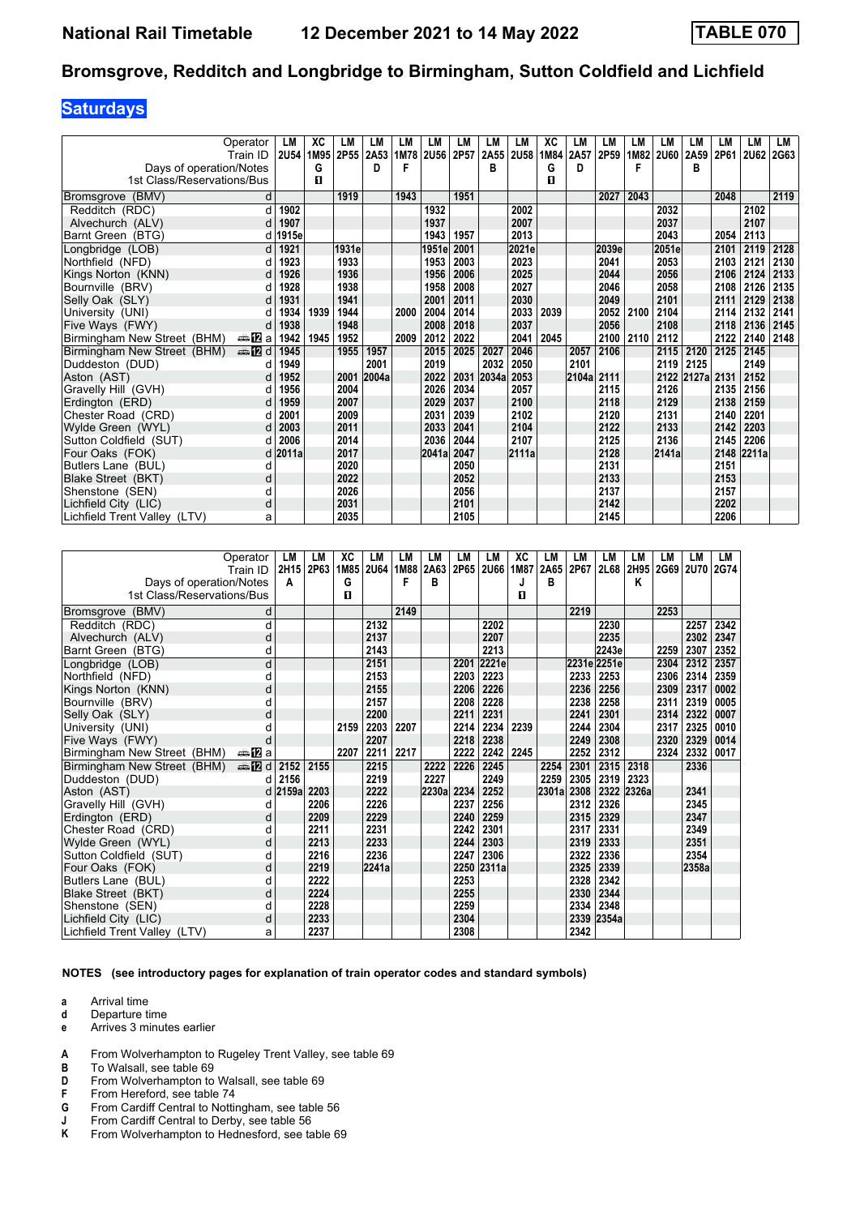## **Saturdays**

|                              | Operator               | LM          | XC   | LM    | LM        | LM   | LM           | LM   | LM    | <b>LM</b>   | XC   | LM    | LM    | LМ   | LM          | LM              | LМ   | LM           | LM   |
|------------------------------|------------------------|-------------|------|-------|-----------|------|--------------|------|-------|-------------|------|-------|-------|------|-------------|-----------------|------|--------------|------|
|                              | Train ID               | <b>2U54</b> | 1M95 |       | 2P55 2A53 | 1M78 | <b>2U56</b>  | 2P57 | 2A55  | <b>2U58</b> | 1M84 | 2A57  | 2P59  | 1M82 | <b>2U60</b> | 2A59            | 2P61 | <b>2U62</b>  | 2G63 |
| Days of operation/Notes      |                        |             | G    |       | D         | F    |              |      | в     |             | G    | D     |       | F    |             | в               |      |              |      |
| 1st Class/Reservations/Bus   |                        |             | п    |       |           |      |              |      |       |             | п    |       |       |      |             |                 |      |              |      |
|                              |                        |             |      | 1919  |           | 1943 |              | 1951 |       |             |      |       | 2027  | 2043 |             |                 | 2048 |              | 2119 |
| Bromsgrove (BMV)             | d                      |             |      |       |           |      |              |      |       |             |      |       |       |      |             |                 |      |              |      |
| Redditch (RDC)               | d                      | 1902        |      |       |           |      | 1932<br>1937 |      |       | 2002        |      |       |       |      | 2032        |                 |      | 2102<br>2107 |      |
| Alvechurch (ALV)             |                        | 1907        |      |       |           |      |              |      |       | 2007        |      |       |       |      | 2037        |                 |      |              |      |
| Barnt Green (BTG)            | d                      | 1915e       |      |       |           |      | 1943         | 1957 |       | 2013        |      |       |       |      | 2043        |                 | 2054 | 2113         |      |
| Longbridge (LOB)             | d                      | 1921        |      | 1931e |           |      | 1951e        | 2001 |       | 2021e       |      |       | 2039e |      | 2051e       |                 | 2101 | 2119         | 2128 |
| Northfield (NFD)             |                        | 1923        |      | 1933  |           |      | 1953         | 2003 |       | 2023        |      |       | 2041  |      | 2053        |                 | 2103 | 2121         | 2130 |
| Kings Norton (KNN)           |                        | 1926        |      | 1936  |           |      | 1956         | 2006 |       | 2025        |      |       | 2044  |      | 2056        |                 | 2106 | 2124         | 2133 |
| Bournville (BRV)             |                        | 1928        |      | 1938  |           |      | 1958         | 2008 |       | 2027        |      |       | 2046  |      | 2058        |                 | 2108 | 2126         | 2135 |
| Selly Oak (SLY)              |                        | 1931        |      | 1941  |           |      | 2001         | 2011 |       | 2030        |      |       | 2049  |      | 2101        |                 | 2111 | 2129         | 2138 |
| University (UNI)             |                        | 1934        | 1939 | 1944  |           | 2000 | 2004         | 2014 |       | 2033        | 2039 |       | 2052  | 2100 | 2104        |                 | 2114 | 2132         | 2141 |
| Five Ways (FWY)              |                        | 1938        |      | 1948  |           |      | 2008         | 2018 |       | 2037        |      |       | 2056  |      | 2108        |                 | 2118 | 2136         | 2145 |
| Birmingham New Street (BHM)  | dan <mark>na</mark> pa | 1942        | 1945 | 1952  |           | 2009 | 2012         | 2022 |       | 2041        | 2045 |       | 2100  | 2110 | 2112        |                 | 2122 | 2140         | 2148 |
| Birmingham New Street (BHM)  | dina na manda di       | 1945        |      | 1955  | 1957      |      | 2015         | 2025 | 2027  | 2046        |      | 2057  | 2106  |      | 2115        | 2120            | 2125 | 2145         |      |
| Duddeston (DUD)              |                        | 1949        |      |       | 2001      |      | 2019         |      | 2032  | 2050        |      | 2101  |       |      | 2119 2125   |                 |      | 2149         |      |
| Aston (AST)                  |                        | 1952        |      | 2001  | 2004a     |      | 2022         | 2031 | 2034a | 2053        |      | 2104a | 2111  |      |             | 2122 2127a 2131 |      | 2152         |      |
| Gravelly Hill (GVH)          |                        | 1956        |      | 2004  |           |      | 2026         | 2034 |       | 2057        |      |       | 2115  |      | 2126        |                 | 2135 | 2156         |      |
| Erdington (ERD)              |                        | 1959        |      | 2007  |           |      | 2029         | 2037 |       | 2100        |      |       | 2118  |      | 2129        |                 | 2138 | 2159         |      |
| Chester Road (CRD)           |                        | 2001        |      | 2009  |           |      | 2031         | 2039 |       | 2102        |      |       | 2120  |      | 2131        |                 | 2140 | 2201         |      |
| Wylde Green (WYL)            | d                      | 2003        |      | 2011  |           |      | 2033         | 2041 |       | 2104        |      |       | 2122  |      | 2133        |                 | 2142 | 2203         |      |
| Sutton Coldfield (SUT)       |                        | 2006        |      | 2014  |           |      | 2036         | 2044 |       | 2107        |      |       | 2125  |      | 2136        |                 | 2145 | 2206         |      |
| Four Oaks (FOK)              | d                      | 2011a       |      | 2017  |           |      | 2041a        | 2047 |       | 2111a       |      |       | 2128  |      | 2141a       |                 | 2148 | 2211a        |      |
| Butlers Lane (BUL)           | d                      |             |      | 2020  |           |      |              | 2050 |       |             |      |       | 2131  |      |             |                 | 2151 |              |      |
| Blake Street (BKT)           | d                      |             |      | 2022  |           |      |              | 2052 |       |             |      |       | 2133  |      |             |                 | 2153 |              |      |
| Shenstone (SEN)              | d                      |             |      | 2026  |           |      |              | 2056 |       |             |      |       | 2137  |      |             |                 | 2157 |              |      |
| Lichfield City (LIC)         | d                      |             |      | 2031  |           |      |              | 2101 |       |             |      |       | 2142  |      |             |                 | 2202 |              |      |
| Lichfield Trent Valley (LTV) | a                      |             |      | 2035  |           |      |              | 2105 |       |             |      |       | 2145  |      |             |                 | 2206 |              |      |

|                              | Operator               | LM    | LM   | XC   | LM          | LM   | LM         | LM   | LM         | XC   | LM    | LM   | LM          | LM    | LM   | LM          | <b>LM</b>   |
|------------------------------|------------------------|-------|------|------|-------------|------|------------|------|------------|------|-------|------|-------------|-------|------|-------------|-------------|
|                              | Train ID               | 2H15  | 2P63 | 1M85 | <b>2U64</b> | 1M88 | 2A63       | 2P65 | 2U66       | 1M87 | 2A65  | 2P67 | 2L68        | 2H95  | 2G69 | <b>2U70</b> | <b>2G74</b> |
| Days of operation/Notes      |                        | A     |      | G    |             | F    | в          |      |            | J    | B     |      |             | Κ     |      |             |             |
| 1st Class/Reservations/Bus   |                        |       |      | п    |             |      |            |      |            | п    |       |      |             |       |      |             |             |
| Bromsgrove (BMV)             | d                      |       |      |      |             | 2149 |            |      |            |      |       | 2219 |             |       | 2253 |             |             |
| Redditch (RDC)               | d                      |       |      |      | 2132        |      |            |      | 2202       |      |       |      | 2230        |       |      | 2257        | 2342        |
| Alvechurch (ALV)             | d                      |       |      |      | 2137        |      |            |      | 2207       |      |       |      | 2235        |       |      | 2302        | 2347        |
| Barnt Green (BTG)            | d                      |       |      |      | 2143        |      |            |      | 2213       |      |       |      | 2243e       |       | 2259 | 2307        | 2352        |
| Longbridge (LOB)             | d                      |       |      |      | 2151        |      |            | 2201 | 2221e      |      |       |      | 2231e 2251e |       | 2304 | 2312        | 2357        |
| Northfield (NFD)             | d                      |       |      |      | 2153        |      |            | 2203 | 2223       |      |       | 2233 | 2253        |       | 2306 | 2314        | 2359        |
| Kings Norton (KNN)           | d                      |       |      |      | 2155        |      |            | 2206 | 2226       |      |       | 2236 | 2256        |       | 2309 | 2317        | 0002        |
| Bournville (BRV)             | d                      |       |      |      | 2157        |      |            | 2208 | 2228       |      |       | 2238 | 2258        |       | 2311 | 2319        | 0005        |
| Selly Oak (SLY)              | d                      |       |      |      | 2200        |      |            | 2211 | 2231       |      |       | 2241 | 2301        |       | 2314 | 2322        | 0007        |
| University (UNI)             |                        |       |      | 2159 | 2203        | 2207 |            | 2214 | 2234       | 2239 |       | 2244 | 2304        |       | 2317 | 2325        | 0010        |
| Five Ways (FWY)              |                        |       |      |      | 2207        |      |            | 2218 | 2238       |      |       | 2249 | 2308        |       | 2320 | 2329        | 0014        |
| Birmingham New Street (BHM)  | ana. <mark>79</mark> a |       |      | 2207 | 2211        | 2217 |            | 2222 | 2242       | 2245 |       | 2252 | 2312        |       | 2324 | 2332        | 0017        |
| Birmingham New Street (BHM)  | <b>en 12</b> d         | 2152  | 2155 |      | 2215        |      | 2222       | 2226 | 2245       |      | 2254  | 2301 | 2315        | 2318  |      | 2336        |             |
| Duddeston (DUD)              | d                      | 2156  |      |      | 2219        |      | 2227       |      | 2249       |      | 2259  | 2305 | 2319        | 2323  |      |             |             |
| Aston (AST)                  | d                      | 2159a | 2203 |      | 2222        |      | 2230a 2234 |      | 2252       |      | 2301a | 2308 | 2322        | 2326a |      | 2341        |             |
| Gravelly Hill (GVH)          | d                      |       | 2206 |      | 2226        |      |            | 2237 | 2256       |      |       | 2312 | 2326        |       |      | 2345        |             |
| Erdington (ERD)              | d                      |       | 2209 |      | 2229        |      |            | 2240 | 2259       |      |       | 2315 | 2329        |       |      | 2347        |             |
| Chester Road (CRD)           | d                      |       | 2211 |      | 2231        |      |            | 2242 | 2301       |      |       | 2317 | 2331        |       |      | 2349        |             |
| Wylde Green (WYL)            | d                      |       | 2213 |      | 2233        |      |            | 2244 | 2303       |      |       | 2319 | 2333        |       |      | 2351        |             |
| Sutton Coldfield (SUT)       | d                      |       | 2216 |      | 2236        |      |            | 2247 | 2306       |      |       | 2322 | 2336        |       |      | 2354        |             |
| Four Oaks (FOK)              | d                      |       | 2219 |      | 2241a       |      |            |      | 2250 2311a |      |       | 2325 | 2339        |       |      | 2358a       |             |
| Butlers Lane (BUL)           | d                      |       | 2222 |      |             |      |            | 2253 |            |      |       | 2328 | 2342        |       |      |             |             |
| Blake Street (BKT)           | d                      |       | 2224 |      |             |      |            | 2255 |            |      |       | 2330 | 2344        |       |      |             |             |
| Shenstone (SEN)              | d                      |       | 2228 |      |             |      |            | 2259 |            |      |       | 2334 | 2348        |       |      |             |             |
| Lichfield City (LIC)         | d                      |       | 2233 |      |             |      |            | 2304 |            |      |       | 2339 | 2354a       |       |      |             |             |
| Lichfield Trent Valley (LTV) | а                      |       | 2237 |      |             |      |            | 2308 |            |      |       | 2342 |             |       |      |             |             |

**NOTES (see introductory pages for explanation of train operator codes and standard symbols)**

- **d** Departure time
- **e** Arrives 3 minutes earlier
- **A** From Wolverhampton to Rugeley Trent Valley, see table 69
- **B** To Walsall, see table 69<br>**D** From Wolverhampton to
- **D** From Wolverhampton to Walsall, see table 69<br>**F** From Hereford, see table 74
- **F** From Hereford, see table 74<br>**G** From Cardiff Central to Nottin
- **4** From Cardiff Central to Nottingham, see table 56<br> **8** From Cardiff Central to Derby, see table 56<br> **K** From Wolverhampton to Hednesford, see table 6
- From Cardiff Central to Derby, see table 56
- From Wolverhampton to Hednesford, see table 69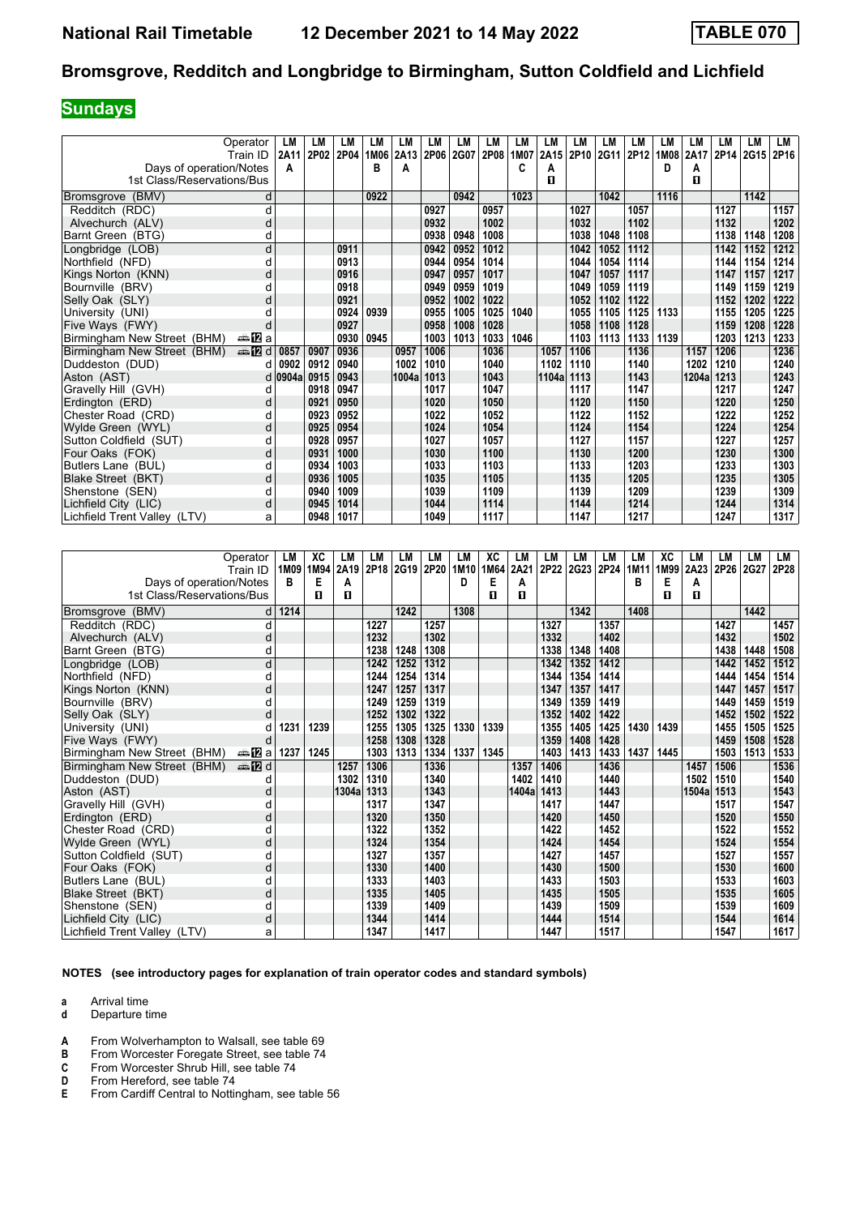## **Sundays**

|                              | Operator      | LM    | LM   | LМ   | LM   | LM     | LM   | LM   | LM   | <b>LM</b> | LM    | LМ               | LM   | LM   | LM   | LM    | LМ   | LM        | LM   |
|------------------------------|---------------|-------|------|------|------|--------|------|------|------|-----------|-------|------------------|------|------|------|-------|------|-----------|------|
|                              | Train ID      | 2A11  | 2P02 | 2P04 | 1M06 | 2A13   | 2P06 | 2G07 | 2P08 | 1M07      | 2A15  | 2P <sub>10</sub> | 2G11 | 2P12 | 1M08 | 2A17  |      | 2P14 2G15 | 2P16 |
| Days of operation/Notes      |               | A     |      |      | в    | A      |      |      |      | C         | A     |                  |      |      | D    | А     |      |           |      |
| 1st Class/Reservations/Bus   |               |       |      |      |      |        |      |      |      |           | п     |                  |      |      |      | п     |      |           |      |
| Bromsgrove (BMV)             | d             |       |      |      | 0922 |        |      | 0942 |      | 1023      |       |                  | 1042 |      | 1116 |       |      | 1142      |      |
| Redditch (RDC)               | d             |       |      |      |      |        | 0927 |      | 0957 |           |       | 1027             |      | 1057 |      |       | 1127 |           | 1157 |
| Alvechurch (ALV)             | d             |       |      |      |      |        | 0932 |      | 1002 |           |       | 1032             |      | 1102 |      |       | 1132 |           | 1202 |
| Barnt Green (BTG)            | d             |       |      |      |      |        | 0938 | 0948 | 1008 |           |       | 1038             | 1048 | 1108 |      |       | 1138 | 1148      | 1208 |
| Longbridge (LOB)             | d             |       |      | 0911 |      |        | 0942 | 0952 | 1012 |           |       | 1042             | 1052 | 1112 |      |       | 1142 | 1152      | 1212 |
| Northfield (NFD)             | d             |       |      | 0913 |      |        | 0944 | 0954 | 1014 |           |       | 1044             | 1054 | 1114 |      |       | 1144 | 1154      | 1214 |
| Kings Norton (KNN)           | d             |       |      | 0916 |      |        | 0947 | 0957 | 1017 |           |       | 1047             | 1057 | 1117 |      |       | 1147 | 1157      | 1217 |
| Bournville (BRV)             | d             |       |      | 0918 |      |        | 0949 | 0959 | 1019 |           |       | 1049             | 1059 | 1119 |      |       | 1149 | 1159      | 1219 |
| Selly Oak (SLY)              | d             |       |      | 0921 |      |        | 0952 | 1002 | 1022 |           |       | 1052             | 1102 | 1122 |      |       | 1152 | 1202      | 1222 |
| University (UNI)             |               |       |      | 0924 | 0939 |        | 0955 | 1005 | 1025 | 1040      |       | 1055             | 1105 | 1125 | 1133 |       | 1155 | 1205      | 1225 |
| Five Ways (FWY)              | d             |       |      | 0927 |      |        | 0958 | 1008 | 1028 |           |       | 1058             | 1108 | 1128 |      |       | 1159 | 1208      | 1228 |
| Birmingham New Street (BHM)  | a≞122la       |       |      | 0930 | 0945 |        | 1003 | 1013 | 1033 | 1046      |       | 1103             | 1113 | 1133 | 1139 |       | 1203 | 1213      | 1233 |
| Birmingham New Street (BHM)  | <b>⊯ 12</b> d | 0857  | 0907 | 0936 |      | 0957   | 1006 |      | 1036 |           | 1057  | 1106             |      | 1136 |      | 1157  | 1206 |           | 1236 |
| Duddeston (DUD)              | d             | 0902  | 0912 | 0940 |      | 1002   | 1010 |      | 1040 |           | 1102  | 1110             |      | 1140 |      | 1202  | 1210 |           | 1240 |
| Aston (AST)                  | d             | 0904a | 0915 | 0943 |      | 1004al | 1013 |      | 1043 |           | 1104a | 1113             |      | 1143 |      | 1204a | 1213 |           | 1243 |
| Gravelly Hill (GVH)          | d             |       | 0918 | 0947 |      |        | 1017 |      | 1047 |           |       | 1117             |      | 1147 |      |       | 1217 |           | 1247 |
| Erdington (ERD)              | d             |       | 0921 | 0950 |      |        | 1020 |      | 1050 |           |       | 1120             |      | 1150 |      |       | 1220 |           | 1250 |
| Chester Road (CRD)           | d             |       | 0923 | 0952 |      |        | 1022 |      | 1052 |           |       | 1122             |      | 1152 |      |       | 1222 |           | 1252 |
| Wylde Green (WYL)            | d             |       | 0925 | 0954 |      |        | 1024 |      | 1054 |           |       | 1124             |      | 1154 |      |       | 1224 |           | 1254 |
| Sutton Coldfield (SUT)       | d             |       | 0928 | 0957 |      |        | 1027 |      | 1057 |           |       | 1127             |      | 1157 |      |       | 1227 |           | 1257 |
| Four Oaks (FOK)              | d             |       | 0931 | 1000 |      |        | 1030 |      | 1100 |           |       | 1130             |      | 1200 |      |       | 1230 |           | 1300 |
| Butlers Lane (BUL)           | d             |       | 0934 | 1003 |      |        | 1033 |      | 1103 |           |       | 1133             |      | 1203 |      |       | 1233 |           | 1303 |
| Blake Street (BKT)           | d             |       | 0936 | 1005 |      |        | 1035 |      | 1105 |           |       | 1135             |      | 1205 |      |       | 1235 |           | 1305 |
| Shenstone (SEN)              | d             |       | 0940 | 1009 |      |        | 1039 |      | 1109 |           |       | 1139             |      | 1209 |      |       | 1239 |           | 1309 |
| Lichfield City (LIC)         | d             |       | 0945 | 1014 |      |        | 1044 |      | 1114 |           |       | 1144             |      | 1214 |      |       | 1244 |           | 1314 |
| Lichfield Trent Valley (LTV) | a             |       | 0948 | 1017 |      |        | 1049 |      | 1117 |           |       | 1147             |      | 1217 |      |       | 1247 |           | 1317 |

| Operator                     |               | LM   | XC   | LM    | LM   | LM   | LM   | LM               | XC   | LМ    | LM   | LM   | LM   | LМ   | XC   | LM    | LМ   | LM   | LM   |
|------------------------------|---------------|------|------|-------|------|------|------|------------------|------|-------|------|------|------|------|------|-------|------|------|------|
|                              | Train ID      | 1M09 | 1M94 | 2A19  | 2P18 | 2G19 | 2P20 | 1M <sub>10</sub> | 1M64 | 2A21  | 2P22 | 2G23 | 2P24 | 1M11 | 1M99 | 2A23  | 2P26 | 2G27 | 2P28 |
| Days of operation/Notes      |               | в    | E    | A     |      |      |      | D                | Е    | A     |      |      |      | в    | Е    | А     |      |      |      |
| 1st Class/Reservations/Bus   |               |      | п    | п     |      |      |      |                  | п    | п     |      |      |      |      | п    | п     |      |      |      |
| (BMV)<br><b>Bromsgrove</b>   | d             | 1214 |      |       |      | 1242 |      | 1308             |      |       |      | 1342 |      | 1408 |      |       |      | 1442 |      |
| Redditch (RDC)               | d             |      |      |       | 1227 |      | 1257 |                  |      |       | 1327 |      | 1357 |      |      |       | 1427 |      | 1457 |
| Alvechurch (ALV)             | d             |      |      |       | 1232 |      | 1302 |                  |      |       | 1332 |      | 1402 |      |      |       | 1432 |      | 1502 |
| Barnt Green (BTG)            | d             |      |      |       | 1238 | 1248 | 1308 |                  |      |       | 1338 | 1348 | 1408 |      |      |       | 1438 | 1448 | 1508 |
| Longbridge (LOB)             | d             |      |      |       | 1242 | 1252 | 1312 |                  |      |       | 1342 | 1352 | 1412 |      |      |       | 1442 | 1452 | 1512 |
| Northfield (NFD)             | d             |      |      |       | 1244 | 1254 | 1314 |                  |      |       | 1344 | 1354 | 1414 |      |      |       | 1444 | 1454 | 1514 |
| Kings Norton (KNN)           | d             |      |      |       | 1247 | 1257 | 1317 |                  |      |       | 1347 | 1357 | 1417 |      |      |       | 1447 | 1457 | 1517 |
| Bournville (BRV)             | d             |      |      |       | 1249 | 1259 | 1319 |                  |      |       | 1349 | 1359 | 1419 |      |      |       | 1449 | 1459 | 1519 |
| Selly Oak (SLY)              | d             |      |      |       | 1252 | 1302 | 1322 |                  |      |       | 1352 | 1402 | 1422 |      |      |       | 1452 | 1502 | 1522 |
| University (UNI)             |               | 1231 | 1239 |       | 1255 | 1305 | 1325 | 1330             | 1339 |       | 1355 | 1405 | 1425 | 1430 | 1439 |       | 1455 | 1505 | 1525 |
| Five Ways (FWY)              | d             |      |      |       | 1258 | 1308 | 1328 |                  |      |       | 1359 | 1408 | 1428 |      |      |       | 1459 | 1508 | 1528 |
| Birmingham New Street (BHM)  | a≞MZal        | 1237 | 1245 |       | 1303 | 1313 | 1334 | 1337             | 1345 |       | 1403 | 1413 | 1433 | 1437 | 1445 |       | 1503 | 1513 | 1533 |
| Birmingham New Street (BHM)  | <b>⊯ 12</b> d |      |      | 1257  | 1306 |      | 1336 |                  |      | 1357  | 1406 |      | 1436 |      |      | 1457  | 1506 |      | 1536 |
| Duddeston (DUD)              | d             |      |      | 1302  | 1310 |      | 1340 |                  |      | 1402  | 1410 |      | 1440 |      |      | 1502  | 1510 |      | 1540 |
| Aston (AST)                  | d             |      |      | 1304a | 1313 |      | 1343 |                  |      | 1404a | 1413 |      | 1443 |      |      | 1504a | 1513 |      | 1543 |
| Gravelly Hill (GVH)          |               |      |      |       | 1317 |      | 1347 |                  |      |       | 1417 |      | 1447 |      |      |       | 1517 |      | 1547 |
| Erdington (ERD)              | d             |      |      |       | 1320 |      | 1350 |                  |      |       | 1420 |      | 1450 |      |      |       | 1520 |      | 1550 |
| Chester Road (CRD)           | d             |      |      |       | 1322 |      | 1352 |                  |      |       | 1422 |      | 1452 |      |      |       | 1522 |      | 1552 |
| Wylde Green (WYL)            | d             |      |      |       | 1324 |      | 1354 |                  |      |       | 1424 |      | 1454 |      |      |       | 1524 |      | 1554 |
| Sutton Coldfield (SUT)       | d             |      |      |       | 1327 |      | 1357 |                  |      |       | 1427 |      | 1457 |      |      |       | 1527 |      | 1557 |
| Four Oaks (FOK)              | d             |      |      |       | 1330 |      | 1400 |                  |      |       | 1430 |      | 1500 |      |      |       | 1530 |      | 1600 |
| Butlers Lane (BUL)           | d             |      |      |       | 1333 |      | 1403 |                  |      |       | 1433 |      | 1503 |      |      |       | 1533 |      | 1603 |
| Blake Street (BKT)           | d             |      |      |       | 1335 |      | 1405 |                  |      |       | 1435 |      | 1505 |      |      |       | 1535 |      | 1605 |
| Shenstone (SEN)              | d             |      |      |       | 1339 |      | 1409 |                  |      |       | 1439 |      | 1509 |      |      |       | 1539 |      | 1609 |
| Lichfield City (LIC)         | d             |      |      |       | 1344 |      | 1414 |                  |      |       | 1444 |      | 1514 |      |      |       | 1544 |      | 1614 |
| Lichfield Trent Valley (LTV) | а             |      |      |       | 1347 |      | 1417 |                  |      |       | 1447 |      | 1517 |      |      |       | 1547 |      | 1617 |

**NOTES (see introductory pages for explanation of train operator codes and standard symbols)**

**a** Arrival time<br>**d** Departure t

- **d** Departure time
- **A** From Wolverhampton to Walsall, see table 69<br>**B** From Worcester Foregate Street, see table 74
- **B** From Worcester Foregate Street, see table 74
- **C** From Worcester Shrub Hill, see table 74
- **D** From Hereford, see table 74<br>**E** From Cardiff Central to Nottin
- From Cardiff Central to Nottingham, see table 56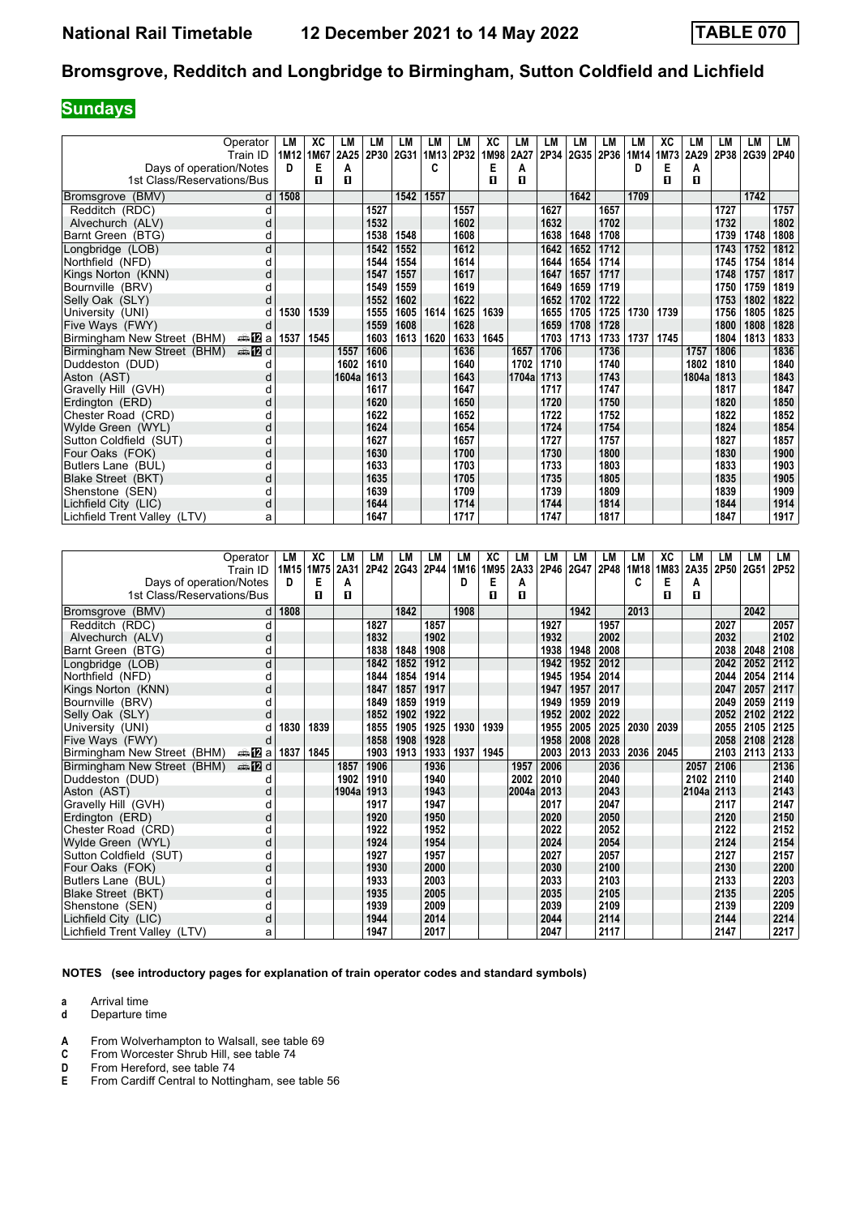## **Sundays**

|                              | Operator      | LM   | XC   | LМ    | LM   | LM   | LM   | LM   | XC   | LM    | LM   | LM   | LM   | LM   | ХC   | LM    | LМ        | LM   | LM   |
|------------------------------|---------------|------|------|-------|------|------|------|------|------|-------|------|------|------|------|------|-------|-----------|------|------|
|                              | Train ID      | 1M12 | 1M67 | 2A25  | 2P30 | 2G31 | 1M13 | 2P32 | 1M98 | 2A27  | 2P34 | 2G35 | 2P36 | 1M14 | 1M73 | 2A29  | 2P38 2G39 |      | 2P40 |
| Days of operation/Notes      |               | D.   | Е    | A     |      |      | C    |      | Е    | A     |      |      |      | D    | E    | А     |           |      |      |
| 1st Class/Reservations/Bus   |               |      | п    | п     |      |      |      |      | п    | п     |      |      |      |      | п    | п     |           |      |      |
| Bromsgrove (BMV)             |               | 1508 |      |       |      | 1542 | 1557 |      |      |       |      | 1642 |      | 1709 |      |       |           | 1742 |      |
| Redditch (RDC)               | d             |      |      |       | 1527 |      |      | 1557 |      |       | 1627 |      | 1657 |      |      |       | 1727      |      | 1757 |
| Alvechurch (ALV)             | d             |      |      |       | 1532 |      |      | 1602 |      |       | 1632 |      | 1702 |      |      |       | 1732      |      | 1802 |
| Barnt Green (BTG)            | d             |      |      |       | 1538 | 1548 |      | 1608 |      |       | 1638 | 1648 | 1708 |      |      |       | 1739      | 1748 | 1808 |
| Longbridge (LOB)             | d             |      |      |       | 1542 | 1552 |      | 1612 |      |       | 1642 | 1652 | 1712 |      |      |       | 1743      | 1752 | 1812 |
| Northfield (NFD)             | o             |      |      |       | 1544 | 1554 |      | 1614 |      |       | 1644 | 1654 | 1714 |      |      |       | 1745      | 1754 | 1814 |
| Kings Norton (KNN)           | d             |      |      |       | 1547 | 1557 |      | 1617 |      |       | 1647 | 1657 | 1717 |      |      |       | 1748      | 1757 | 1817 |
| Bournville (BRV)             |               |      |      |       | 1549 | 1559 |      | 1619 |      |       | 1649 | 1659 | 1719 |      |      |       | 1750      | 1759 | 1819 |
| Selly Oak (SLY)              | d             |      |      |       | 1552 | 1602 |      | 1622 |      |       | 1652 | 1702 | 1722 |      |      |       | 1753      | 1802 | 1822 |
| University (UNI)             |               | 1530 | 1539 |       | 1555 | 1605 | 1614 | 1625 | 1639 |       | 1655 | 1705 | 1725 | 1730 | 1739 |       | 1756      | 1805 | 1825 |
| Five Ways (FWY)              |               |      |      |       | 1559 | 1608 |      | 1628 |      |       | 1659 | 1708 | 1728 |      |      |       | 1800      | 1808 | 1828 |
| Birmingham New Street (BHM)  | a≞MDal        | 1537 | 1545 |       | 1603 | 1613 | 1620 | 1633 | 1645 |       | 1703 | 1713 | 1733 | 1737 | 1745 |       | 1804      | 1813 | 1833 |
| Birmingham New Street (BHM)  | <b>⊯ 12</b> d |      |      | 1557  | 1606 |      |      | 1636 |      | 1657  | 1706 |      | 1736 |      |      | 1757  | 1806      |      | 1836 |
| Duddeston (DUD)              |               |      |      | 1602  | 1610 |      |      | 1640 |      | 1702  | 1710 |      | 1740 |      |      | 1802  | 1810      |      | 1840 |
| Aston (AST)                  |               |      |      | 1604a | 1613 |      |      | 1643 |      | 1704a | 1713 |      | 1743 |      |      | 1804a | 1813      |      | 1843 |
| Gravelly Hill (GVH)          |               |      |      |       | 1617 |      |      | 1647 |      |       | 1717 |      | 1747 |      |      |       | 1817      |      | 1847 |
| Erdington (ERD)              | d             |      |      |       | 1620 |      |      | 1650 |      |       | 1720 |      | 1750 |      |      |       | 1820      |      | 1850 |
| Chester Road (CRD)           | d             |      |      |       | 1622 |      |      | 1652 |      |       | 1722 |      | 1752 |      |      |       | 1822      |      | 1852 |
| Wylde Green (WYL)            | d             |      |      |       | 1624 |      |      | 1654 |      |       | 1724 |      | 1754 |      |      |       | 1824      |      | 1854 |
| Sutton Coldfield (SUT)       | d             |      |      |       | 1627 |      |      | 1657 |      |       | 1727 |      | 1757 |      |      |       | 1827      |      | 1857 |
| Four Oaks (FOK)              | d             |      |      |       | 1630 |      |      | 1700 |      |       | 1730 |      | 1800 |      |      |       | 1830      |      | 1900 |
| Butlers Lane (BUL)           |               |      |      |       | 1633 |      |      | 1703 |      |       | 1733 |      | 1803 |      |      |       | 1833      |      | 1903 |
| Blake Street (BKT)           | d             |      |      |       | 1635 |      |      | 1705 |      |       | 1735 |      | 1805 |      |      |       | 1835      |      | 1905 |
| Shenstone (SEN)              | d             |      |      |       | 1639 |      |      | 1709 |      |       | 1739 |      | 1809 |      |      |       | 1839      |      | 1909 |
| Lichfield City (LIC)         | d             |      |      |       | 1644 |      |      | 1714 |      |       | 1744 |      | 1814 |      |      |       | 1844      |      | 1914 |
| Lichfield Trent Valley (LTV) | а             |      |      |       | 1647 |      |      | 1717 |      |       | 1747 |      | 1817 |      |      |       | 1847      |      | 1917 |

| Operator                                     | LM     | XC        | LM    | LM           | LM           | LM           | LM   | XC   | LМ    | LM           | LM           | LM           | LM   | XC   | LM    | LМ           | LM           | LM           |
|----------------------------------------------|--------|-----------|-------|--------------|--------------|--------------|------|------|-------|--------------|--------------|--------------|------|------|-------|--------------|--------------|--------------|
| Train ID                                     |        | 1M15 1M75 | 2A31  | 2P42         | 2G43 2P44    |              | 1M16 | 1M95 | 2A33  | 2P46         | 2G47         | 2P48         | 1M18 | 1M83 | 2A35  | 2P50 2G51    |              | 2P52         |
| Days of operation/Notes                      | D      | E         | A     |              |              |              | D    | Е    | A     |              |              |              | c    | E    | А     |              |              |              |
| 1st Class/Reservations/Bus                   |        | п         | п     |              |              |              |      | п    | п     |              |              |              |      | п    | п     |              |              |              |
|                                              | 1808   |           |       |              | 1842         |              | 1908 |      |       |              | 1942         |              | 2013 |      |       |              | 2042         |              |
| Bromsgrove (BMV)                             |        |           |       |              |              | 1857         |      |      |       |              |              |              |      |      |       |              |              | 2057         |
| Redditch (RDC)                               | d      |           |       | 1827<br>1832 |              | 1902         |      |      |       | 1927<br>1932 |              | 1957<br>2002 |      |      |       | 2027<br>2032 |              | 2102         |
| Alvechurch (ALV)<br>Barnt Green (BTG)        | d<br>d |           |       | 1838         | 1848         | 1908         |      |      |       | 1938         | 1948         | 2008         |      |      |       | 2038         | 2048         | 2108         |
|                                              | d      |           |       |              |              |              |      |      |       |              |              |              |      |      |       |              |              |              |
| Longbridge (LOB)                             |        |           |       | 1842<br>1844 | 1852<br>1854 | 1912<br>1914 |      |      |       | 1942<br>1945 | 1952<br>1954 | 2012<br>2014 |      |      |       | 2042<br>2044 | 2052<br>2054 | 2112<br>2114 |
| Northfield (NFD)                             | d      |           |       | 1847         | 1857         | 1917         |      |      |       | 1947         | 1957         | 2017         |      |      |       | 2047         | 2057         | 2117         |
| Kings Norton (KNN)                           | d      |           |       | 1849         | 1859         | 1919         |      |      |       | 1949         | 1959         | 2019         |      |      |       | 2049         | 2059         | 2119         |
| Bournville (BRV)<br>Selly Oak (SLY)          | d      |           |       | 1852         | 1902         | 1922         |      |      |       | 1952         | 2002         | 2022         |      |      |       | 2052         | 2102         | 2122         |
| University (UNI)                             | 1830   | 1839      |       | 1855         | 1905         | 1925         | 1930 | 1939 |       | 1955         | 2005         | 2025         | 2030 | 2039 |       | 2055         | 2105         | 2125         |
| Five Ways (FWY)                              | d      |           |       | 1858         | 1908         | 1928         |      |      |       | 1958         | 2008         | 2028         |      |      |       | 2058         | 2108         | 2128         |
| Birmingham New Street (BHM)<br>a≞MZal        | 1837   | 1845      |       | 1903         | 1913         | 1933         | 1937 | 1945 |       | 2003         | 2013         | 2033         | 2036 | 2045 |       | 2103         | 2113         | 2133         |
| <b>⊯ 12</b> d<br>Birmingham New Street (BHM) |        |           | 1857  | 1906         |              | 1936         |      |      | 1957  | 2006         |              | 2036         |      |      | 2057  | 2106         |              | 2136         |
| Duddeston (DUD)                              | d      |           | 1902  | 1910         |              | 1940         |      |      | 2002  | 2010         |              | 2040         |      |      | 2102  | 2110         |              | 2140         |
| Aston (AST)                                  | C      |           | 1904a | 1913         |              | 1943         |      |      | 2004a | 2013         |              | 2043         |      |      | 2104a | 2113         |              | 2143         |
| Gravelly Hill (GVH)                          | d      |           |       | 1917         |              | 1947         |      |      |       | 2017         |              | 2047         |      |      |       | 2117         |              | 2147         |
| Erdington (ERD)                              | d      |           |       | 1920         |              | 1950         |      |      |       | 2020         |              | 2050         |      |      |       | 2120         |              | 2150         |
| Chester Road (CRD)                           | d      |           |       | 1922         |              | 1952         |      |      |       | 2022         |              | 2052         |      |      |       | 2122         |              | 2152         |
| Wylde Green (WYL)                            | d      |           |       | 1924         |              | 1954         |      |      |       | 2024         |              | 2054         |      |      |       | 2124         |              | 2154         |
| Sutton Coldfield (SUT)                       | d      |           |       | 1927         |              | 1957         |      |      |       | 2027         |              | 2057         |      |      |       | 2127         |              | 2157         |
| Four Oaks (FOK)                              | d      |           |       | 1930         |              | 2000         |      |      |       | 2030         |              | 2100         |      |      |       | 2130         |              | 2200         |
| Butlers Lane (BUL)                           | d      |           |       | 1933         |              | 2003         |      |      |       | 2033         |              | 2103         |      |      |       | 2133         |              | 2203         |
| Blake Street (BKT)                           | d      |           |       | 1935         |              | 2005         |      |      |       | 2035         |              | 2105         |      |      |       | 2135         |              | 2205         |
| Shenstone (SEN)                              | d      |           |       | 1939         |              | 2009         |      |      |       | 2039         |              | 2109         |      |      |       | 2139         |              | 2209         |
| Lichfield City (LIC)                         | d      |           |       | 1944         |              | 2014         |      |      |       | 2044         |              | 2114         |      |      |       | 2144         |              | 2214         |
| Lichfield Trent Valley (LTV)                 | a      |           |       | 1947         |              | 2017         |      |      |       | 2047         |              | 2117         |      |      |       | 2147         |              | 2217         |

**NOTES (see introductory pages for explanation of train operator codes and standard symbols)**

**a** Arrival time<br>**d** Departure t

- **d** Departure time
- **A** From Wolverhampton to Walsall, see table 69 **C** From Worcester Shrub Hill. see table 74
- 
- From Hereford, see table 74
- **C** From Worcester Shrub Hill, see table 74<br> **D** From Hereford, see table 74<br> **E** From Cardiff Central to Nottingham, see From Cardiff Central to Nottingham, see table 56